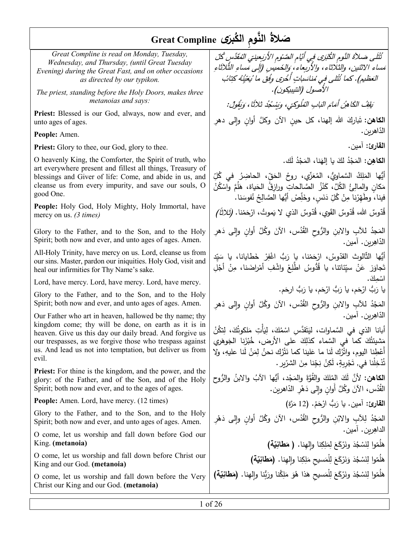*Great Compline is read on Monday, Tuesday, Wednesday, and Thursday, (until Great Tuesday Evening) during the Great Fast, and on other occasions as directed by our typikon.*

*The priest, standing before the Holy Doors, makes three metanoias and says:*

**Priest:** Blessed is our God, always, now and ever, and unto ages of ages.

**People:** Amen.

**Priest:** Glory to thee, our God, glory to thee.

O heavenly King, the Comforter, the Spirit of truth, who art everywhere present and fillest all things, Treasury of blessings and Giver of life: Come, and abide in us, and cleanse us from every impurity, and save our souls, O good One.

**People:** Holy God, Holy Mighty, Holy Immortal, have mercy on us. *(3 times)*

Glory to the Father, and to the Son, and to the Holy Spirit; both now and ever, and unto ages of ages. Amen.

All-Holy Trinity, have mercy on us. Lord, cleanse us from our sins. Master, pardon our iniquities. Holy God, visit and heal our infirmities for Thy Name's sake.

Lord, have mercy. Lord, have mercy. Lord, have mercy.

Glory to the Father, and to the Son, and to the Holy Spirit; both now and ever, and unto ages of ages. Amen.

Our Father who art in heaven, hallowed be thy name; thy kingdom come; thy will be done, on earth as it is in heaven. Give us this day our daily bread. And forgive us our trespasses, as we forgive those who trespass against us. And lead us not into temptation, but deliver us from evil.

**Priest:** For thine is the kingdom, and the power, and the glory: of the Father, and of the Son, and of the Holy Spirit; both now and ever, and to the ages of ages.

**People:** Amen. Lord, have mercy. (12 times)

Glory to the Father, and to the Son, and to the Holy Spirit; both now and ever, and unto ages of ages. Amen.

O come, let us worship and fall down before God our King. **(metanoia)**

O come, let us worship and fall down before Christ our King and our God. **(metanoia)**

O come, let us worship and fall down before the Very Christ our King and our God. **(metanoia)**

ُْتَتَلَى صَلاةُ النَّومِ الكُنبَرَى فِي أَيَّامِ الصَّنْومِ الأَرْبَعينيِّ المُقَدَّسِ كُلِّ مَساء الاثنَين، والثلاثاء، والأُربعاء، وَالخَسْسِ (إِلَى مَساءِ الثَّلاثَاءِ العَظيم). كما نُتْلى فِي مُناسَباتٍ أُخْرى وِفُقَ ما يُعَنِّئِهُ كِتِابُ الأُصول (التيبيكون). َ يَقِفُ الكَاهِنُ أَمَامَ النَبابِ المُلُوكيِّ، وَيَسْجُدُ ثَلاثًا، وَيُقُولُ: ا**لكاهن:** تَباركَ الله إلهنا، كل حينٍ الآن وكلَّ أوانٍ وإِل<sub>ى</sub> دهرِ الدّاهرين . **القارئ:** آمین. <mark>الكاهِن:</mark> المَجْدُ لَكَ يا إلهَنا، المَجْدُ لَك<mark>.</mark> ً<br>، أَيُّها المَلِكُ السَّماوِيُّ، المُعَزِّي، روحُ الحَقِّ، الحاضِرُ في كُلِّ<br>على الله العالميَّة حَمَّةُ المُعَلَّق الله َ مَكانٍ والمالِئُ الكُلَّ، كَنْزُ الصَّالحاتِ ورازِقُ الحَياة، هَلُمَّ وَاسْكُنْ<br>ديد أَوَّهُ الْمُثَلِّ الْمُثَلِّ الصَّالحاتِ ورازِقُ الحَياة، فينا، وطَهِّرْنا مِنْ كُلِّ دَنَسٍ، وخَلِّصْ أَيُّها الْصَّالِحُ نُفوسَنا. قُدّوسٌ الله، قُدّوسٌ القَو*ي*، قُدّوسٌ الذي لا يَموتُ، ارْحَمْنا. *(تَلاثَأ)* المَجدُ للآبِ والابنِ والرُّوحِ القُدُس، الآنَ وكُلَّ أوانٍ وإِلى دَهرِ<br>'' الدّاهِرين. آمين<mark>.</mark> أَيُّها الثَّالوث القدّوسُ، ارْحَمْنا، يا رَبُّ اغْفِرْ خَطايانا، يا سَيِّدِ<br>تَما يُسْمَعُونُ القدِّوسُ، الثَّامُ الثَّامُ الثَّامُ الثَّامُ الثَّامُ الثَّامُ الثَّامُ الثَّامُ الثَّامُ تَجاوَز عَنْ سيِّئاتنا، يا قُدُّوسُ اطَّلِعْ واشْفِ أَمْراضَنا، مِنْ أَجْلِ<br>اشطاع **ٔ** نْمِكَ.<br>. ِ<br>بِكَ اس يا رَبُّ ارْحَم، يا رَبُّ ارْحَم، يا رَبُّ ارحَم. المَجْدُ للأَبِ والابنِ والرُّوحِ القُدُس، الآنَ وكُلَّ أُوانٍ وإِلَى دَهرِ<br>'' الدّاهِرين. آمين<mark>.</mark> ْ َّ أ�انا الذي في الس ُن ِتك ،َ ل ُك َلكوت ْأ ِت م َ �ِ ،َ ل ُك ْ م َ َّقد ِس اس ت َ ماوات، لی مَشيئتُكَ كما ً في السَّماء كذلِكَ على الأرض، خُبْزَنا الجَوهَري<br>أشيئتُكَ كما في السَّماء كذلِكَ على الأرض، خُبْزَنا الجَوهَري أَعْطِنا اليوم، واتْزُك لَنا ما عَلينا كما نَتْزُك نحنُ لِمَنْ لَنا عليهِ، ولَا<br>تُعطِنا لِيوم، وَاتْزُك لَنا ما عَلينا كما نَتْزُك نحنُ لِمَنْ لَنا عليهِ، ولَا تُدْخِلْنا في, تَجْرِبةٍ، لَكِنْ نِجِّنا مِنَ الشرّيرِ . **ٔ الكاهن:** لأنَّ لكَ المُلكَ والقَوَّةِ والمَجْد، أَيُّها الآبُ والابنُ والرُّوحِ<br>"أُمُّدُ مِنْ الآمَرَ عُلُّهَ أَيْنِ الْمُسَرَّةِ وَالمَجْدِ، أَيُّها الآبُ والابنُ والرُّوحِ الْقُدُس، الآنَ وكُلَّ أُوانٍ وإِلَى دَهْرِ الدَّاهرين. ا**لقارئ:** آمين. يا رَبُّ ارْحَمْ. (12 مَرَّة) المَجْدُ لِلآبِ والابْنِ والرُّوحِ القُدُس، الآنَ وكُلَّ أوانٍ وإلى دَهْرِ<br>'' .<br>. الداهِرين. آمين. هَلُمّوا لِنَسْجُدَ ونَزْكَعَ لِمَلِكِنا وإِلهِنا. <mark>( مَطانِيّة)</mark> هَلُمّوا لِنَسْجُدَ وَنَرْكَعَ لِلْمَسيحِ مَلِكِنا وإِلهِنا. **(مَطانِيّة)** َ </sub> هَلُمّوا لِنَسْجُدَ ونَرْكَعَ لِلْمَسيحِ هَذا هُوَ مَلِكُنا ورَبُّنا وإِلمِينا. **(مَطانِيّة)** ُ<br>فا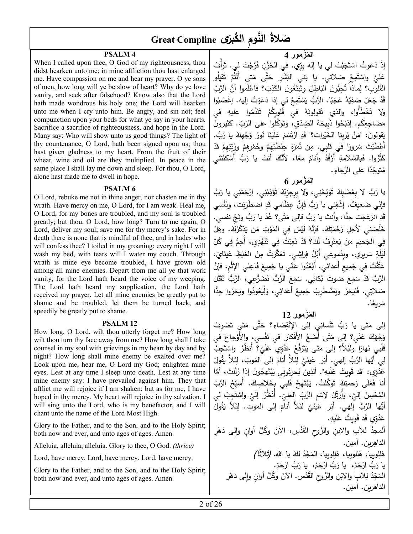#### **PSALM 4**

When I called upon thee, O God of my righteousness, thou didst hearken unto me; in mine affliction thou hast enlarged me. Have compassion on me and hear my prayer. O ye sons of men, how long will ye be slow of heart? Why do ye love vanity, and seek after falsehood? Know also that the Lord hath made wondrous his holy one; the Lord will hearken unto me when I cry unto him. Be angry, and sin not; feel compunction upon your beds for what ye say in your hearts. Sacrifice a sacrifice of righteousness, and hope in the Lord. Many say: Who will show unto us good things? The light of thy countenance, O Lord, hath been signed upon us; thou hast given gladness to my heart. From the fruit of their wheat, wine and oil are they multiplied. In peace in the same place I shall lay me down and sleep. For thou, O Lord, alone hast made me to dwell in hope.

#### **PSALM 6**

O Lord, rebuke me not in thine anger, nor chasten me in thy wrath. Have mercy on me, O Lord, for I am weak. Heal me, O Lord, for my bones are troubled, and my soul is troubled greatly; but thou, O Lord, how long? Turn to me again, O Lord, deliver my soul; save me for thy mercy's sake. For in death there is none that is mindful of thee, and in hades who will confess thee? I toiled in my groaning; every night I will wash my bed, with tears will I water my couch. Through wrath is mine eye become troubled, I have grown old among all mine enemies. Depart from me all ye that work vanity, for the Lord hath heard the voice of my weeping. The Lord hath heard my supplication, the Lord hath received my prayer. Let all mine enemies be greatly put to shame and be troubled, let them be turned back, and speedily be greatly put to shame.

#### **PSALM 12**

How long, O Lord, wilt thou utterly forget me? How long wilt thou turn thy face away from me? How long shall I take counsel in my soul with grievings in my heart by day and by night? How long shall mine enemy be exalted over me? Look upon me, hear me, O Lord my God; enlighten mine eyes. Lest at any time I sleep unto death. Lest at any time mine enemy say: I have prevailed against him. They that afflict me will rejoice if I am shaken; but as for me, I have hoped in thy mercy. My heart will rejoice in thy salvation. I will sing unto the Lord, who is my benefactor, and I will chant unto the name of the Lord Most High.

Glory to the Father, and to the Son, and to the Holy Spirit; both now and ever, and unto ages of ages. Amen.

Alleluia, alleluia, alleluia. Glory to thee, O God. *(thrice)*

Lord, have mercy. Lord, have mercy. Lord, have mercy.

Glory to the Father, and to the Son, and to the Holy Spirit; both now and ever, and unto ages of ages. Amen.

**ال َم ْزمور 4** ْ َ ُوت اس َع َ ْإذ د َ ت ّ <sup>ب</sup> ِ ْ<sup>ج</sup> َ ِ بر ُز َت ْ لي �ا إله ْ ي. في الح ََّرج ْف ِن ف َّ َرأ َت لي. ت َ عَلَيَّ واسْتَمِعْ صَلاتي. يا بَني البَشَرِ حَتَّى مَتى أَنْتُمْ ثَقَبِلُو<br>مُسْتَمَسِينَ مُسْتَمِينَ مِنْ البَشَرِ حَتَّى مَنْ أَنْتُمْ ثَقَبِلُو <u>ٔ</u> القُلوبِ؟ لِماذاُ تُحِبُّونَ البَاطِلَ وتَبتَغُونَ الكَذِبَ؟ فَاعْلَموا أنَّ الرَّبَّ<br>أ َ قَدْ جَعَلَ صَفِيَّهُ عَجَبًا. الرَّبُّ يَسْتَمِعُ لي إذا دَعَوْتُ إليه. إغْضَبُوا<br>ديسيَة نَظُرِ .<br>-<u>ٔ</u> صَفِيَّهُ عَجَبًا. الرَّبُّ يَسْتَمِ<br>وُ ْ <u>َ</u> ولا تَخْطَأُوا، والذي تَقولونَهُ في قُلوبِكُمْ تَنَدَّمُوا عليهِ في<br>معاملته .<br>. مَضَاجِعِكُم. إِذْبَحُوا ذَبِيحَةَ الصِّدْقِ، وَتَوَكَّلُوا على الرَّبِّ. كَثيرونَ<br>محمد العلمية  $\frac{1}{3}$ يَقولونَ: "مَنْ يُرِينِا الخَيْرات؟" قَدِ ارْتَسَمَ عَلَيْنَا نُورُ وَجْهِكَ يا رَبُّ.<br>أَهْ أَدَيَ مِنْ يَسْتَمِينَ أَنْ يَسْتَمِينَ مِنْ الْمَسْتَمِينَ مِنْ يَسْتَمْلِكَ عَنْ الْمَسْتَمْلِكَ وَيَس ْ أَعْطَيْتَ سُرورًا فِي قَلبِي. مِن ثَمَرَةِ حِنْطَنِّهِمْ وخَمْرِهِمْ وزَيْتِهِمْ قَدْ<br>كُفسان تَبايد وريا فَي أَي .<br>. .<br>م كَثُرُوا. فَبِالسَّلامةِ أَرْقُدُ وأنامُ معًا، لأنَّكَ أنتَ يا رَبُّ أَسْكَنْتَني<br>. َ ֡֞֟ .ِ ً َّ ا على الرجاء ِد ّ ُتوح م **ال َم ْزمور 6**

يا رَبُّ لا بِغَضَبِكَ تُوَبِّخْنِي، ولا بِرِجِزِكَ تُؤَدِّبْنِي. إرْحَمْنِي يا رَبُّ **ٔ** فَإِنِّي ضَعيِفٌ. إشْفِنِي يا رَبُّ فَإِنَّ عِظَامي قَدِ اضطُرَبَت، ونَا فِنِي يا رَبُّ فإنَّ عِظَامي قَدِ اضطَرَبَت، ونَفْسِي قَدِ انزَعَجَت جدًّا، وأنتَ يا رَبُّ فإلى مَتَى؟ عُدْ يا رَبُّ ونَجِّ نفسي.<br>-**ٔ** خَلِّصْني لأجلِ رَحْمَتِكَ. فإنَّهُ لَيْسَ فِي المَوْتِ مَن يَذكُرُكَ. وهَلْ<br>. <u>ّ</u> فِي الجَحيمِ مَنْ يَعتَرِفُ لَكَ؟ قَدْ تَعِبْتُ فِي تَتَهُّدِي، أُحِمُّ فِي كُلِّ<br>l لَيْلَةٍ سَريري، وبِدُموعي أَبُلُّ فِراشِي. تَعَكَّرَتْ مِنَ الغَيْظِ عَينَايَ،<br>انْقُلُمْ سَرِيرِي، وبِدُموعي أَبُلُّ فِراشِي. تَعَكَّرَتْ مِنَ الغَيْظِ عَينَايَ، **ٔ** عَتُقْتُ فِي جَمِيعِ أعدائي. أَبْعُدُوا عَنّي يا جَمِيعَ فَاعِلِي الإِثْمِ، فإنَّ َ الرَّبَّ قَدْ سَمِعَ صَوتَ بُكائِي. سَمِعَ الرَّبُّ تَضَرُّعِي، الرَّبُّ تَقَبَّلَ<br>. صَلاتِي. فَليَخزَ ويَضْطَرِبْ جَمِيعُ أعدائِي، وَلْيَعُودُوا ويَخزَوا جِدًّا سَ<mark>ريعًا.</mark>

### **ال َم ْزمور 12**

َ َ ُّب ت َى �ا ر ت <sup>ق</sup> ِ <sup>ن</sup> ي إلى ْ إلى م الإنِ َ ْص سان ْ َى ت ت َ َّى م ت َ ضاء ِر ُف ِ؟ ح ً<br>ٌ ֧֘֝<u>֚</u> وَجْهَكَ عَنِّي؟ إلى مَتَى أَضَعُ الأَفْكَارَ في نَفْسي، والأَوْجاعَ في<br>وَأَوْضَلَتْ مَسْتَمِينَ مِنْ أَسْمَرَ َ قَلْبِي نَهارًا ولَيْلاً؟ إلى مَتَى يَتَرَفَّعُ عَدُوِّي عَلَيَّ؟ أَنظُرْ واسْتَجِبْ<br>في الصحيح العام لِّي أَيُّها الرَّبُّ إِلهي. أَنِر عَينَيَّ لِئلاً أنامَ إِلى المَوتِ، لِئلاً يَقُولَ<br>ما يقول الرَّبُّ إِلهي اللَّهُ عَينَ اللَّهُ أَنامَ إِلَى المَوتِ، لِئلاً يَقُولَ .<br>. عَدُوِّي: "قَد قَوِيتُ عَلَيهِ". أَلذِينَ يُحزِنُونِي يَبْتَهجُونَ إِذا زَلَلتُ، أَمَّا<br>عَدُوِّي: أنا فَعَلَى رَحمتِكَ تَوَكَّلتُ. يَبْتَهِجُ قَلبِي بِخَلاصِكَ. أُسَبِّحُ الرَّبَّ<br>نديد من المسافحة َ ْ المُحْسِنَ إليَّ، وأُرَتِّلُ لِاسْمِ الرَّبِّ العَلِيِّ. أَنْظُرْ إلَيَّ واسْتَجِبْ لِي<br>أُثُّرُ النَّاسُ الصَّافِرَةِ مَنْ يَوْسَلُ أَنَّ اللَّهُ إِلا السَّاسِدِ وَاللَّهُ عَلَيْهِ ا أَيُّها الرَّبُّ إِلهي. أَنِر عَي<sup>َ</sup>نَيَّ لئَلاَّ أنامَ إلى المَوتِ. لِئَلاَّ يَقُولَ<br>ما عَدُوِّي قَد قَويِتُ عَلَيهِ.<br>و ألمجدُ للأبِ والابنِ والرُوحِ القُدُس، الآنَ وكُلَّ أوانٍ وإِلى دَهْرِ الداهِرين. آمين. هَلِلوبِيا، هَلِلوبِيا، هَلِلوبِيا، المَجْدُ لَكَ يا الله. *(تَلاثَاً)*<br>استُفاه وَ المُسْلمُ العَامَلِينَ <u>َ</u> يا رَبُّ ارْحَمْ، يا رَبُّ ارْحَمْ، يا رَبُّ ارْحَمْ.<br>السِّفْرُ الصَّامِينِ بِلِيهِ بِلِيهِ بِلِيهِ مِنْ اللَّهِ مِنْ الْمَرْضَى اللَّهِ عَلَيْهِ مَنْ الْمَرْضَاءِ ْ ً<br>ً المَجْدُ لِلآبِ والابْنِ والرُّوحِ القُدُس. الآنَ وكُلَّ أوانٍ وإِلى دَهْرِ<br>.. الداهر�ن. آمین.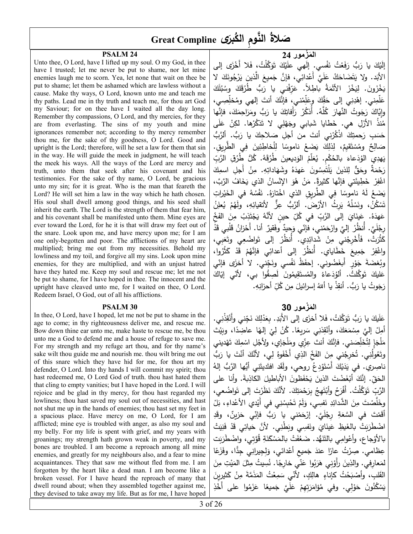#### **PSALM 24**

Unto thee, O Lord, have I lifted up my soul. O my God, in thee have I trusted; let me never be put to shame, nor let mine enemies laugh me to scorn. Yea, let none that wait on thee be put to shame; let them be ashamed which are lawless without a cause. Make thy ways, O Lord, known unto me and teach me thy paths. Lead me in thy truth and teach me, for thou art God my Saviour; for on thee have I waited all the day long. Remember thy compassions, O Lord, and thy mercies, for they are from everlasting. The sins of my youth and mine ignorances remember not; according to thy mercy remember thou me, for the sake of thy goodness, O Lord. Good and upright is the Lord; therefore, will he set a law for them that sin in the way. He will guide the meek in judgment, he will teach the meek his ways. All the ways of the Lord are mercy and truth, unto them that seek after his covenant and his testimonies. For the sake of thy name, O Lord, be gracious unto my sin; for it is great. Who is the man that feareth the Lord? He will set him a law in the way which he hath chosen. His soul shall dwell among good things, and his seed shall inherit the earth. The Lord is the strength of them that fear him, and his covenant shall be manifested unto them. Mine eyes are ever toward the Lord, for he it is that will draw my feet out of the snare. Look upon me, and have mercy upon me; for I am one only-begotten and poor. The afflictions of my heart are multiplied; bring me out from my necessities. Behold my lowliness and my toil, and forgive all my sins. Look upon mine enemies, for they are multiplied, and with an unjust hatred have they hated me. Keep my soul and rescue me; let me not be put to shame, for I have hoped in thee. The innocent and the upright have cleaved unto me, for I waited on thee, O Lord. Redeem Israel, O God, out of all his afflictions.

#### **PSALM 30**

In thee, O Lord, have I hoped, let me not be put to shame in the age to come; in thy righteousness deliver me, and rescue me. Bow down thine ear unto me, make haste to rescue me, be thou unto me a God to defend me and a house of refuge to save me. For my strength and my refuge art thou, and for thy name's sake wilt thou guide me and nourish me. thou wilt bring me out of this snare which they have hid for me, for thou art my defender, O Lord. Into thy hands I will commit my spirit; thou hast redeemed me, O Lord God of truth. thou hast hated them that cling to empty vanities; but I have hoped in the Lord. I will rejoice and be glad in thy mercy, for thou hast regarded my lowliness; thou hast saved my soul out of necessities, and hast not shut me up in the hands of enemies; thou hast set my feet in a spacious place. Have mercy on me, O Lord, for I am afflicted; mine eye is troubled with anger, as also my soul and my belly. For my life is spent with grief, and my years with groanings; my strength hath grown weak in poverty, and my bones are troubled. I am become a reproach among all mine enemies, and greatly for my neighbours also, and a fear to mine acquaintances. They that saw me without fled from me. I am forgotten by the heart like a dead man. I am become like a broken vessel. For I have heard the reproach of many that dwell round about; when they assembled together against me, they devised to take away my life. But as for me, I have hoped

**ال َم ْزمور 24** ا<br>ا إلَيْكَ يا رَبُّ رَفَ .<br>. كَ يا رَبُّ رَفَعْتُ نَفْسي. إِلَهي علَيْكَ تَوَكَّلْتُ، فَلا أُخْزَى إلى<br>ا .<br>. هَ يا رَبُّ رَف*َّ* .<br>ا الأَبَد. ولا يَتَضَاحَكُ عَلَيَّ أَعْدائِي، فإنَّ جَميعَ الَّذين يَرْجُونَكَ لا<br>الأَبَد. <sub>ئ</sub>ِذٌ يَخْزَونَ. لِيَخْزَ الأَثْمَةُ بِاطِلاً. عَرِّفْني يا رَبُّ طُرُقَكَ وِسُبُلَكَ<br>-ز<br>ون بِني. إهْدِنِي إلى حَقِّكَ وعَلِّمْني، فإِنَّكَ أنتَ إلهي ومُخلِّصِي،<br>. لم َّ ع وإِيَّاكَ رَجَوتُ النَّهارَ كُلَّهُ. أَنكُرْ رَأَفاتِكَ يا رَبُّ ومَرَاحِمَكَ، فإنَّها<br>مِنْ سَاءَ بِ ِّ مُنذُ الأزَلِ هي. خَطايا شَبابي وجَهْلِي لا تَنكُرْها. لكِنْ عَلَى<br>. **ٔ** َبحمتِكَ اذْكُرْني أنتَ من أجلِ صَلاحِكَ يا رَبُّ. أَلزَّبُّ<br>رَحمتِكَ النَّائِبِ َسِبِ رَدِ<br>س َس ح ْ ِ<br>سُسُ ٌ وم لِحٌ َ <sup>ا</sup> َ ال ً <sup>ص</sup> <sup>ت</sup> ُ ناموس َ َضع � َ ِك ِذل ،ٌ ل ِم ِ ق� ِ َّ ي الط لْل َ ف ِین ِر ِ �ق. ِخاطئ يَهدِي الوُدَعاءَ بالحُكْمِ. يُعَلَّمُ الوَديعينَ طُرُقَهُ. كُلُّ طُرُقِ الرَّبِّ<br>مَسَّنَّ اللَّهُ اللَّهُ فَيَرْسَفُ الْمَسْرَةَ إِلَى اللَّهُ الْمَسْرَةِ اللَّهَ َهد َ رَحْمَةٌ وحَقٌّ لِ<br>-َنةً وحَ<br>. مَةٌ وحَقٌّ لِلذينَ يَلْتَمِسُونَ عَهدَهُ وشَهَاداتِهِ. مِنْ أَجلِ اسمِكَ<br>مستركي منظمة التَّخريد انْحَفِرْ فِرْ خَطِيئَتي فإِنَّها كَثيرةٌ. مَنْ هُوَ الإِنْسانُ الذي يَخَافُ الرَّبَّ،<br>مُسْتَفَاسُلُونَ مَسْتَفَاسِ اللَّهُ عَبْدَ اللَّهُ عَلَيْهِ مِنْ الْمُؤْسِنَةِ الْمُؤْسَّنَةِ الْمُؤْسَّنَةِ يَضَعُ لَهُ ناموسًا فِي الطَّرِيقِ الذي اخْتارَهُ. نَفْسُهُ في الخَيْراتِ<br>يَشْكُلُ الْمَسْلُمُونَ الْمَسْلَمَةِ الْمَسْلَمَةِ الْمَسْلَمَةِ الْمَسْلَمَةِ الْمَسْلِلَةِ ِيَضَعُ<br>مستق ْ َ<br>َسُدُ ْ ت َس ُ ، ون ْ ك ِرُث الأر َ ُ ی ُه ْ <sup>ل</sup> ُم َه ،ِ ول ِه ِن َض ُ َّ . ألرُّب ِ عٌّز لأتق�ائ ُعل � گنُ عَهدَهُ. عَينَايَ إِلى الرَّبِّ في كُلِّ حينٍ لأَنَّهُ يَجْتَذِبُ مِنَ الْفَخِّ<br>-َه مَهدَ<br>ء رِجْلَيَّ. أَنظُرْ إِلَيَّ وارْحَمْني، فإنّي وَجِيدٌ وفَقيرٌ أَنا. أَحْزانُ قَلْبِي قَدْ<br>يَهُ ا<br>ا ِّنِتْ<br>و ئز كَثُرَتْ، فَأَخْرِجْني مِنْ شَدائِدِي. أُنظُرْ إلى تَواضُعِي وتَعَبِي،<br>\* ْ واغْفِرْ حَمِيعَ خَطَاياي. أُنظُرْ إِل<sub>َى</sub> أَعدائِي فإنَّهُمْ قَدْ كَثُرُوا،<br>. ِ<br>ِرُ ْ ِ<br>۔<br>۔ يُغضَةً جَ<br>... وبُغضَةَ جَوْرٍ أَبغَضُوني. إحفَظُ نَفْسي وِنَجِّني. لا أخزَى فإنّي َ عَليكَ تَوكَّلتُُ. أَلمُوْدَعاءُ والمُستَقِيمُونَ لَصِقُوا بي، لأنّي إيّاكَ<br>- أمسط أيضاً في المُستقِيمُونَ لَصَقْو ليكَ تَ<br>. رَجَوتُ يا رَبُّ. أنقِذْ يا أللهُ إسرائيلَ مِن كُلِّ أحزانِهِ.

#### **ال َم ْزمور 30**

عَلَيكَ يا رَبُّ تَوَكَّلتُ، فَلا أخزَى إلى الأَبَدِ. بِعَدْلِكَ نَجِّني وأَنْقِذْنِي.<br>مُسْتَمَامِنِينَ مِنْ الْمَسْتَمْتِينَ َ ْ أَمِلْ إِلَيَّ مِسْمَعَكَ، وأَنْقِذنِي سَرِيعًا. كُنْ لِيْ إِلَـهًا عاضِدًا، وبَيْتَ<br>أَمِـلْ زُوْجَةً ِيلُ ا<br>ا ٔ<br>ّ مَلْجَإٍ لِتُخَلِّصَني. فإنَّكَ أنتَ عِزِّي ومَلْجَإِي، ولأَجْلِ اسْمِكَ تَهْديني<br>مَلْجَإٍ لِتُخَلِّصَني. فإنَّكَ أنتَ عِزِّي وتَعُولُنِي. تُخرِجُني مِنَ الفَخِّ الذِي أَخْفَوهُ لِي، لأَنَّكَ أَنْتَ يا رَبُّ انہ<br>: ُول ناصِري. في يَدَيْكَ أَسْتَوْدِعُ روحي، ولَقَد افتَديتَنِي أَيُّها الرَّبُّ إلهُ<br>. .<br>ا الْحَقِّ. إِنَّكَ أَبْغَضْتَ الّذينَ يَحْفَظُونَ الأَباطيلَ الكاذِبةَ. وأنا على<br>. Ë الرَّبِّ تَوَكَّلْتُ. أَفْرَحُ وأَبْتَهِجُ بِرَحْمَتِكَ. لأنَّكَ نَظَرْتَ إلى تَواضُعي،<br>. .<br>ا منْا َّ نَ<br>أ وخَلَّصْتَ مِنَ الشَّدائِدِ نَفسِي، وَلَمْ تَحْبِسْنِي في أَيْدي الأعْداءِ، بَلْ<br>وَجَلَّصْتَ مِنَ الشَّدائِدِ نَفسِي، وَلَمْ تَحْبِسْنِي في أَيْدي الأعْداءِ، بَلْ ْ ةَ<br>قما أَقَمْتَ في السَّعَةِ رِجْلَيَّ. إرْحَمْني يا رَبُّ فانِّي حَزينٌ، وقَدِ **:** ا<br>ا اضْطَرَبَتْ بالغَيظِ عَينَايَ ونَفسِي وبَطْنِي. لأنَّ حَياتِي قَدْ فَنِيَتْ .<br>م ْ بالأوْجاع، وأعْوامِي بالتَنَهُّد. ضَعُفَتْ بالمَسْكَنَةِ قُوَّتِي، واضْطَرَبَت<br>. .<br>ا عِظامي. صِرْتُ عِارًا عندَ جَميعِ أَعْدائي، وَلِجِيرانِي جِدًّا، وفَزَعًا لمَعارِفي. والذِينَ رأَوْنِي هَرَبُوا عَنّي خارِجًا. نُسِيتُ مِثْلَ المَيْتِ مِنَ<br>يَسْمَعُونِ مَسْمَدًا فَيْسَمَّدَ مِنْ مَسْمَدًا عَنْدَ مِنْ الْمَيْتِ مِنَ ْ القَلبِ، وأَصْبَحْتُ كإناءٍ هالِكٍ، لأَنّيِ سَمِعْتُ المَذَمَّةَ مِنْ كَثيرِينَ<br>المَلْمُدُ <u>َ</u> يَسْكُنُونَ حَوْلِي. وفي مُؤَامَرَتِهِمْ عَلَيَّ جَميعًا عَزَمُوا على أَخْذِ ْ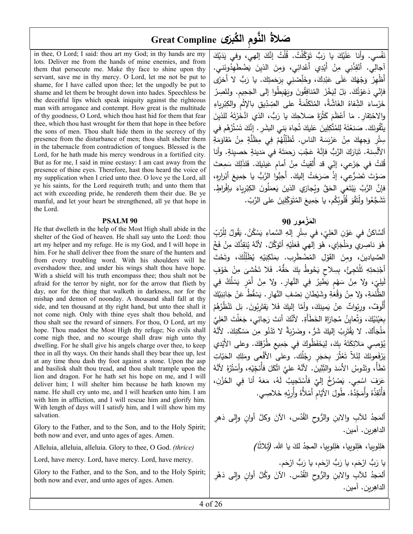in thee, O Lord; I said: thou art my God; in thy hands are my lots. Deliver me from the hands of mine enemies, and from them that persecute me. Make thy face to shine upon thy servant, save me in thy mercy. O Lord, let me not be put to shame, for I have called upon thee; let the ungodly be put to shame and let them be brought down into hades. Speechless be the deceitful lips which speak iniquity against the righteous man with arrogance and contempt. How great is the multitude of thy goodness, O Lord, which thou hast hid for them that fear thee, which thou hast wrought for them that hope in thee before the sons of men. Thou shalt hide them in the secrecy of thy presence from the disturbance of men; thou shalt shelter them in the tabernacle from contradiction of tongues. Blessed is the Lord, for he hath made his mercy wondrous in a fortified city. But as for me, I said in mine ecstasy: I am cast away from the presence of thine eyes. Therefore, hast thou heard the voice of my supplication when I cried unto thee. O love ye the Lord, all ye his saints, for the Lord requireth truth; and unto them that act with exceeding pride, he rendereth them their due. Be ye manful, and let your heart be strengthened, all ye that hope in the Lord.

#### **PSALM 90**

He that dwelleth in the help of the Most High shall abide in the shelter of the God of heaven. He shall say unto the Lord: thou art my helper and my refuge. He is my God, and I will hope in him. For he shall deliver thee from the snare of the hunters and from every troubling word. With his shoulders will he overshadow thee, and under his wings shalt thou have hope. With a shield will his truth encompass thee; thou shalt not be afraid for the terror by night, nor for the arrow that flieth by day, nor for the thing that walketh in darkness, nor for the mishap and demon of noonday. A thousand shall fall at thy side, and ten thousand at thy right hand, but unto thee shall it not come nigh. Only with thine eyes shalt thou behold, and thou shalt see the reward of sinners. For thou, O Lord, art my hope. Thou madest the Most High thy refuge; No evils shall come nigh thee, and no scourge shall draw nigh unto thy dwelling. For he shall give his angels charge over thee, to keep thee in all thy ways. On their hands shall they bear thee up, lest at any time thou dash thy foot against a stone. Upon the asp and basilisk shalt thou tread, and thou shalt trample upon the lion and dragon. For he hath set his hope on me, and I will deliver him; I will shelter him because he hath known my name. He shall cry unto me, and I will hearken unto him. I am with him in affliction, and I will rescue him and glorify him. With length of days will I satisfy him, and I will show him my salvation.

Glory to the Father, and to the Son, and to the Holy Spirit; both now and ever, and unto ages of ages. Amen.

Alleluia, alleluia, alleluia. Glory to thee, O God. *(thrice)*

Lord, have mercy. Lord, have mercy. Lord, have mercy.

Glory to the Father, and to the Son, and to the Holy Spirit; both now and ever, and unto ages of ages. Amen.

َ نَفْسي. وأنا عَلَيْكَ يا رَبُّ تَوَكِّلْتُ. قُلْتُ إِنَّكَ إلهي، وفي يَدَيْكَ<br>حَسِيمٍ \* \* \* .<br>م ْ أجالِي. أَنْقِذْنِي مِنْ أَيْدِي أَعْدائِي، وَمِنَ الذينَ يَصْطَهِدُونَني.<br>ئُفْسَطَة ْ أَ ْظ َج ْ و ْ ِهر ب َ َى ع ل َ َ ع َك َ <sup>د</sup> <sup>ى</sup> ِ <sup>ه</sup> َ ُّب لا أَخز .َ �ا ر ِك َمت َح ِ ِي بر ْصن ِ ل َّ ،َ وخ ك ْ فإِنِّي دَعَوْتُكَ. بَلْ لِيَخْزَ المُنافِقُونَ ويَهْبِطُوا إِلى الجَحِيمِ. ولتَصِرْ<br>. .<br>م خَرْساءَ الشِّفاهُ الغَاشَّةُ، المُتَكَلَّمَةُ على الصِّدِّيقِ بالإِثْمِ والكِبْرِياءِ<br>منذ المُسْتَمَامُ الْمُسَاءَ الْمُتَكَلِّمَةُ على الصِّدِّيقِ بالإِثْمِ والكِبْرِياءِ ْ والاحْتِقارِ . مَا أَعْظَمَ كَثْرَةَ صَلاحِكَ يا رَبُّ، الذي ادَّخَرْتَهُ للذينَ<br>وَيُمِيدُ مِنْ مَثَلِ اللَّهُ عَنْ اللَّهُ عَنْ اللَّهِ عَنْ اللَّهِ اللَّهُ اللَّهِ اللَّهُ اللَّهِ اللَّهِ ا .<br>م .<br>. يتَّقُونَكَ. صَنعْتَهُ لِلمُتَّكِلِينَ عَليكَ تُجاهَ بَني البشَرِ . إِنَّكَ تَسْتُرُهُم في<br>. ْ <u>:</u> سِتْرِ وَجهِكَ مِنْ عَرْبَسَة الناسِ. تُطْلِّلُهُمْ فِي مِطْلَّةٍ مِنْ مُقاوَمَةِ<br>\*\*\* الأَلْسِنة. تَبَارَكَ الرَّبُ فإنَّهُ عَجَّبَ رَحمَتَهُ في مَدينةٍ حَصيِنةٍ. وأنا<br>مُسْتَحَمَّدَتَهُ مَسْتَحْمَدَتَهُمْ عَجَّبَ رَحمَتَهُ في مَدينةٍ حَصينةٍ. وأنا .<br>-قُلتُ في جَزَعي، إنِّي قد أُلقِيتُ مِنْ أمامِ عَينَيكَ. فَلأَلِكَ سَمِعتَ<br>. ْ صَوْتَ تَضَرُّعِي، إذْ صَرَختُ إليكَ. أُحِبُّوا الرَّبُّ يا جَمِيعَ أَبْرارِهِ،<br>مَسَّمَّسَ مَسَّلِمِيلِ .<br>. فإنَّ الرَّبَّ يَبْتَغي الْحَقَّ ويُجازِي الذينَ يَعمَلُونَ الكِبْرِياءَ بِإِفْراطٍ.<br>يُمِيزِين وَّجْ وُلُونُ وَلَمِيزٍ .<br>. َبَا تَشَجَّعُوا ولْتَقْوَ قُلُوبُكُم، يا جَمِيعَ المُتَوَكِّلِينَ على الرَّبّ.

### **ال َم ْزمور 90**

ْ أَلسَّاكنُ في عَوْنِ العَلِيِّ، في سِتْرِ إلهِ السَّماءِ يَسْكُنُ. يَقُولُ لِلْرَّبِّ .<br>. ْ هُوَ ناصِري ومَلْجَإِي، هُوَ إلهي فَعَلَيْهِ أَتَوَكَّلُ. لأنَّهُ يُنقِزُكَ مِنْ فَخّ الصَّيادينَ، ومِنَ القَوْلِ المُضْطَرِبِ. بمَنْكِبَيْهِ يُظَلِّلُكَ، وتَحْتَ<br>ويستشف التَّقَوْلِ المُضْطَرِبِ. أَجْنِحتِهِ تَلْتَجِئُ، بِسِلاحٍ يَحُوطُ بِكَ حَقُّهُ. فَلا تَخْشىَ مِنْ خَوْفٍ<br>نَا مِنْ ذَلِ مِنْ مَنْ مِنْ مِنْ مِنْ مِنْ مِنْ حَقَّلُهُ مِنْ ذَلِّ <u>ّ</u> لَيلِيِّ، ولا مِنْ سَهْمٍ يَطِّيرُ فِي النَّهارِ. ولا مِنْ أَمْرٍ يَسْلُكُ فِي<br>يرَبُّ مِنْ يَسْمِدُ مُوَ يَسْمَدُونَ النَّهارِ. ً<br>ً الظُّلمَةِ، وَلا مِنْ وَقْعَةِ وشَيْطانِ نِصْفِ النَّهارِ . يَسْقُطُ عَنْ جَانِبَيْكَ<br>وُ <u>ٔ</u> أَلُوفٌ، ورِبْواتٌ عِنْ يَمينِكَ، وأمَّا إليكَ فَلا يَقْتَرِبُونَ. بَل تَنْظُرُهُمْ<br>. ء<br>• بِعَيْنَيْكَ، وَتُعايِنُ مُجازاةَ الخَطَأَةِ. لأنَّكَ أنتَ رَجائِي، جَعَلْتَ العَلِيَّ<br>وَيُسْتَنِكَ، وَتُعايِنُ مُجازاةَ الخَطَأَةِ. لأنَّكَ أنتَ رَجائِي، جَعَلْتَ العَلِيَّ َ َ <sup> $\overline{1}$ </sup> َ مَلْجَأْكَ. لا يَقْتَرِبُ إليكَ شَرٌّ، وضَرْبَةٌ لا تَذْنُو مِن مَسْكَنِكَ. لأنَّهُ į يُوْصِي مَلائِكَتَهُ بِكَ، لِيَحْفَظُوكَ فِي جَمِيعِ طُرُقِكَ. وعلى الأَيْدي<br>. <u>ّ</u> يَرْفَعونَكَ لِثَلاَّ تَعْثُرَ بِحَجَرٍ رِجْلُك. وعلى الأفْعى ومَلِكِ الحَيّاتِ<br>مَعَةُ مِنْ الصَّائِفَةُ ֺ<u>֓</u> **ٔ** تَطَأُ، وتَدُوسُ الأَسَدَ والتِّنِّينَ. لأنَّهُ عليَّ اتَّكَلَ فأُنَجِّيْهِ، وأسْتُرُهُ لأنَّهُ ْ عَرَفَ اسْمِي. يَصْرُخُ إِليَّ فأَسْتَجيبُ لَهُ، مَعَهُ أنا فِي الحُزْنِ،<br>وُمَا فُرِيبٍ مُسْتَمِينٍ فأُنْقِذُهُ وأُمَجِّدُهُ. طُولَ الأيّامِ أَمْلأُهُ وأُرِيْهِ خَلاصِي.

أَلمَجدُ للأَبِ والابنِ والرُّوحِ القُدُس، الآنَ وكلَّ أوانٍ وإِلى دَهرِ الداهِرين. آمين.

> هَلِلوبِيا، هَلِلوبِيا، هَلِلوبِيا، المجدُ لكَ يا الله. *(تَلاثَاً)* َ

يا رَبُّ ارْحَم، يا رَبُّ ارْحَم، يا رَبُّ ارْحَم.<br>م أَلمَجدُ للآبِ والابنِ والرُّوحِ القُدُس. الآنَ وكُلَّ أوانٍ وإِلى دَهْرِ الداهِرين. آمين.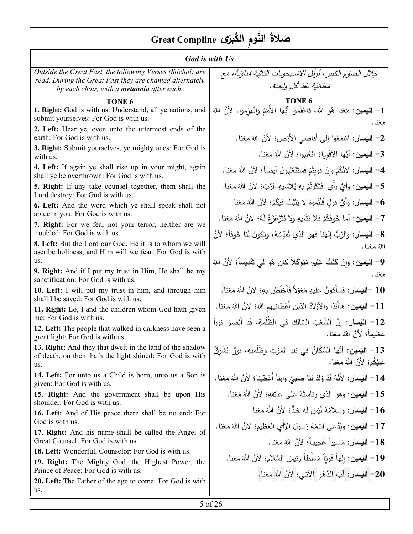َع

### *God is with Us*

*Outside the Great Fast, the following Verses (Stichoi) are read. During the Great Fast they are chanted alternately by each choir, with a metanoia after each.* **TONE 6 1. Right:** God is with us. Understand, all ye nations, and submit yourselves: For God is with us. **2. Left:** Hear ye, even unto the uttermost ends of the earth: For God is with us. **3. Right:** Submit yourselves, ye mighty ones: For God is with us. **4. Left:** If again ye shall rise up in your might, again shall ye be overthrown: For God is with us. **5. Right:** If any take counsel together, them shall the Lord destroy: For God is with us. **6. Left:** And the word which ye shall speak shall not abide in you: For God is with us. **7. Right:** For we fear not your terror, neither are we troubled: For God is with us. **8. Left:** But the Lord our God, He it is to whom we will ascribe holiness, and Him will we fear: For God is with us. **9. Right:** And if I put my trust in Him, He shall be my sanctification: For God is with us. **10. Left:** I will put my trust in him, and through him shall I be saved: For God is with us. **11. Right:** Lo, I and the children whom God hath given me: For God is with us. **12. Left:** The people that walked in darkness have seen a great light: For God is with us. **13. Right:** And they that dwelt in the land of the shadow of death, on them hath the light shined: For God is with us. **14. Left:** For unto us a Child is born, unto us a Son is given: For God is with us. **15. Right:** And the government shall be upon His shoulder: For God is with us. **16. Left:** And of His peace there shall be no end: For God is with us. **17. Right:** And his name shall be called the Angel of Great Counsel: For God is with us. **18. Left:** Wonderful, Counselor: For God is with us. **19. Right:** The Mighty God, the Highest Power, the Prince of Peace: For God is with us. **20. Left:** The Father of the age to come: For God is with خلال الصَنْوم الكَبيرِ ، تُرَتَّلُ الاسْتيخونات التاليَة مُناوَبَةً، مَعَ مَطانتَة بَعْدَ كُلِّ ولحِدة. **TONE 6** 1- ا**لنيمين:** مَعَنا هُوَ الله، فاعْلَموا أَيُّها الأُمَمُ وانْهَزِموا. لأنَّ اللهَ<br>-َنا مَعَنا. ُ **ال�سار**: وا إلى أَقاصي الأَ **َ -2** َع ْ م َ رض؛ نا ْ اس َع َّلأن الله . َ م 3– ا**لنِمين:** أَيُّها الأقْوِياءُ انْغَلِبوا؛ لأنَّ اللهَ مَعَنا.<br>-**4**– **النِسار :** لأَنَّكُمْ وإِنْ قَويتُمْ فَسَتَنْغَلِبونَ أيضاً؛ لأنَّ اللهَ مَعَنا. 5 **– النيمين:** وأيُّ رأْيٍ افْتَكَرتُمْ بهِ يُلاشيهِ الرَّبّ؛ لأنَّ اللهَ مَعَنا. ْ **ال�سار**: **َ -6** ُم ُ ُت ف�ك ْب ث َ ُ لا ی ُموه ُْلت َ وأَ ُّي ق ؛ نا َ ٍول ق َع َّلأن الله . َ م 7 – ا**لنيمين:** أما خَوفُكُمْ فَلا نَتَّقيهِ ولا نَتَزَعْزَعُ لَهُ؛ لأنَّ اللهَ مَعَنا. 8 – ا**لنِسار:** والرَّبُّ إلهُنا فهو الذي نُقدِّسُهُ، ويَكونُ لَنا خَوفاً؛ لأنَّ<br>ا الله مَعَ<mark>نا .</mark><br>. 9- **النِمين: وإِنْ كُنْتُ** عَلَيهِ مُتَوَكِّلاً كانَ هُوَ ل<sub>ّ</sub>ي تَقْديساً؛ لأنَّ الله*َ* َنا م . َع **10** –ا**ليَسار**: فسَأَكونُ عليهِ مُعَوِّلاً فأَخلُصُ بهِ؛ لأنَّ اللهَ مَعَنا. **11**– ا**لنيمين:** هاأَنذا والأوْلادُ الذينَ أَعْطانيهِمِ الله؛ لأنَّ اللهَ مَعَنا. 12– **النِسار:** إنَّ الشَّعْبَ السّالكَ في الظُّلْمَةِ، قَد أَبْصَرَ نوراً<br>في أَصْفَةَ ال عظيماً؛ لأنَّ اللهَ مَعَنا.<br>-13– ا**ليَمين:** أَيُّها السُّكَّانُ في بَلَدِ المَوْتِ وظُلْمَتِهِ، نورٌ يُشْرِقُ<br>يَدَهُ عَلَيْكُم؛ لأَنَّ اللهَ مَعَنا. َ **ال�سار**: **َ -14** ُ ق ْ َّلأنه ْ د ً أُع َ ٌّ بي وابنا َ لنا ص ِلد َ <sup>و</sup> طینا؛ نا ُ َع َّلأن الله . َ م 15– **النَيمين:** وهوَ الذي رِئاسَتُهُ على عاتِقِهِ؛ لأنَّ اللهَ مَعَنا. **16** – **النِسار :** وسَلامُهُ لَّيْسَ لَهُ حَدٍّ؛ لأنَّ الله مَعَنا.<br>16 ـَ **ال�مین**: ظ�م **َ -17** َ َّْأ الر ِي الع َسول ُ ر ه ُ ْ م َى اس ْع د َ و� ؛ نا ُ َع َّلأن الله . َ م 1**8** – ا**لنيسار :** مُشـيراً عَجيبـاً؛ لأنَّ اللهَ مَعَنـا. َ **ال�مین**: **َ -19** ً ق ِلها َ إ ً ر َّطا ل َ ُس ً م ا ئ�س و� َّ السلام ّ َ ؛ نا َ َع َّلأن الله . َ م َ **ال�سار**: **َ -20** َ الله نا َ َّ الـده ِ ـر الآتــي؛ َّلأن ْ آب م . َع

us.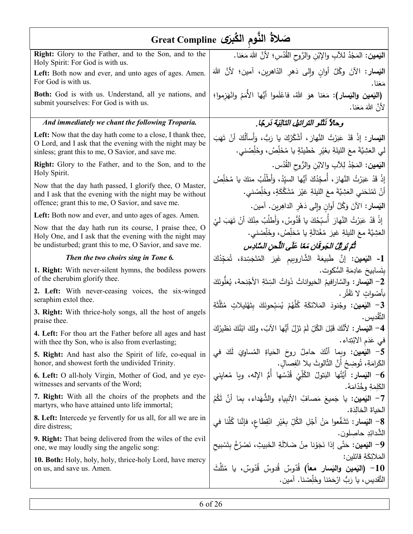| صَلاةُ النَّومِ الكُبرَى Great Compline                                                                                                                                       |                                                                                                                                                                                                                                        |
|-------------------------------------------------------------------------------------------------------------------------------------------------------------------------------|----------------------------------------------------------------------------------------------------------------------------------------------------------------------------------------------------------------------------------------|
| Right: Glory to the Father, and to the Son, and to the<br>Holy Spirit: For God is with us.                                                                                    | ا <b>لنَيمين:</b> المَجْدُ للآبِ والإبْنِ والرَّوحِ القُدُسِ؛ لأنَّ اللهَ مَعَنا.                                                                                                                                                      |
| Left: Both now and ever, and unto ages of ages. Amen.<br>For God is with us.                                                                                                  | النَّيسار: الآنَ وكُلَّ أوانٍ وإِلى دَهرِ الذّاهرين، آمين؛ لأنَّ اللهَ<br>مَعَنا.                                                                                                                                                      |
| <b>Both:</b> God is with us. Understand, all ye nations, and<br>submit yourselves: For God is with us.                                                                        | (النِّمين والنِّسار): مَعَنا هوَ اللهُ، فاعْلَموا أَيُّها الأُمَمُ وانْهَزِموا؛<br>لأَنَّ اللهَ مَعَنا.                                                                                                                                |
| And immediately we chant the following Troparia.                                                                                                                              | وحالاً نَتْلُو التراتيلِ التالِيَةِ نَرِجًا.                                                                                                                                                                                           |
| Left: Now that the day hath come to a close, I thank thee,<br>O Lord, and I ask that the evening with the night may be<br>sinless; grant this to me, O Savior, and save me.   | النِّيسار : إذْ قَدْ عَبَرْتُ النَّهارَ ، أَشْكُرُكَ يا رَبُّ، وَأَسأَلُكَ أَنْ تَهَبَ<br>لى العَشِيَّةَ معَ الليلةِ بغَيْرِ خَطيئَةٍ يا مُخَلِّصُ، وخَلِّصْني.                                                                        |
| Right: Glory to the Father, and to the Son, and to the<br>Holy Spirit.                                                                                                        | ا <b>لنَيمين:</b> المَجْدُ لِلآبِ والابْنِ والرُّوحِ القُدُس.                                                                                                                                                                          |
| Now that the day hath passed, I glorify thee, O Master,<br>and I ask that the evening with the night may be without<br>offence; grant this to me, O Savior, and save me.      | إِذْ قَدْ عَبَرْتُ النَّهارَ ، أُمجِّدُكَ أَيُّها السيّدُ، وَأَطْلُبُ منكَ يا مُخَلِّصُ<br>أَنْ تَمْنَحَني العَشِيَّةَ معَ الليلةِ غيْرَ مُشَكَّكَةٍ، وخَلِّصْني.<br>النَّيْسار: الآنَ وَكُلَّ أُوانِ وإِلَى دَهْرِ الداهِرِينِ. آمين. |
| Left: Both now and ever, and unto ages of ages. Amen.                                                                                                                         | إِذْ قَدْ عَبَرْتُ النَّهارَ ۖ أُسبِّحُكَ يا قُدُّوسُ، وَأَطلُبُ مِنْكَ أَنْ تَهَبَ لَيْ                                                                                                                                               |
| Now that the day hath run its course, I praise thee, O<br>Holy One, and I ask that the evening with the night may<br>be undisturbed; grant this to me, O Savior, and save me. | العَشِيَّةَ معَ الليلةِ غيرَ مُغْتالَةٍ يا مُخلِّصُ، وخَلِّصْني.<br>ثُمَّ يُرِبِّلُ الجَوقَانِ مَعًا عَلَى اللَّحنِ السَّادِسِ                                                                                                         |
| Then the two choirs sing in Tone 6.                                                                                                                                           | <b>1- النِمين:</b> إنَّ طَبيعَةَ الشَّاروبِيمِ غَيرَ المُتَجَسِّدة، تُمَجِّدُكَ                                                                                                                                                        |
| <b>1. Right:</b> With never-silent hymns, the bodiless powers<br>of the cherubim glorify thee.                                                                                | بِتَسابِيحَ عادِمَةِ السُّكوت.                                                                                                                                                                                                         |
| 2. Left: With never-ceasing voices, the six-winged<br>seraphim extol thee.                                                                                                    | 2– النِّصار : والسَّارافيمُ الحَيواناتُ ذَوَاتُ السِّتَةِ الأجْنِحة، يُعَلُّونَكَ<br>بأضواتٍ لا تَفْتُر .<br>3– ا <b>ليَمين:</b> وجُنودَ المَلائكَةِ كُلَّهُمْ يُسَبِّحونَكَ بِتَهْليلاتٍ مُثَلَّثَةِ                                  |
| 3. Right: With thrice-holy songs, all the host of angels<br>praise thee.                                                                                                      | التَّقْدِيس.                                                                                                                                                                                                                           |
| <b>4. Left:</b> For thou art the Father before all ages and hast<br>with thee thy Son, who is also from everlasting;                                                          | 4– النِّصار : لأَنَّكَ قَبْلَ الكُلِّ لَمْ تَزَلْ أَيُّها الآبُ، ولكَ ابْنُكَ نَظيرُكَ<br>ُ في عَدَمِ الابْتِداءِ .                                                                                                                    |
| 5. Right: And hast also the Spirit of life, co-equal in<br>honor, and showest forth the undivided Trinity.                                                                    | 5– ا <b>ليَمين:</b> وبِما أَنَّكَ حامِلٌ روحَ الحَياةِ المُساوِيَ لَكَ في<br>الكَرامَةِ، تُوضِحُ أنَّ الثَّالوثَ بلا انْفِصالٍ.                                                                                                        |
| <b>6. Left:</b> O all-holy Virgin, Mother of God, and ye eye-<br>witnesses and servants of the Word;                                                                          | 6- النِّسار: أَيَّتُها البَتولُ الكُلِّيُ قُدْسُها أُمُّ الإِله، ويا مُعايِني<br>الكَلِمَةِ وخُدّامَهُ.                                                                                                                                |
| 7. Right: With all the choirs of the prophets and the<br>martyrs, who have attained unto life immortal;                                                                       | الكَلِمَةِ وخُدّامَهُ.<br>7– ا <b>لنَمين:</b> يا جَميعَ مَصـافِّ الأنبِياءِ والشُّهَداء، بِمَا أنَّ لَكُمُ<br>الحَياةَ الخالدَة.                                                                                                       |
| <b>8.</b> Left: Intercede ye fervently for us all, for all we are in<br>dire distress;                                                                                        | 8- النِسار: تَشَفَّعوا مَنْ أَجْلِ الكُلِّ بِغَيْرِ انْقِطاع، فإنَّنا كُلَّنا في                                                                                                                                                       |
| <b>9. Right:</b> That being delivered from the wiles of the evil<br>one, we may loudly sing the angelic song:                                                                 | الشَّدائِدِ حاصِلون.<br>9- النِّمين: حَتَّى إذا نَجَوْنا مِنْ ضَلالَةِ الخَبيثِ، نَصْرُخُ بِتَسْبِيح                                                                                                                                   |
| 10. Both: Holy, holy, holy, thrice-holy Lord, have mercy<br>on us, and save us. Amen.                                                                                         | المَلائِكَةِ قائلين:<br>10 – (الن <b>ِمين والنِسار معاً)</b> قُدّوسٌ قُدوسٌ قُدّوسٌ، يا مُثَلَّثَ<br>النَّقديس، يا رَبُّ ارْحَمْنا وخَلِّصْنا. آمين.                                                                                   |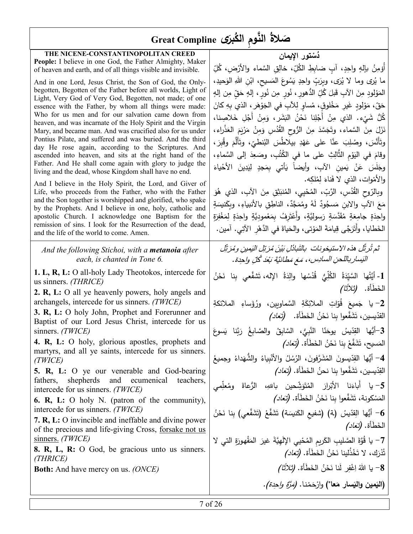| $\sum_{i=1}^n$                                                                                                                                                                                                                                                                                                                                                                                                                                                                                                                                                                                                                                                                                                                                                                                                                                                                                                                                                                                                                                                                                                                                            |                                                                                                                                                                                                                                                                                                                                                                                                                                                                                                                                                                                                                                                                                                                                                                                                                                                                                                                                                                                                                                                     |  |
|-----------------------------------------------------------------------------------------------------------------------------------------------------------------------------------------------------------------------------------------------------------------------------------------------------------------------------------------------------------------------------------------------------------------------------------------------------------------------------------------------------------------------------------------------------------------------------------------------------------------------------------------------------------------------------------------------------------------------------------------------------------------------------------------------------------------------------------------------------------------------------------------------------------------------------------------------------------------------------------------------------------------------------------------------------------------------------------------------------------------------------------------------------------|-----------------------------------------------------------------------------------------------------------------------------------------------------------------------------------------------------------------------------------------------------------------------------------------------------------------------------------------------------------------------------------------------------------------------------------------------------------------------------------------------------------------------------------------------------------------------------------------------------------------------------------------------------------------------------------------------------------------------------------------------------------------------------------------------------------------------------------------------------------------------------------------------------------------------------------------------------------------------------------------------------------------------------------------------------|--|
| THE NICENE-CONSTANTINOPOLITAN CREED<br>People: I believe in one God, the Father Almighty, Maker<br>of heaven and earth, and of all things visible and invisible.                                                                                                                                                                                                                                                                                                                                                                                                                                                                                                                                                                                                                                                                                                                                                                                                                                                                                                                                                                                          | دُسْتور الإيمان<br>أَؤْمِنُ بِإِلَهٍ واحِدٍ، آبِ ضابِطِ الكُلِّ، خالِقِ السَّماء والأَرْضِ، كُلِّ                                                                                                                                                                                                                                                                                                                                                                                                                                                                                                                                                                                                                                                                                                                                                                                                                                                                                                                                                   |  |
| And in one Lord, Jesus Christ, the Son of God, the Only-<br>begotten, Begotten of the Father before all worlds, Light of<br>Light, Very God of Very God, Begotten, not made; of one<br>essence with the Father, by whom all things were made:<br>Who for us men and for our salvation came down from<br>heaven, and was incarnate of the Holy Spirit and the Virgin<br>Mary, and became man. And was crucified also for us under<br>Pontius Pilate, and suffered and was buried. And the third<br>day He rose again, according to the Scriptures. And<br>ascended into heaven, and sits at the right hand of the<br>Father. And He shall come again with glory to judge the<br>living and the dead, whose Kingdom shall have no end.<br>And I believe in the Holy Spirit, the Lord, and Giver of<br>Life, who proceeds from the Father, who with the Father<br>and the Son together is worshipped and glorified, who spake<br>by the Prophets. And I believe in one, holy, catholic and<br>apostolic Church. I acknowledge one Baptism for the<br>remission of sins. I look for the Resurrection of the dead,<br>and the life of the world to come. Amen. | ما يُرى وما لا يُرَى، وبِرَبٍّ واحِدٍ يَسُوعَ المَسيح، ابْنِ اللهِ الوَحيدِ،<br>المَوْلُودِ مِنَ الآبِ قَبلَ كُلِّ الدُّهورِ ، نُورِ مِن نُورٍ ، إلهٍ حَقٍّ مِن إلهٍ<br>حَقّ، مَوْلُودِ غَيرِ مَخْلُوقٍ، مُساوِ لِلآبِ في الْجَوْهَرِ ، الذي بِهِ كَانَ<br>ݣُلُّ شَيْء. الذي مِنْ أَجْلِنا نَحْنُ النِّشَرِ ، وَمِنْ أَجْلِ خَلاصِنا،<br>نَزَلَ مِنَ السَّماء، وتَجَسَّدَ مِنَ الرُّوحِ القُدُسِ وَمِنْ مَرْيَمَ العَذْراء،<br>وتَأْنَسَ، وصُلِبَ عنَّا على عَهْدِ بيلاطُسَ البُنطيِّ، وتَأْلَمَ وقُبِرَ،<br>وقامَ في اليَوْمِ الثَّالِثِ على ما في الكُتُبِ، وصَعِدَ إلى السَّماءِ،<br>وجَلَسَ عَنْ يَمينِ الآبِ، وأيضاً يَأْتي بِمَجدٍ لِيَدِينَ الأَحْياءَ<br>والأمْوات، الذي لا فَناءَ لِمُلكِه.<br>وبِالرّوحِ القُدُسِ، الرَّبِّ، المُحْيِي، المُنبَثِقِ مِنَ الآبِ، الذي هُوَ<br>مَعَ الآبِ والابن مَسجُودٌ لَهُ ومُمَجَّدٌ، الناطِق بالأنبياءِ، وبِكَنيسَةٍ<br>واحِدَةٍ جامِعَةٍ مُقَدَّسَةٍ رَسوليَّةٍ، وأَعْتَرفُ بِمَعْمودِيَّةٍ واحِدَةٍ لِمَغْفِرَةٍ<br>الْخَطَايا، وأَتَرَجَّى قِيامَةَ المَوْتي، والحَياةَ في الدَّهْرِ الآتِي. آمين. |  |
| And the following Stichoi, with a metanoia after<br>each, is chanted in Tone 6.                                                                                                                                                                                                                                                                                                                                                                                                                                                                                                                                                                                                                                                                                                                                                                                                                                                                                                                                                                                                                                                                           | تُم تُرتَّل هذه الاستيخونات بالتَبادُلِ بَيْنَ مُرَتِلِ اليَمينِ ومُرَتِّلِ<br>النَيسار باللحنِ السادِسِ، ، مَعَ مَطانيَّة بَعَد كُلِّ واحِدَة.                                                                                                                                                                                                                                                                                                                                                                                                                                                                                                                                                                                                                                                                                                                                                                                                                                                                                                     |  |
| 1. L, R, L: O all-holy Lady Theotokos, intercede for<br>us sinners. (THRICE)                                                                                                                                                                                                                                                                                                                                                                                                                                                                                                                                                                                                                                                                                                                                                                                                                                                                                                                                                                                                                                                                              | 1- أَيَّتُها   السَّيِّدَةُ   الكُلِّيُّ   قُدْسُها   والِدَةُ   الإله، تَشفَّعي   بِنا   نَحْنُ<br>الخَطَأة. <i>(ثلاثًا)</i>                                                                                                                                                                                                                                                                                                                                                                                                                                                                                                                                                                                                                                                                                                                                                                                                                                                                                                                       |  |
| 2. R, L: O all ye heavenly powers, holy angels and<br>archangels, intercede for us sinners. (TWICE)<br>3. R, L: O holy John, Prophet and Forerunner and<br>Baptist of our Lord Jesus Christ, intercede for us<br>sinners. (TWICE)                                                                                                                                                                                                                                                                                                                                                                                                                                                                                                                                                                                                                                                                                                                                                                                                                                                                                                                         | 2- يا جَميعَ قُوّاتِ الملائِكَةِ السَّماويين، ورُؤَساءِ الملائكةِ<br>القدّيسين، تَشَفَّعوا بِنا نَحْنُ الخَطَأة. (تَعَ <i>اد)</i><br>3-أَيُّها القِدِّيسُ يوحَنَّا النَّبِيُّ، السَّابِقُ والصَّابِغُ رَبَّنا يَسوعَ                                                                                                                                                                                                                                                                                                                                                                                                                                                                                                                                                                                                                                                                                                                                                                                                                                |  |
| 4. R, L: O holy, glorious apostles, prophets and<br>martyrs, and all ye saints, intercede for us sinners.<br>(TWICE)                                                                                                                                                                                                                                                                                                                                                                                                                                                                                                                                                                                                                                                                                                                                                                                                                                                                                                                                                                                                                                      | المَسيح، تَشَفَّعْ بنا نَحْنُ الخَطَأة. (ُتَعَ <i>اد)</i><br>4– أَيُّها القِدّيسونَ المُشَرَّفونَ، الرُسُلُ والأَنْبِياءُ والشَّهَداءُ وجميعُ                                                                                                                                                                                                                                                                                                                                                                                                                                                                                                                                                                                                                                                                                                                                                                                                                                                                                                       |  |
| <b>5. R, L:</b> O ye our venerable and God-bearing<br>shepherds<br>and<br>fathers,<br>ecumenical<br>teachers,<br>intercede for us sinners. (TWICE)<br>6. R, L: O holy N. (patron of the community),<br>intercede for us sinners. (TWICE)<br>7. R, L: O invincible and ineffable and divine power<br>of the precious and life-giving Cross, forsake not us<br>$s$ inners. <i>(TWICE)</i><br>8. R, L, R: O God, be gracious unto us sinners.                                                                                                                                                                                                                                                                                                                                                                                                                                                                                                                                                                                                                                                                                                                | القِدّيسين، تَشَفَّعوا بنا نحنُ الخَطَأة. <i>(تَعاد)</i><br>5– يا أَباءَنا الأَبْرارَ المُتَوَشِّحين باللهِ، الرُّعاةَ ومُعلِّمي<br>المَسْكونة، تَشَفَّعوا بنا نَحْنُ الخَطَأة. (تَعَ <i>اد)</i><br>6= أَيُّها الِقِدّيسُ (4) (شفيع الكَنيسَة) تَشَفَّعْ (تَشَفَّعي) بِنا نَحْنُ<br>الخَطَأَة. (تَعَادَ)<br>7– يا قُوَّةَ الصَّليبِ الكَريمِ المُحْييِ الإِلَهِيَّةَ غيرَ المَقْهورَةِ التي لا<br>تُذْرَك، لا تَخْذُلينا نَحْنُ الخَطَأة. (تَعَ <i>اد)</i>                                                                                                                                                                                                                                                                                                                                                                                                                                                                                                                                                                                          |  |
| (THRICE)<br><b>Both:</b> And have mercy on us. <i>(ONCE)</i>                                                                                                                                                                                                                                                                                                                                                                                                                                                                                                                                                                                                                                                                                                                                                                                                                                                                                                                                                                                                                                                                                              | 8– يا اللهُ اِغْفِرِ لَنا نَحْنُ الخَطَأةِ. (تُلاَثَا)                                                                                                                                                                                                                                                                                                                                                                                                                                                                                                                                                                                                                                                                                                                                                                                                                                                                                                                                                                                              |  |
|                                                                                                                                                                                                                                                                                                                                                                                                                                                                                                                                                                                                                                                                                                                                                                                                                                                                                                                                                                                                                                                                                                                                                           | (النَمِينِ والنَسارِ مَعا") وارْحَمْنا. <i>(مَرَّةِ واحِدة).</i>                                                                                                                                                                                                                                                                                                                                                                                                                                                                                                                                                                                                                                                                                                                                                                                                                                                                                                                                                                                    |  |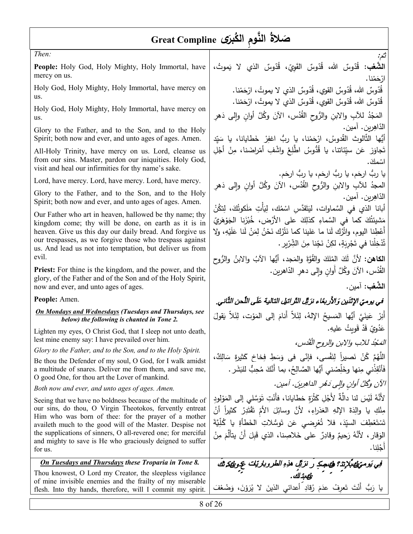*Then:*

**People:** Holy God, Holy Mighty, Holy Immortal, have mercy on us.

Holy God, Holy Mighty, Holy Immortal, have mercy on us.

Holy God, Holy Mighty, Holy Immortal, have mercy on us.

Glory to the Father, and to the Son, and to the Holy Spirit; both now and ever, and unto ages of ages. Amen.

All-Holy Trinity, have mercy on us. Lord, cleanse us from our sins. Master, pardon our iniquities. Holy God, visit and heal our infirmities for thy name's sake.

Lord, have mercy. Lord, have mercy. Lord, have mercy.

Glory to the Father, and to the Son, and to the Holy Spirit; both now and ever, and unto ages of ages. Amen.

Our Father who art in heaven, hallowed be thy name; thy kingdom come; thy will be done, on earth as it is in heaven. Give us this day our daily bread. And forgive us our trespasses, as we forgive those who trespass against us. And lead us not into temptation, but deliver us from evil.

**Priest:** For thine is the kingdom, and the power, and the glory, of the Father and of the Son and of the Holy Spirit, now and ever, and unto ages of ages.

**People:** Amen.

*On Mondays and Wednesdays (Tuesdays and Thursdays, see below) the following is chanted in Tone 2.*

Lighten my eyes, O Christ God, that I sleep not unto death, lest mine enemy say: I have prevailed over him.

*Glory to the Father, and to the Son, and to the Holy Spirit.*

Be thou the Defender of my soul, O God, for I walk amidst a multitude of snares. Deliver me from them, and save me, O good One, for thou art the Lover of mankind.

*Both now and ever, and unto ages of ages. Amen.*

Seeing that we have no boldness because of the multitude of our sins, do thou, O Virgin Theotokos, fervently entreat Him who was born of thee: for the prayer of a mother availeth much to the good will of the Master. Despise not the supplications of sinners, O all-revered one; for merciful and mighty to save is He who graciously deigned to suffer for us.

*On Tuesdays and Thursdays these Troparia in Tone 8.* Thou knowest, O Lord my Creator, the sleepless vigilance of mine invisible enemies and the frailty of my miserable flesh. Into thy hands, therefore, will I commit my spirit.

ثم:تُم **الشُّعْب: قُدّوسٌ الله، قُدّوسٌ القَ***وِيّ***، قُدّوسٌ الذي لا يَموتُ،** ارْحَمْنا.<br>م قَدّوسٌ الله، قَدّوسٌ القوي، قَدّوسٌ الذي لا يموتُ، ارْحَمْنا.<br>مُسِمِّدٍ اللهُ مُسِّمَّدٍ مِنْ اللهُ مِنْ اللهُ عَلَيْهِ مِنْ اللهُ عَلَيْهِ مِنْ الْمُحَمَّنَةِ الْمُحَمَّنَ قُدُوسٌ الله، قُدّوسٌ القوي، قَدّوسٌ الذي لا يموتُ، ارْحَمْنا .<br>-المَجْدُ للآبِ والابنِ والرُّوحِ القُدُس، الآنَ وكُلَّ أُوانٍ وإِلَى دَهرِ<br>ِسَمَّدُ الدّاهِرينِ. آمين. أَيُّها الثَّالوث القَّدوسُ، ارْحَمْنا، يا ربُّ اغفِرْ خَطايانا، يا سَيِّدِ<br>كَيْفا الثَّالوث القَّدوسُ، فُوُّف ما تَّدَد اللَّه عَلَيْفا اللَّهُ مِنْ اللَّهِ مِنْ اللَّهِ اللَّهِ اللَّهِ تَجاوَز عَن سيِّئاتنا، يا قُدُّوسُ اطَّلِعْ واشْفِ أَمْراضَنا، مِنْ أَجْلِ<br>م اسْمكَ.<br>. يا ربُّ ارحَم، يا ربُّ ارحَم، يا ربُّ ارحَم.<br>مسلمات المحِدُ للأَبِ والابنِ والرُّوحِ القُدُس، الآنَ وكُلَّ أوانٍ وإِلى دَهرِ الدّاهِرين. آمين.<br>. َ َّقد ِس َّ أ�انا الذي في الس ت َ ْ ماوات، لی َ اس �ِ َ <sup>م</sup> ْأ َل ُك، ل َ ِت م ُك ْ كوت ُن ِتك ، ل مَشيئتُكَ كما في السَّماءِ كذلِكَ على الأرْض، خُبْزَنا الجَوْهَريّ<br>أَه ذلك الصَّافِعِ السَّماءِ كذلِكَ على الأرْض، خُبْزَنا الجَوْهَريّ ْ أَعْطِنا اليوم، واتْزُك لَنا ما عَلينا كما نَتْزُك نَحْنُ لِمَنْ لَنا عَلَيْهِ، ولا<br>مُعطفا اليوم، واتْزُك لَنا ما عَلينا كما نَتْزُك نَحْنُ لِمَنْ لَنا عَلَيْهِ، ولا ْ <u>َ</u> تُدْخِلْنا في تَجْرِبَةٍ، لكِنْ نَجِّنا مِنَ الشِّرّيرِ . **الكاهن:** لأنَّ أَكَ الْمُلكَ والقَوَّةَ والمَجد، أَيُّها الآبُ والآبنُ والرُّوحِ<br>مثلا الْقُدُس، الآنَ وكُلَّ أُوانٍ وإلى دهرِ الدّاهريِن. **َّ الشعب:** آمین. **ْ** ُاء في يوميّ الإثنَين وَالأَربعُاء نرَبِّل التَّراتيل التالية عَلَى اللَّحن الثَّاني. أَنِزْ عَينَيَّ أَيُّها المَسيحُ الإِلهُ، لِثَلاَّ أَنامَ إلى المَوْت، لِثَلاَّ يَقولَ<br>. .ِ َ ُ و�ت عل�ه ْ ق َد ّ ق ُوي َد ع لُقُدْس، ُالمَحْدُ للأب والابن والروحِ القُا اللَّهُمَّ كُنْ نَصيراً لِنَفْسي، فإنّى فى وَسَطٍ فِخاخٍ كَثيرةٍ سَالِكٌ،<br>مَثِيرة فَأنْقِذْني مِنها وخَلِّصْني أَيُّها الصَّالِحُ، بما أَنَّكَ مُحِبٌّ للبَشَر . الآن وكُلَّ أوانٍ وإلى دَهْرِ الداهرِينَ. آمين. ا<br>ا لأَّنَّهُ لَيْسَ لنا دالَّةٌ لأَجْلِ كَثْرَةِ خطايانا، فأَنْتِ تَوَسَّلي إلى المَوْلِودِ<br>. <u>ا</u> **:**  ،ِ َذراء ِ الع َ الإله َة ِد ِك �ا وال ِن ْ م ً أن ُ �ثیرا ِر َد ْت َق ِ ت ّ َ الأم ِل َّلأن وسائ <u>ٔ</u> تَسْتَعْطِفَ السيِّدَ، فلا تُعْرِضي عَن تَوسُّلاتِ الخَطأةِ يا كُلِّيَّةَ ْ ْ .<br>-الوَقارِ ، لأَنَّهُ رَحيمٌ وقادِرٌ على خَلاصِنا، الذي قَبِلَ أَنْ يتأَلَّمَ مِنْ<br>ء أَجْلِنا. **ٔ** فِي يَوموّلِكِ بَكِمْ إِنَّهُ؟ وَلِي جِبَكِ رَنَزَيْلِ هٰذِهِ الطروباريّات يج وَ لِمِكْ مِنْكَ *ِئ*كبتشك.

يا رَبُّ أَنْتَ تَعرِفُ عدَمَ رُقادِ أعدائي الذينَ لا يُرَوْنَ، وَضُعْفَ<br>.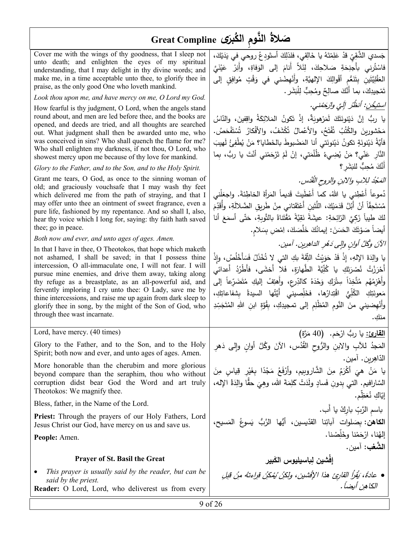Cover me with the wings of thy goodness, that I sleep not unto death; and enlighten the eyes of my spiritual understanding, that I may delight in thy divine words; and make me, in a time acceptable unto thee, to glorify thee in praise, as the only good One who loveth mankind.

#### *Look thou upon me, and have mercy on me, O Lord my God.*

How fearful is thy judgment, O Lord, when the angels stand round about, and men are led before thee, and the books are opened, and deeds are tried, and all thoughts are searched out. What judgment shall then be awarded unto me, who was conceived in sins? Who shall quench the flame for me? Who shall enlighten my darkness, if not thou, O Lord, who showest mercy upon me because of thy love for mankind.

#### *Glory to the Father, and to the Son, and to the Holy Spirit.*

Grant me tears, O God, as once to the sinning woman of old; and graciously vouchsafe that I may wash thy feet which delivered me from the path of straying, and that I may offer unto thee an ointment of sweet fragrance, even a pure life, fashioned by my repentance. And so shall I, also, hear thy voice which I long for, saying: thy faith hath saved thee; go in peace.

#### *Both now and ever, and unto ages of ages. Amen.*

In that I have in thee, O Theotokos, that hope which maketh not ashamed, I shall be saved; in that I possess thine intercession, O all-immaculate one, I will not fear. I will pursue mine enemies, and drive them away, taking along thy refuge as a breastplate, as an all-powerful aid, and fervently imploring I cry unto thee: O Lady, save me by thine intercessions, and raise me up again from dark sleep to glorify thee in song, by the might of the Son of God, who through thee wast incarnate.

#### Lord, have mercy. (40 times)

Glory to the Father, and to the Son, and to the Holy Spirit; both now and ever, and unto ages of ages. Amen.

More honorable than the cherubim and more glorious beyond compare than the seraphim, thou who without corruption didst bear God the Word and art truly Theotokos: We magnify thee.

Bless, father, in the Name of the Lord.

**Priest:** Through the prayers of our Holy Fathers, Lord Jesus Christ our God, have mercy on us and save us.

**People:** Amen.

#### **Prayer of St. Basil the Great**

• *This prayer is usually said by the reader, but can be said by the priest.*

**Reader:** O Lord, Lord, who deliverest us from every

جَسدي الشَّقِيِّ قدْ عَلِمْتَهُ يا خَالِقِي، فلذلِكَ أستَودِعُ روحي فِي يَدَيْكَ،<br>. ا<br>ا اب<br>ا فاسْتُرني بأَجزِحَةِ صَلاحِكَ، لِئَلاَّ أَنامَ إلى الوَفاةِ، وأَنِرْ عَيْنَيَّ<br>سُنْتَذِبِ بَيْنِ الْمُسْتَفَسِينَ فَيَسْتَدِينَ وَمَثَلاً **ٔ** ْ العَقْلِيَّتَينِ بِتَنَعُّمِ أَقْوالِكَ الإلهيَّةِ، وأَنْهِضْني في وَقْتٍ مُوافِقٍ إلى<br>. تَمْجيدِكَ، بما أَنَّكَ صالِحٌ ومُحِبٌّ لِلْبَشَرِ . ا<u>ستيخن</u>: أنظُرْ إِلَيَّ والرَحَمْني. .<br>ا ْ ُّ �ا رب َّ إن د َ ی َ نون َ ت ٌ ْ ، إذ ت َة ْهو� َر َم َ ل َ <sup>ك</sup> ُ الم اس كون ُ ّ َ ، والن ِفین ُ واق َة ِك لائ ْ مَحْشورينَ والكَتَبُ تَفْتَحُ، والأعْمالُ تَكْشَفُ، والأفكارُ تَسْتَفْحَصُ. |<br>ثَمَّةٌ مَنْ يَسْتَفْحَمَ .<br>ـ ُ د ْ َّ فأ�ة َ ی ُ د ٍ تكون َة ْ نون َ ی َهیب ُ ل ِئ ُ ْطف � ْ َن َطا�ا؟ م َ ْض َ بوط �الخ َتي أنا الم نون النَّارِ عَنِّي؟ مَنْ يُضِيءُ ظُلُمَتي، إنْ لَمْ تَرْحَمْني أَنْتَ يا ربُّ، بِما<br>أ َ أَنَّكَ مُحِبٌّ للبَشَرِ ؟<br>-المَحْدُ للِابِ والابنِ والروحِ القُدْس. دُموعاً أَعْطِني يا اللهُ، كما أَعْطَيتَ قَديماً المَراةَ الخاطِئةَ. واجعَلْني<br>-ْ مُسْتَحِقَّاً أَنْ أَبُلَّ قَدَمَيْكَ، اللَّتَينِ أَعْتَقَتاني مِنْ طَرِيقِ الضَّلالَةِ، وأُقَدِّمَ<br>. <u>َ</u> لكَ طِيباً زَكِيَّ الرَّائِحَةِ: عيشَةً نَقِيَّةً مُقْتَناةً بالثَّوبةِ، حَتَّى أسمَعَ أنا<br>، أيضاً صَوْتَكَ الْحَسَنَ: إيمانُكَ خَلَّصَكَ، اِمْضِ بِسَلامٍ. ْ الآنَ وكُلَّ أُوانٍ وإلى دَهْرِ الداهِرِينِ. آمينِ. يا والِدَةَ الإِلهِ، إِذْ قَدْ حَوَيْتُ الثِّقَةَ بكِ التي لا تُخْذَلُ فَسَأَخْلُصُ، وإِذْ<br>يَمْ مَدَّمَ مَسَلَّمَةٍ مِنْ الثَّقَةَ بِكَ التِّي لا تُخْذَلُ فَسَأَخْلُصُ، وإِذْ َ أَحْرَزْتُ نُصْرَتَكِ يا كُلِّيَّةَ الطَّهارَةِ، فَلا أَخشَى، فأَطْرُدُ أَعدائي َ .<br>م مُتَضَرِّعاً إلى ِ ُف ِ إل�ك م ِ ِرع، وأَهت ّ ُ �الد َه ْد َح ِك و َ ْر ً ِ ست َّ ِخذا ت ُ ُم م ُه ِزم وأَه <u>ٔ</u> مَعونَتِكِ الكُلِّيُ اقْتِدارُها، فخَلِّصيني أَيَّتُها السيدةُ بِشفاعاتِكِ،<br>يَرضَلْتِك َ وأَنْهِضيني منَ النَّومِ المُطْلِمِ إلى تمجيدِكِ، بِقُوَّةِ ابنِ اللهِ المُتَجَسِّدِ <u>ٔ</u> ِ منك. <mark>القارئ:</mark> يا ربُّ ارْحَم. (40 مَرَّة)<br>منصوبات المَجدُ للأَبِ والابنِ والرُّوحِ القُدُس، الآنَ وكُلَّ أوانٍ وإِلى دَهرِ الدّاهِرين. آمين<mark>.</mark> يا مَنْ هيَ أَكْرَمُ مِنَ الشَّاروبِيم، وأَرْفَعُ مَجْدًا بِغَيْرِ قِياسٍ مِنَ<br>«عالمت من الصَّارِبِينِ مِنَ الشَّاروبِيم، وَأَرْفَعُ مَجْدًا بِغَيْرِ قِياسٍ مِنَ ֦֘<u>֓</u> السَّارافيم. التي بِدونِ فَسادٍ ولَدَتْ كَلِمَةَ الله، وهِيَ حقًّا والِدَةُ الإِله،<br>سند مُسمّ إِيَّاكِ نُعَظِّم. باسمِ الزَّبِّ بارِكْ يا أَب. ا**لكاهن:** بِصَلوات آبائِنا القدّيسين، أيُّها الرَّبُّ يَسوعُ المَسيح، إلهُنا، ارْحَمْنا وخَلِّصْنا. **عب:** آمین. **ْ َّ الش �اسیلیوس الكبیر ِ إْف شین ل َ**

● عادةَ، بَقْراُ القارِئِ هذا الإفشين، ولكنْ يُمْكنُ قراءتُه منْ قَبْلِ الكاهن أيضاً .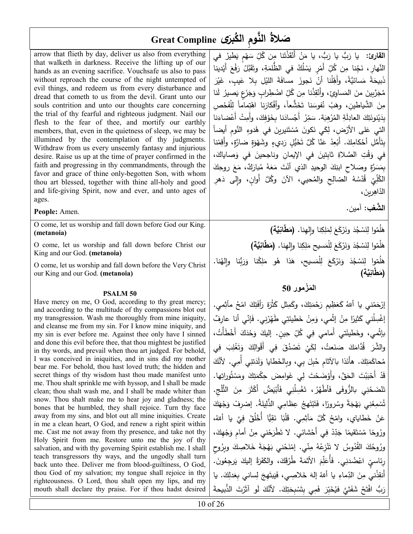arrow that flieth by day, deliver us also from everything that walketh in darkness. Receive the lifting up of our hands as an evening sacrifice. Vouchsafe us also to pass without reproach the course of the night untempted of evil things, and redeem us from every disturbance and dread that cometh to us from the devil. Grant unto our souls contrition and unto our thoughts care concerning the trial of thy fearful and righteous judgment. Nail our flesh to the fear of thee, and mortify our earthly members, that, even in the quietness of sleep, we may be illumined by the contemplation of thy judgments. Withdraw from us every unseemly fantasy and injurious desire. Raise us up at the time of prayer confirmed in the faith and progressing in thy commandments, through the favor and grace of thine only-begotten Son, with whom thou art blessed, together with thine all-holy and good and life-giving Spirit, now and ever, and unto ages of ages.

**People:** Amen.

O come, let us worship and fall down before God our King. **(metanoia)**

O come, let us worship and fall down before Christ our King and our God. **(metanoia)**

O come, let us worship and fall down before the Very Christ our King and our God. **(metanoia)**

#### **PSALM 50**

Have mercy on me, O God, according to thy great mercy; and according to the multitude of thy compassions blot out my transgression. Wash me thoroughly from mine iniquity, and cleanse me from my sin. For I know mine iniquity, and my sin is ever before me. Against thee only have I sinned and done this evil before thee, that thou mightest be justified in thy words, and prevail when thou art judged. For behold, I was conceived in iniquities, and in sins did my mother bear me. For behold, thou hast loved truth; the hidden and secret things of thy wisdom hast thou made manifest unto me. Thou shalt sprinkle me with hyssop, and I shall be made clean; thou shalt wash me, and I shall be made whiter than snow. Thou shalt make me to hear joy and gladness; the bones that be humbled, they shall rejoice. Turn thy face away from my sins, and blot out all mine iniquities. Create in me a clean heart, O God, and renew a right spirit within me. Cast me not away from thy presence, and take not thy Holy Spirit from me. Restore unto me the joy of thy salvation, and with thy governing Spirit establish me. I shall teach transgressors thy ways, and the ungodly shall turn back unto thee. Deliver me from blood-guiltiness, O God, thou God of my salvation; my tongue shall rejoice in thy righteousness. O Lord, thou shalt open my lips, and my mouth shall declare thy praise. For if thou hadst desired

ُ **القارئ:**<sup>ف</sup> َطیر ْ ٍم � َه ِ س ّ ُل ِن � َنا م َ ْذت ْق ْ أَن َن َ ُّب، �ا م �ا ر ي َ ُّب �ا ر النَّهارِ ، نَجِّنا مِن كُلِّ أَمْرٍ يَسْلُكُ في الظُّلمَةِ، وتَقَبَّلُ رَفْعَ أَيْدينا<br>. ْ َ ذَبيحَةً مَسائيَّةً، وأَهِّلْنا أَنْ نَجوزَ مسافَةَ الليْلِ بِلا عَيبٍ، غَيْرَ<br>. مُجَرَّبِينَ منَ المَساوِئِ، وأَنْقِذْنا مِن كُلِّ اضْطِرابٍ وَجَزَعٍ يَصيرُ لَنا َ َّ الش ً ْ ، وأف ِن َ م ُّشعا َخ َ نا ت ُفوس ْ ن َب ْ ِ �اطین، وه ْ كار ِص َنا اه َح ْلف ِ ً ل ِماما ت **ٔ** َی ْ أَ ِبد ِر ّ َم َة. س ِه� ُر ِ الم َة ِ ل َ العاد ِك ت َ <sup>ج</sup> نا ْ نون ْضاء ِ ْت أَع ،َ وأَم ِفك َو َ ِ نا �خ ساد .<br>أ َ ْ التي عَلى الأرْضِ، لِكَي نَكونَ مُسْتَنيرينَ في هُدوءِ النَّومِ أيضاً<br>وَأَسْتَنْفُسُونَ مِنْ الْجَمَعِينَ فِي الْجَمَعَةِ مِنْ النَّاسِمِ الْمَسْلَمِينَ فِي الْمَسْلَمِينَ فَي الْم **ٔ** بِتَأَمُّلِ أَحْكامِكَ. أَبْعِدْ عَنّا كُلَّ تَخَيُّلٍ رَديءٍ وشَهْوَةٍ ضارَّةٍ، وأُقِمْنا في وَقْتِ الصَّلاةِ ثابِتينَ في الإيمانِ وناجحينَ في وَصاياكَ، َ بِمَسَرَّةٍ وصَلاحِ ابنِكَ الوحيدِ الذي أنْتَ مَعَهُ مُبارَكٌ، مَعَ روحِكَ<br>وَيَسَمَّدُ اللَّهُ عَلَيْهِ اللَّهُ اللَّهُ اللَّهُ عَلَيْهِ مَعَهُمْ اللَّهُ عَلَيْهِ وَاللَّهُ اللَّهُ عَلَ الْكُلِّيِّ قُدْسُهُ الصّالِحِ والمُحيي، الآنَ وكُلَّ أَوانٍ، وإِلى دَهرِ<br>ّدِّدَ الدّاهِرينَ،

> **َّ الشعب:** آمین.**ْ**

هَلُمّوا لِنَسْجُدَ ونَرْكَعَ لِمَلِكِنا وإِلمِينا. (مَ**طَّانِيَّة)** َ هَلُمّوا لِنَسْجُدَ وَنَرْكَعَ لِلْمَسيح مَلِكِنا وإِلهِنا. **(مَطَّانِيَّة)** َ هَلُمّوا لِنَسْجُدَ وَنَرْكَعَ لِلْمَسيح، هَذا هُو مَلِكُنا وَرَبُّنا وإِلهُنا.<br>\ قَرْيَقَةٌ َ (مَطَّانِيَّة)

### **ال َم ْزمور 50**

**ٔ** إرْحَمْني يا أللهُ كَعَظِيمِ رَحْمَتِكَ، وكَمِثْلِ كَثْرَة رَأَفَتِكَ امْحُ مآثِميٍ. إغْسِلْني كَثيرًا مِنْ إِثْمي، وَمِنْ خَطيئتِي طَهِّرْنِي. فَإِنّي أنا عارِف .<br>ا خَطْيئتِي طَهِّرْنِي. فَإِنِّي أنا عارِفٌ ْ بإثْمي، وخَطيئَتي أَمامي فِي كُلِّ حِينٍ. إليكَ وَحْدَكَ أَخْطَأْتُ، .<br>م والشَّرَ قُدَّامَكَ صَنَعتُ، لِكَيْ تَصْدُقَ فِي أَقْوالِكَ وَتَغْلِبَ فِي<br>. مُحاكَمَتِكَ. هأَنَذا بالآثامِ حُبِلَ بِي، وبِالخَطايا وَلَدَتنِي أُمِي. لأنَّكَ ً<br>ً .<br>-قَدْ أَحْبَبْتَ الحَقَّ، وأَوْضَحْتَ لِي غَوامِضَ حِكْمَتِكَ ومَسْتُوراتِها. . Ì تَنْصَحُنِي بالزُّوفَى فَأَطْهُرُ ، تَغْسِلُنِي فَأَبْيَضُ أَكْثَرَ مِنَ الثَّلْجِ.<br>-ْ ْ تُسْمِعُنِي بَهْجَةً وسُرورًا، فَتَبْتَهجُ عِظامِي الذَّلِيلةُ. إصْرِفْ وَجْهَكَ ֺ<u>֓</u> َ عَنْ خَطاياي، وامْحُ كُلَّ مَآثِمِي. قَلْبًا نَقِيًّا أُخْلُقْ فِيَّ يا أللهُ، ورُوهَا مُسْتَقيمًا جَدِّدْ فِي أَحْشائي. لا تَطْرَحْني مِنْ أمامِ وَجْهِكَ، .<br>-<sup>é</sup> ورُوحُكَ القُّدّوسُ لا تَنْزِعْهُ مِنّي. إمْنَحْني بَهْجَةَ خَلاصِكَ وبِرُوحٍ .<br>. <u>ّ</u> رِئاسيِّ اعْضُدنِي. فَأُعَلِّمَ الأثمَةَ طُرُقَكَ، والكَفَرَةُ إليكَ يَرجِعُونَ.<br>يَعْمَدُ السَّلِيِّ أَنقِذْني مِنَ الدِّماءِ يا أللهُ إِلهَ خَلاصِي، فَيَبتَهِجَ لِساني بِعَدلِكَ. يا ـا<br>ـ رَبُّ افْتَحْ شَفَتَيَّ فيُخَبِّرَ فَمِي بِتَسْبِحَتِكَ. لأَنَّكَ لَو آثَرْتَ الذَّبيحةَ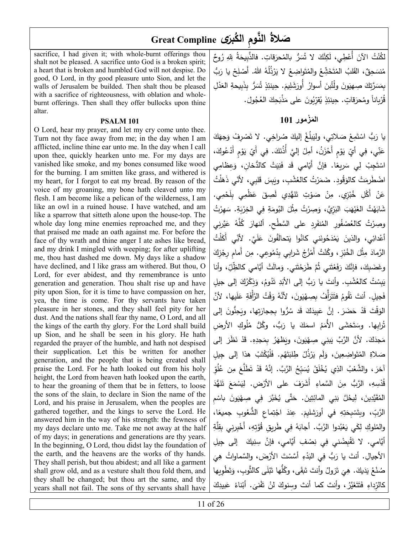sacrifice, I had given it; with whole-burnt offerings thou shalt not be pleased. A sacrifice unto God is a broken spirit; a heart that is broken and humbled God will not despise. Do good, O Lord, in thy good pleasure unto Sion, and let the walls of Jerusalem be builded. Then shalt thou be pleased with a sacrifice of righteousness, with oblation and wholeburnt offerings. Then shall they offer bullocks upon thine altar.

#### **PSALM 101**

O Lord, hear my prayer, and let my cry come unto thee. Turn not thy face away from me; in the day when I am afflicted, incline thine ear unto me. In the day when I call upon thee, quickly hearken unto me. For my days are vanished like smoke, and my bones consumed like wood for the burning. I am smitten like grass, and withered is my heart, for I forgot to eat my bread. By reason of the voice of my groaning, my bone hath cleaved unto my flesh. I am become like a pelican of the wilderness, I am like an owl in a ruined house. I have watched, and am like a sparrow that sitteth alone upon the house-top. The whole day long mine enemies reproached me, and they that praised me made an oath against me. For before the face of thy wrath and thine anger I ate ashes like bread, and my drink I mingled with weeping; for after uplifting me, thou hast dashed me down. My days like a shadow have declined, and I like grass am withered. But thou, O Lord, for ever abidest, and thy remembrance is unto generation and generation. Thou shalt rise up and have pity upon Sion, for it is time to have compassion on her, yea, the time is come. For thy servants have taken pleasure in her stones, and they shall feel pity for her dust. And the nations shall fear thy name, O Lord, and all the kings of the earth thy glory. For the Lord shall build up Sion, and he shall be seen in his glory. He hath regarded the prayer of the humble, and hath not despised their supplication. Let this be written for another generation, and the people that is being created shall praise the Lord. For he hath looked out from his holy height, the Lord from heaven hath looked upon the earth, to hear the groaning of them that be in fetters, to loose the sons of the slain, to declare in Sion the name of the Lord, and his praise in Jerusalem, when the peoples are gathered together, and the kings to serve the Lord. He answered him in the way of his strength: the fewness of my days declare unto me. Take me not away at the half of my days; in generations and generations are thy years. In the beginning, O Lord, thou didst lay the foundation of the earth, and the heavens are the works of thy hands. They shall perish, but thou abidest; and all like a garment shall grow old, and as a vesture shalt thou fold them, and they shall be changed; but thou art the same, and thy years shall not fail. The sons of thy servants shall have

<u>ٔ</u> ُن ْ لك َ أُع ُ وح ُت ٌ الآن ِ ر ّ َ ُة ِ � َِّب�ح َ ِ قات. فالذ ُحر َ ُّر �الم ُس َ لا ت َِّنك َك ِطي، ل .<br>م مُنسَحِقٌ، القَلبُ المُتَخَشِّعُ والمُتَواضِعُ لا يَرْذُلُهُ اللهُ. أَصْلِحْ يا رَبُّ ً<br>ً بِمَسَرَّتِكَ صِهِيَونَ ولْتُبُنَ أسوارُ أُورَشَلِيمَ. حِينئِذٍ تُسَرُّ بِذَبِيحةِ العَدْلِ قُرْباناً ومُحرَقاتٍ . حِينئِذٍ يُقرِّبُونَ على مَذْبَحِكَ العُجُولَ .

### **ال َم ْزمور 101**

ْ يا رَبُّ اسْتَمِعْ صَلاتِي، وليَبلُغْ إليكَ صُراخِي. لا تَصْرِفْ وَجهَكَ عَذِّي، فِي أَيِّ يَوْمٍ أَحْزَنُ، أَمِلْ إِلَيَّ أَذُنَكَ. فِي أَيِّ يَوْمٍ أَدْعُوكَ، َ اسْتَجِبْ لِي سَريعًا. فإنَّ أَيَّامي قَد فَنِيَتْ كالدُّخانِ، وَعِظَامِي اضْطَرِمَتْ كالوَقُودِ. ضَمَرْتُ كالعُشْبِ، ويَبِسَ قَلبِي، لأنّي ذَهَلْتُ َ <u>ّ</u> عَنْ أَكْلِ خُبْزِي. مِنْ صَوْتِ تَنَهُّدِي لَصِقَ عَظْمِي بِلَحْمِي. ْ ثَنَابَهْتُ الغَيْهَبَ الْبَرِّيَّ، وَصِرْتُ مِثْلَ البُومَةِ فِي الْخِرْبَةِ. سَهِرْتُ .<br>أ وصِرْتُ كالعُصْفُورِ المُنفَرِدِ على السَّطْحِ. ألنهارَ كُلَّهُ عَيَّرنِي ْ أعْدائِي، والذينَ يَمْدَحُونَني كانُوا يَتحالَفُونَ عَلَيَّ. لأنِّي أَكَلْتُ الرَّمادَ مِثْلَ الخُبْزِ ، وكُنْتُ أَمْزُجُ شَرابِي بِدُمُوعِي. مِن أَمامِ رِجْزِكَ وغَضَبِكَ، فَإِنَّكَ رَفَعْتَني ثُمَّ طَرَحْتَني. وَمالَتْ أَيَّامي كالظِّلِّ، وأنا ْ ْ يَبِسْتُ كالعُشْبِ. وأنتَ يا رَبُّ إلى الأَبَدِ تَدُومُ، وَذِكْرُكَ إلى جيلٍ .<br>ا <sup>é</sup> فَجيلٍ. أنتَ تَقُومُ فتَتَرَأَّفُ بِصِهْيَونَ، لأَنَّهُ وَقْتُ الرَّأْفَةِ عَلَيها، لأنَّ َ ْ الو َ ق ق َ د إلى َت ْ ِحُّنون َ ِتها، و� َ ُ ُّر ِ وا � ِحجار َد س َ ق َك ِبید َ َ َّ . إن ع َ َضر ح تُٰرابِها. وسَتَخشَى الأُمَمُ اسمَكَ يا رَبُّ، وكُلُّ مُلُوكِ الأَرض*ِ* ً<br>ا ْ مَجدَكَ. لأَنَّ الرَّبَّ يَبنِي صِهْيَونَ، ويَظهَرُ بِمَجدِهِ. قَدْ نَظَرَ إلى į صَلاةِ المُتَواضِعِينَ، وَلَم يَرْذُلْ طِلبَتَهُم. فَلْيُكْتَبْ هذا إلى جِيلٍ ْ آخرَ ، والشَّعْبُ الذِي يُخْلَقُ يُسَبِّحُ الرَّبَّ. إِنَّهُ قَدْ تَطَلَّعَ مِن عُلُوِّ قُدْسِهِ، الرَّبُّ مِنَ السَّماءِ أَشَرَفَ على الأرْضِ. لِيَسْمَعَ تَنَهُّدَ .<br>-المُقَيَّدِينَ، لِيحُلَّ بَنِي المائِتِينَ. حَتَّى يُخَبَّرَ فِي صِهْيَونَ باسْمِ الرَّبِّ، وبِتَسْبِحَتِهِ في أورَشليِمَ. عِندَ اجْتِماعِ الشُّعُوبِ جميعًا، َ َ والمُلوكِ لِكَي يَعْبُدوا الرَّبَّ. أجابَهُ فِي طَريقِ قُوَّتِهِ، أَخْبِرنِي بِقِلَّةِ أَيَّامي. لا تَقْبِضْني فِي نِصْفِ أَيَّامي، فإنَّ سِنِيكَ إلى جِيلِ الأجيالِ. أنتَ يا رَبُّ فِي البَدْءِ أَسَّسْتَ الأَرْضَ، والسَّماواتُ هِيَ<br>-<u>ٔ</u> صُنْعُ يَدَيكَ. هِيَ تَزولُ وأنتَ تَبقَى، وكُلُّها تَبْلَى كالثَّوبِ، وَتَطْوِيها ٔ. <u>:</u> كالرِّداءِ فَتَتَغَيَّرُ، وأَنتَ كما أنتَ وسِنوكَ لنْ تَفْنىَ. أَبْناءُ عَبيدِكَ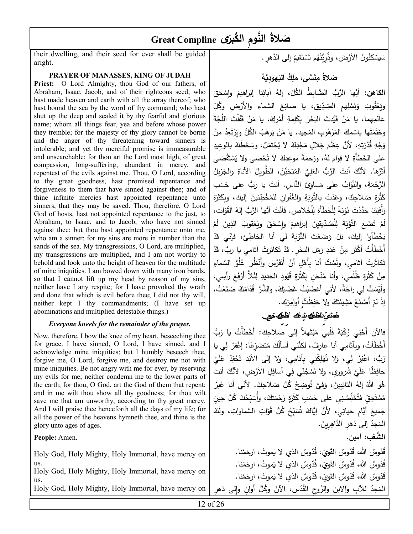their dwelling, and their seed for ever shall be guided aright. َ ْس ْ �س َ الأر ُون ْ كن َس ُم ت ُه ُ َّ إلى الد ِهر. َض ُ ، وذِرَّ�ت ِم َق� ت

#### **PRAYER OF MANASSES, KING OF JUDAH**

**Priest:** O Lord Almighty, thou God of our fathers, of Abraham, Isaac, Jacob, and of their righteous seed; who hast made heaven and earth with all the array thereof; who hast bound the sea by the word of thy command; who hast shut up the deep and sealed it by thy fearful and glorious name; whom all things fear, yea and before whose power they tremble; for the majesty of thy glory cannot be borne and the anger of thy threatening toward sinners is intolerable; and yet thy merciful promise is immeasurable and unsearchable; for thou art the Lord most high, of great compassion, long-suffering, abundant in mercy, and repentest of the evils against me. Thou, O Lord, according to thy great goodness, hast promised repentance and forgiveness to them that have sinned against thee; and of thine infinite mercies hast appointed repentance unto sinners, that they may be saved. Thou, therefore, O Lord God of hosts, hast not appointed repentance to the just, to Abraham, to Isaac, and to Jacob, who have not sinned against thee; but thou hast appointed repentance unto me, who am a sinner; for my sins are more in number than the sands of the sea. My transgressions, O Lord, are multiplied, my transgressions are multiplied, and I am not worthy to behold and look unto the height of heaven for the multitude of mine iniquities. I am bowed down with many iron bands, so that I cannot lift up my head by reason of my sins, neither have I any respite; for I have provoked thy wrath and done that which is evil before thee; I did not thy will, neither kept I thy commandments; (I have set up abominations and multiplied detestable things.)

#### *Everyone kneels for the remainder of the prayer.*

Now, therefore, I bow the knee of my heart, beseeching thee for grace. I have sinned, O Lord, I have sinned, and I acknowledge mine iniquities; but I humbly beseech thee, forgive me, O Lord, forgive me, and destroy me not with mine iniquities. Be not angry with me for ever, by reserving my evils for me; neither condemn me to the lower parts of the earth; for thou, O God, art the God of them that repent; and in me wilt thou show all thy goodness; for thou wilt save me that am unworthy, according to thy great mercy. And I will praise thee henceforth all the days of my life; for all the power of the heavens hymneth thee, and thine is the glory unto ages of ages.

**People:** Amen.

Holy God, Holy Mighty, Holy Immortal, have mercy on us. Holy God, Holy Mighty, Holy Immortal, have mercy on us. Holy God, Holy Mighty, Holy Immortal, have mercy on

### **مَن َّس ُ َص ِ ِ هود َ لاة ِ َ ى، مل َّ�ة ُك الی**

**الكاهن:** أيُّها الرَّبُّ الضَّابِطُ الكُلَّ، إلهُ آبائِنا إبْراهيمَ وإِسْحَقَ<br>. ا<br>ا ويَعْقُوبَ وَنَسْلِهِمِ الصِّدِّيقِ، يا صانِعَ السَّماءِ والأَرْضِ وكُلِّ ْ َ <u>ّ</u> عالَمِهِما، يا مَنْ قَيَّدتَ البَحْرَ بِكَلِمةِ أَمْرِكَ، يا مَنْ قَفَلْتَ اللُجَّةَ<br>. ْ َ ِ ها �اس ت َم َت ْ وخ َر َ الم ِك ُ م ْ ه َن َجید. �ا م َ ِوب الم ُ ُّل و� ُ الك َب َره َ ْ ی ْ رت ِن ُ م ِد ع ْ **ٔ** وَجْهِ قُدْرَتِهِ، لأَنَّ عِظَمَ جَلالٍ مَجْدِكَ لا يُحْتَمَلُ، وسَخَطَكَ بالوعِيدِ<br>-على الخَطَأَةِ لا قِوامَ لَهُ، ورَحمَةَ موعِدِكَ لا تُحْصَى ولا يُسْتَقْصَى َ أَنْزُها. لأَنَّكَ أَنتَ الرَّبُّ العَلِيُّ الْمُتَحَنِّنُ، الطَّويلُ الأَناةِ والجَزيلُ ْ الرَّحْمَةِ، والتَّوَّابُ على مَساوِئِ النَّاسِ. أنتَ يا ربُّ على حَسَبِ<br>" ٔ كَثْرةِ صَـلاحِكَ، وعَدْتَ بِالتَّوبَةِ والغُفْرانِ للمُخْطِئِينَ إليكَ، وبِكَثْرَةِ<br>. .<br>ا َزَأْفَتِكَ حَدَّدْتَ تَوْبَةً لِلْخَطَأَةِ لِلْخَلاص. فأنْتَ أيُها الرَّبُ إلهُ القُوّات،<br>. َ َ لَمْ تَضَعِ التَّوْبَةَ لِلْصّدّيقيِنَ إبراهيمَ وإِسْحَقَ ويَعْقوبَ الذِينَ لَمْ ْ ْ يَخْطَأُوا إِليكَ، بَلْ وَضَعْتَ التَّوْبَةَ لي أنا الخاطِئ، فإنّي قَدْ<br>يَحْفَظَ مَن أَخْطَأْتُ أَكْثَرَ مِنْ عَدَدِ رَمْلِ البَحْرِ . قَدْ تَكاثَرَتْ آثامي يا ربُ، قَدْ <u>َ</u> تَكاثَرَتْ آثامي، ولَسْتُ أنا بِأَهْلٍ أنْ أَتَفَرَّسَ وأَنْظُرَ عُلُوَّ السَّماءِ<br>. <u>ّ</u> مِنْ كَثْرَةِ ظُلْمي، وأنا مُنْحَنٍ بِكَثْرَةِ قُيُودِ الحَديدِ لِئَلاَّ أَرْفَعَ رأسِي،  $\frac{1}{2}$ ولَيْسَتْ لِي راحَةٌ، لأني أغضَبْتُ غَضَبَكَ، والشَّرَّ قُدَّامَكَ صَنَعْتُ،<br>وأي تَصْبَعَثُ **ٔ** ٔ ا<br>ا إِذْ لَمْ أَصْنَعْ مَشِيئتَكَ ولا حَفِظْتُ أوامِرَك.

# ر<br>مَصْنُتِيِّ لق*ظتُكِ بِدُ*طِ ال*خلطِ خي*جِ<br>مَصْنَتِيِّ بِمَصْنَتِيْتِ مَصْنَ

ْ فالآنَ أُحْنِي رُكْبَةَ قَلْبي مُبْتَهِلاً إلى صَلاحِكَ: أَخْطَأْتُ يا رَبُّ<br>يَسْمَدُونَ الْمَسْمَعِينَ مَنْ أَسْمَدَ مِنْ الْمَسْمَدِ الْمَسْمَدِينَ مِنْ الْمَسْمَلَةِ فَلَا تَبَّلُّ الْ أَخْطَأتُ، وبِأثامِي أنا عارِفٌ، لكنَّني أسألُكَ مُتضَرِّعًا: إغْفِرْ لِي يا رَبُّ، اغْفِرْ لِي، وَلا تُهْلِكْني بِأَثامِي، ولا إلى الأَبَدِ تَحْقِدْ عَلَيَّ ْ حافِظًا عَلَيَّ شُروري، ولا تَسْجُنِّي فِي أسافِلِ الأَرْضِ، لأَنَّكَ أنتَ َ هُو اللهُ إلهُ التائِبِينَ، وَفيَّ تُوضِحُ كُلَّ صَلاحِكَ. لأنّي أنا غَيرُ ْ مُسْتَحِقٍّ فتُخَلِّصُنِي على حَسَبِ كَثْرَةِ رَحْمَتكَ، وأُسَبِّحُكَ كُلَّ حِينٍ جَميعَ أَيَّامِ حَياتِي، لأَنَّ إِيَّاكَ شُبَتِحُ كُلُّ قُوَّاتِ السَّماواتِ، ولَكَ المَجِدُ إلى دَهرِ الدَّاهِرِينَ.<br>-**عب:** آمین. **ْ َّ الش**

قَدّوسٌ الله، قَدّوسٌ القَويّ، قَدّوسٌ الذي لا يَموتُ، ارحَمْنا.<br>\* قَدّوسٌ الله، قَدّوسٌ القَويّ، قَدّوسٌ الذي لا يَموتُ، ارحَمْنا.<br>\* قَدُّوسٌ الله، قَدُّوسٌ القَويّ، قَدُّوسٌ الذي لا يَموتُ، ارحَمْنا.<br>-المَجدُ للأَبِ والابنِ والرُّوحِ القُدُس، الآنَ وكُلَّ أوانٍ وإِلى دَهرِ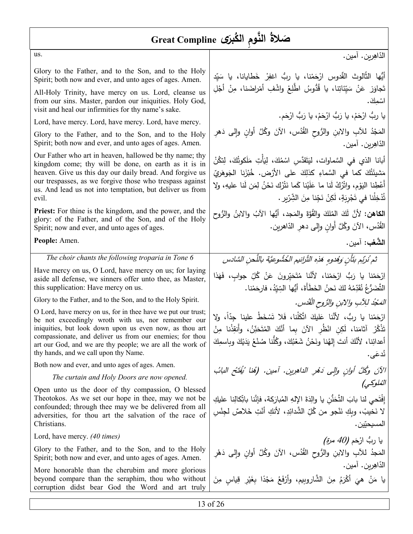| us.                                                                                                                                                                                                                                                                                                                                              | الذّاهِرين. آمين.                                                                                                                                                                                                                                                                                                 |
|--------------------------------------------------------------------------------------------------------------------------------------------------------------------------------------------------------------------------------------------------------------------------------------------------------------------------------------------------|-------------------------------------------------------------------------------------------------------------------------------------------------------------------------------------------------------------------------------------------------------------------------------------------------------------------|
| Glory to the Father, and to the Son, and to the Holy<br>Spirit; both now and ever, and unto ages of ages. Amen.                                                                                                                                                                                                                                  | أَيُّها الثَّالوث القَّدوس ارْحَمْنا، يا ربُّ اغفِرْ خَطايانا، يا سَيِّد                                                                                                                                                                                                                                          |
| All-Holy Trinity, have mercy on us. Lord, cleanse us<br>from our sins. Master, pardon our iniquities. Holy God,<br>visit and heal our infirmities for thy name's sake.                                                                                                                                                                           | تَجاوَز عَنْ سَيِّئاتِنا، يا قُدُّوسُ اطَّلِعْ واشْفِ أمْراضَنا، مِنْ أَجْلِ<br>اسْمِكَ.                                                                                                                                                                                                                          |
| Lord, have mercy. Lord, have mercy. Lord, have mercy.                                                                                                                                                                                                                                                                                            | يا ربُّ ارْحَمْ، يا رَبُّ ارْحَمْ، يا رَبُّ ارْحَم.                                                                                                                                                                                                                                                               |
| Glory to the Father, and to the Son, and to the Holy<br>Spirit; both now and ever, and unto ages of ages. Amen.                                                                                                                                                                                                                                  | المَجْدُ للأَبِ والابنِ والرُّوحِ القُدُس، الآنَ وكُلَّ أُوانٍ وإِلى دَهرِ<br>الدّاهِرين. آمين.                                                                                                                                                                                                                   |
| Our Father who art in heaven, hallowed be thy name; thy<br>kingdom come; thy will be done, on earth as it is in<br>heaven. Give us this day our daily bread. And forgive us<br>our trespasses, as we forgive those who trespass against<br>us. And lead us not into temptation, but deliver us from<br>evil.                                     | أبانا الذي في السَّماوات، ليَتَقَدَّسِ اسْمُكَ، لِيَأْتِ مَلَكوتُكَ، لِتكُنْ<br>مَشْيِئَتُكَ كما في السَّماءِ كذلِكَ على الأَرْض. خُبْزَنا الْجَوهَرِيّ<br>أَعْطِنا اليَوْمِ، واتْرُكْ لَنا ما عَلَيْنا كَما نَتْرُك نَحْنُ لِمَن لَنا عليهِ، ولِا<br>تُدْخِلْنا في تَجْرِبَةٍ، لَكِنْ نَجِّنا مِنَ الشِّرِّيرِ . |
| <b>Priest:</b> For thine is the kingdom, and the power, and the<br>glory: of the Father, and of the Son, and of the Holy<br>Spirit; now and ever, and unto ages of ages.                                                                                                                                                                         | الكاهن: لأنَّ لَكَ المُلكَ والقُوَّةَ والمَجد، أَيُّها الآبُ والابنُ والرُّوحِ<br>القُدُس، الآنَ وكُلَّ أُوانٍ وإِلَى دهرِ الدَّاهرينِ.                                                                                                                                                                           |
| People: Amen.                                                                                                                                                                                                                                                                                                                                    | ا <b>لشَّعْب:</b> آمين.                                                                                                                                                                                                                                                                                           |
| The choir chants the following troparia in Tone 6                                                                                                                                                                                                                                                                                                | ثم ُنرَنِمِ بتَأْنِ وَهُدوءٍ ۚ هَذِهِ التَّرانِيمِ الْخُشُوعِيَّةِ بِاللَّحنِ السَّادِسِ                                                                                                                                                                                                                          |
| Have mercy on us, O Lord, have mercy on us; for laying<br>aside all defense, we sinners offer unto thee, as Master,<br>this supplication: Have mercy on us.                                                                                                                                                                                      | اِرْحَمْنا يا رَبُّ ارْحَمْنا، لأَنَّنا مُتَحَيِّرونَ عَنْ كُلِّ جوابٍ، فَهَذا<br>التَّصَرُّعُ نُقَدِّمُهُ لكَ نَحنُ الخَطَأَةَ، أيُّها السِّيّدُ، فارحَمْنا .                                                                                                                                                    |
| Glory to the Father, and to the Son, and to the Holy Spirit.                                                                                                                                                                                                                                                                                     | المَجْدُ لِلِآبِ والِأبنِ والرُّوحِ الْقُدسِ.                                                                                                                                                                                                                                                                     |
| O Lord, have mercy on us, for in thee have we put our trust;<br>be not exceedingly wroth with us, nor remember our<br>iniquities, but look down upon us even now, as thou art<br>compassionate, and deliver us from our enemies; for thou<br>art our God, and we are thy people; we are all the work of<br>thy hands, and we call upon thy Name. | ارْحَمْنا يا ربُّ، لأنَّنا عَليكَ اتَّكَلْنا، فَلا تَسْخَطْ علينا جدّاً، ولا<br>تَذْكُرْ آثامَنا، لَكِنِ انْظُرِ الآنَ بِما أنَّكَ المُتَحَنِّنُ، وأَنقِذْنا مِنْ<br>أعدائِنا، لأَنَّكَ أنتَ إِلهُنا ونَحْنُ شَعْبُكَ، وكُلُّنا صُنْعُ يَدَيْكَ وباسمِكَ<br>نُدعَى.                                               |
| Both now and ever, and unto ages of ages. Amen.                                                                                                                                                                                                                                                                                                  | الآنَ وكُلِّ أُوانِ وإلى دَهْرِ الداهِرِينِ. آمينِ. (هُنا 'يُفْتَحُ البابُ                                                                                                                                                                                                                                        |
| The curtain and Holy Doors are now opened.                                                                                                                                                                                                                                                                                                       | المُلوكي)                                                                                                                                                                                                                                                                                                         |
| Open unto us the door of thy compassion, O blessed<br>Theotokos. As we set our hope in thee, may we not be<br>confounded; through thee may we be delivered from all<br>adversities, for thou art the salvation of the race of<br>Christians.                                                                                                     | إفْتَحي لنا بابَ التَّحَنُّن يا والِدَةَ الإِلهِ المُبارَكة، فإنَّنا باتِّكالِنا عليكِ<br>لا نَخيبْ، وبِكِ نَنْجو من كُلِّ الشَّدائِدِ، لأنكِ أنْتِ خَلاصٌ لجِنْسِ<br>المسيحيّين .                                                                                                                                |
| Lord, have mercy. (40 times)                                                                                                                                                                                                                                                                                                                     | يا ربُّ ارْحَمِ <i>(40 مرة)</i>                                                                                                                                                                                                                                                                                   |
| Glory to the Father, and to the Son, and to the Holy<br>Spirit; both now and ever, and unto ages of ages. Amen.                                                                                                                                                                                                                                  | المَجدُ للأَبِ والابنِ والرُّوحِ القُدُسِ، الآنَ وكُلَّ أوانٍ وإِلى دَهْرِ                                                                                                                                                                                                                                        |
| More honorable than the cherubim and more glorious<br>beyond compare than the seraphim, thou who without<br>corruption didst bear God the Word and art truly                                                                                                                                                                                     | الدّاهِرين. آمين.<br>يا مَنْ هيَ أَكْرَمُ مِنَ الشَّاروبِيم، وأَرْفَعُ مَجْدًا بِغَيْرِ قِياسٍ مِنَ                                                                                                                                                                                                               |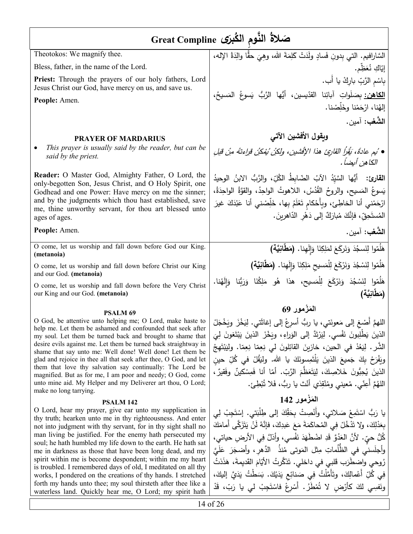|                                                                                                                                                                                                                                                                                                                                                                                                                                                                                                                                                                                                                                                                                                            | صَلاةُ النَّومِ الكُبرَى Great Compline                                                                                                                                                                                                                                                                                                                                                                                                                                                                                                                                     |
|------------------------------------------------------------------------------------------------------------------------------------------------------------------------------------------------------------------------------------------------------------------------------------------------------------------------------------------------------------------------------------------------------------------------------------------------------------------------------------------------------------------------------------------------------------------------------------------------------------------------------------------------------------------------------------------------------------|-----------------------------------------------------------------------------------------------------------------------------------------------------------------------------------------------------------------------------------------------------------------------------------------------------------------------------------------------------------------------------------------------------------------------------------------------------------------------------------------------------------------------------------------------------------------------------|
| Theotokos: We magnify thee.                                                                                                                                                                                                                                                                                                                                                                                                                                                                                                                                                                                                                                                                                | السَّارافيم. التي بِدونِ فَسادٍ ولَدَتْ كَلِمَةَ الله، وهِيَ حقًّا والِدَةُ اﻹله،                                                                                                                                                                                                                                                                                                                                                                                                                                                                                           |
| Bless, father, in the name of the Lord.                                                                                                                                                                                                                                                                                                                                                                                                                                                                                                                                                                                                                                                                    | إِيَّاكِ نُعَظِّم.                                                                                                                                                                                                                                                                                                                                                                                                                                                                                                                                                          |
| Priest: Through the prayers of our holy fathers, Lord<br>Jesus Christ our God, have mercy on us, and save us.                                                                                                                                                                                                                                                                                                                                                                                                                                                                                                                                                                                              | بِاسْمِ الزَّبِّ بارِكْ يا أَب.                                                                                                                                                                                                                                                                                                                                                                                                                                                                                                                                             |
| People: Amen.                                                                                                                                                                                                                                                                                                                                                                                                                                                                                                                                                                                                                                                                                              | ا <u>لكاهن:</u> بِصَلَواتِ   آبائِنا   القدّيسين،   أيُّها   الرَّبُّ   يَسوعُ   المَسيحُ،                                                                                                                                                                                                                                                                                                                                                                                                                                                                                  |
|                                                                                                                                                                                                                                                                                                                                                                                                                                                                                                                                                                                                                                                                                                            | إلهُنا، ارْحَمْنا وخَلِّصْنا.                                                                                                                                                                                                                                                                                                                                                                                                                                                                                                                                               |
|                                                                                                                                                                                                                                                                                                                                                                                                                                                                                                                                                                                                                                                                                                            | الشَّعْبِ: آمين.                                                                                                                                                                                                                                                                                                                                                                                                                                                                                                                                                            |
| <b>PRAYER OF MARDARIUS</b>                                                                                                                                                                                                                                                                                                                                                                                                                                                                                                                                                                                                                                                                                 | ويقول الأفشين الآتى                                                                                                                                                                                                                                                                                                                                                                                                                                                                                                                                                         |
| This prayer is usually said by the reader, but can be<br>said by the priest.                                                                                                                                                                                                                                                                                                                                                                                                                                                                                                                                                                                                                               | ● 'يم عادةَ، يَقِرُا القارئِ هذا الإُفشينِ، ولكنِ 'يمْكنِ قِراءتَهُ منِ قَبِلِ<br>الكاهن أيضاً .                                                                                                                                                                                                                                                                                                                                                                                                                                                                            |
| <b>Reader:</b> O Master God, Almighty Father, O Lord, the                                                                                                                                                                                                                                                                                                                                                                                                                                                                                                                                                                                                                                                  | القارئ:    أيُها  السَّيّدُ  الآبُ  الضّابطُ  الكُلِّ،  والرَّبُّ  الابنُ  الوحيدُ                                                                                                                                                                                                                                                                                                                                                                                                                                                                                          |
| only-begotten Son, Jesus Christ, and O Holy Spirit, one<br>Godhead and one Power: Have mercy on me the sinner;                                                                                                                                                                                                                                                                                                                                                                                                                                                                                                                                                                                             | يَسوعُ المَسيح، والروحُ القُدُسُ، اللاهوتُ الواحِدُ، والقوَّةُ الواحِدَةُ،                                                                                                                                                                                                                                                                                                                                                                                                                                                                                                  |
| and by the judgments which thou hast established, save                                                                                                                                                                                                                                                                                                                                                                                                                                                                                                                                                                                                                                                     | ارْحَمْني أنا الخاطِئ، وبِأَحْكام تَعْلَمُ بِها، خَلِّصْني أنا عَبْدَكَ غيرَ                                                                                                                                                                                                                                                                                                                                                                                                                                                                                                |
| me, thine unworthy servant, for thou art blessed unto<br>ages of ages.                                                                                                                                                                                                                                                                                                                                                                                                                                                                                                                                                                                                                                     | المُستَحِقّ، فإنَّكَ مُبارَكٌ إلى دَهْرِ الدّاهرينَ.                                                                                                                                                                                                                                                                                                                                                                                                                                                                                                                        |
| People: Amen.                                                                                                                                                                                                                                                                                                                                                                                                                                                                                                                                                                                                                                                                                              | الشُّعْب: آمين.                                                                                                                                                                                                                                                                                                                                                                                                                                                                                                                                                             |
| O come, let us worship and fall down before God our King.<br>(metanoia)                                                                                                                                                                                                                                                                                                                                                                                                                                                                                                                                                                                                                                    | هَلُمّوا لِنَسجُدَ وَنَركَعَ لمَلِكِنَا وَإِلَهِنا. (مَطَّانِيَّة)                                                                                                                                                                                                                                                                                                                                                                                                                                                                                                          |
| O come, let us worship and fall down before Christ our King<br>and our God. (metanoia)                                                                                                                                                                                                                                                                                                                                                                                                                                                                                                                                                                                                                     | هَلُمّوا لِنَسْجُدَ وَنَرْكَعَ لِلْمَسيحِ مَلِكِنَا وَإِلَهِنا. (مَطَّانِيَّة)                                                                                                                                                                                                                                                                                                                                                                                                                                                                                              |
| O come, let us worship and fall down before the Very Christ<br>our King and our God. (metanoia)                                                                                                                                                                                                                                                                                                                                                                                                                                                                                                                                                                                                            | هَلُمّوا لِنَسْجُدَ وَنَرْكَعَ لِلْمَسيح، هذا هُو مَلِكُنَا وَرَبُّنا وَإِلَهُنا.<br>(مَطَانِيَّة)                                                                                                                                                                                                                                                                                                                                                                                                                                                                          |
| <b>PSALM 69</b>                                                                                                                                                                                                                                                                                                                                                                                                                                                                                                                                                                                                                                                                                            | المَزْمور 69                                                                                                                                                                                                                                                                                                                                                                                                                                                                                                                                                                |
| O God, be attentive unto helping me; O Lord, make haste to<br>help me. Let them be ashamed and confounded that seek after<br>my soul. Let them be turned back and brought to shame that<br>desire evils against me. Let them be turned back straightway in<br>shame that say unto me: Well done! Well done! Let them be<br>glad and rejoice in thee all that seek after thee, O God, and let<br>them that love thy salvation say continually: The Lord be<br>magnified. But as for me, I am poor and needy; O God, come<br>unto mine aid. My Helper and my Deliverer art thou, O Lord;<br>make no long tarrying.                                                                                           | اللهمَّ أَصْغِ إلى مَعونَتي، يا ربُّ أَسرِعْ إلى إغاثَتي. لِيَخْزَ ويَخْجَلْ<br>الذينَ يَطْلِبونَ نَفْسي. لِيَرْتَدَّ إلى الوَراءِ، ويَخْزَ الذينَ يَبْتَغونَ لِيَ<br>الشُّرِ . لِيَعُدْ في الحينِ، خازِينَ القائِلونَ لي نِعِمّا نِعِمّا. ولِيَبْتَهِجْ<br>ويَفْرَحْ بِكَ جَميعَ الذينَ يَلْتَمِسونَكَ يا الله. وليَقُلْ في كُلِّ حينِ<br>الذينَ يُحِبُّونَ خَلاصِكَ، لِيَتَعَظَّمَ الرَّبِّ. أَمّا أَنا فَمِسْكينٌ وفَقيرٌ،<br>اللَّهُمَّ أُعِنِّي. مُعيني ومُنْقِذي أَنْتَ يا رِبُّ، فَلا تُبْطِئ.                                                                       |
| <b>PSALM 142</b>                                                                                                                                                                                                                                                                                                                                                                                                                                                                                                                                                                                                                                                                                           | المَزْمور 142                                                                                                                                                                                                                                                                                                                                                                                                                                                                                                                                                               |
| O Lord, hear my prayer, give ear unto my supplication in<br>thy truth; hearken unto me in thy righteousness. And enter<br>not into judgment with thy servant, for in thy sight shall no<br>man living be justified. For the enemy hath persecuted my<br>soul; he hath humbled my life down to the earth. He hath sat<br>me in darkness as those that have been long dead, and my<br>spirit within me is become despondent; within me my heart<br>is troubled. I remembered days of old, I meditated on all thy<br>works, I pondered on the creations of thy hands. I stretched<br>forth my hands unto thee; my soul thirsteth after thee like a<br>waterless land. Quickly hear me, O Lord; my spirit hath | يا رَبُّ اسْتَمِعْ صَلاتي، وأَنْصِتْ بِحَقِّكَ إلى طِلْبَتي. إسْتَجِبْ لِي<br>بِعَدْلِكَ، ولا تَدْخُلْ فِي المُحاكَمَةَ مَعَ عَبِدِكَ، فإِنَّهُ لَنْ يَتَزَكَّى أَمامَكَ<br>كُلُّ حيِّ. لأنَّ العَدُوَّ قَدِ اصْطَهَدَ نَفْسي، وأذلَّ فِي الأرضِ حياتي،<br>وأجلَسني في الظُّلُماتِ مِثل المَوتي مُنذُ الدَّهرِ ، وأضجَرَ عَلَيَّ<br>رُوحي واضطَرَب قَلبي في داخلي. تَنكَّرتُ الأَيّامَ القَديِمةَ، هَذَذتُ<br>فِي كُلِّ أَعْمالِكَ، وتَأْمَّلْتُ فِي صَنائِعِ يَدَيْكَ. بَسَطْتُ يَدَيَّ إِليكَ،<br>ونَفسِي لَكَ كَأَرْضٍ لا تُمْطَرُ. أَسْرِعْ فاسْتَجِبْ لي يا رَبّ، قَدْ |
|                                                                                                                                                                                                                                                                                                                                                                                                                                                                                                                                                                                                                                                                                                            | 14 of 26                                                                                                                                                                                                                                                                                                                                                                                                                                                                                                                                                                    |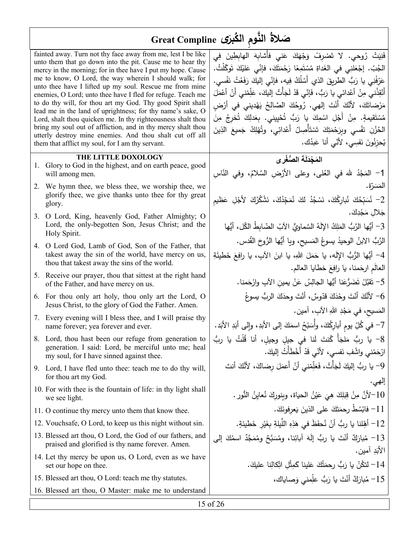|                                                                                                                                                                                                                                                                                                                                                                                                                                                                                                                                                                                                                                                                                                                                                          | صَلاةُ النَّومِ الكُبرَى Great Compline                                                                                                                                                                                                                                                                                                                                                                                                                                                                                                                                                                                       |
|----------------------------------------------------------------------------------------------------------------------------------------------------------------------------------------------------------------------------------------------------------------------------------------------------------------------------------------------------------------------------------------------------------------------------------------------------------------------------------------------------------------------------------------------------------------------------------------------------------------------------------------------------------------------------------------------------------------------------------------------------------|-------------------------------------------------------------------------------------------------------------------------------------------------------------------------------------------------------------------------------------------------------------------------------------------------------------------------------------------------------------------------------------------------------------------------------------------------------------------------------------------------------------------------------------------------------------------------------------------------------------------------------|
| fainted away. Turn not thy face away from me, lest I be like<br>unto them that go down into the pit. Cause me to hear thy<br>mercy in the morning; for in thee have I put my hope. Cause<br>me to know, O Lord, the way wherein I should walk; for<br>unto thee have I lifted up my soul. Rescue me from mine<br>enemies, O Lord; unto thee have I fled for refuge. Teach me<br>to do thy will, for thou art my God. Thy good Spirit shall<br>lead me in the land of uprightness; for thy name's sake, O<br>Lord, shalt thou quicken me. In thy righteousness shalt thou<br>bring my soul out of affliction, and in thy mercy shalt thou<br>utterly destroy mine enemies. And thou shalt cut off all<br>them that afflict my soul, for I am thy servant. | فَنِيَتْ رُوحى. لا تَصْرِفْ وَجْهَكَ عَنى فأُشابِهَ الهابِطِينَ فِى<br>الجُبّ. إجْعَلنِي في الغَداةِ مُسْتَمِعًا رَحْمَتَكَ، فإنّي عَلَيْكَ تَوكّلْتُ.<br>عَرِّفْنِي يا رَبُّ الطريقَ الذي أَسْلُكُ فِيه، فإنِّي إليكَ رَفَعْتُ نَفْسى.<br>أَنْقِذْني مِنْ أَعْدائي يا رَبُّ، فَإِنِّي قَدْ لَجَأْتُ إِليكَ، عَلِّمْني أَنْ أَعْمَلَ<br>مَرْضاتَكَ، لأَنَّكَ أَنْتَ إِلهي. رُوحُكَ الصَّالِحُ يَهْديني في أَرْضِ<br>مُسْتَقيمةٍ. مِنْ أَجْلِ اسْمِكَ يا رَبُّ تُحْيِيني. بِعَدلِكَ تُحْرِجُ مِنَ<br>الْحُزْنِ نَفْسي وبِرَحْمَتِكَ تَسْتَأْصِلُ أَعْدائِي، وتُهْلِكُ جَميعَ الذِينَ<br>يُحزِنُونَ نَفسِي، لأَنّي أنا عَبِدُك. |
| THE LITTLE DOXOLOGY<br>1. Glory to God in the highest, and on earth peace, good<br>will among men.                                                                                                                                                                                                                                                                                                                                                                                                                                                                                                                                                                                                                                                       | المَجْدَلَة الصُّغْرِي<br>1– المَجْدُ لله في العُلى، وعلى الأرْضِ السَّلامُ، وفي النَّاسِ                                                                                                                                                                                                                                                                                                                                                                                                                                                                                                                                     |
| 2. We hymn thee, we bless thee, we worship thee, we<br>glorify thee, we give thanks unto thee for thy great<br>glory.                                                                                                                                                                                                                                                                                                                                                                                                                                                                                                                                                                                                                                    | المَسَرّة.<br>2– نُسَبِّحُكَ نُبارِكُكَ، نَسْجُدُ لكَ نُمَجِّدُكَ، نَشْكُرُكَ لأَجْلِ عَظيم                                                                                                                                                                                                                                                                                                                                                                                                                                                                                                                                   |
| 3. O Lord, King, heavenly God, Father Almighty; O<br>Lord, the only-begotten Son, Jesus Christ; and the<br>Holy Spirit.                                                                                                                                                                                                                                                                                                                                                                                                                                                                                                                                                                                                                                  | جَلالِ مَجْدِكَ.<br>3– أَيُّها الرَّبُّ المَلِكُ الإِلَهُ السَّماوِيُّ الآبُ الضّابطُ الكُل، أيُّها                                                                                                                                                                                                                                                                                                                                                                                                                                                                                                                           |
| 4. O Lord God, Lamb of God, Son of the Father, that<br>takest away the sin of the world, have mercy on us,<br>thou that takest away the sins of the world.                                                                                                                                                                                                                                                                                                                                                                                                                                                                                                                                                                                               | الرَّبُّ الابنُ الوحيدُ يسوعُ المَسيحِ، ويا أيُّها الرُّوحَ القُدس.<br>4– أَيُّها الرُّبُّ الإِلَه، يا حَمَلَ اللهِ، يا ابنَ الآبِ، يا رافِعَ خَطيئَةِ<br>العالَمِ ارحَمنا، يا رافِعَ خطايا العالم.                                                                                                                                                                                                                                                                                                                                                                                                                           |
| 5. Receive our prayer, thou that sittest at the right hand<br>of the Father, and have mercy on us.                                                                                                                                                                                                                                                                                                                                                                                                                                                                                                                                                                                                                                                       | 5– تَقَبَّلْ تَضَرُّعَنا أَيُّها الجالِسُ عَنْ يمينِ الآبِ وارْحَمنا.                                                                                                                                                                                                                                                                                                                                                                                                                                                                                                                                                         |
| 6. For thou only art holy, thou only art the Lord, O<br>Jesus Christ, to the glory of God the Father. Amen.                                                                                                                                                                                                                                                                                                                                                                                                                                                                                                                                                                                                                                              | 6– لأَنَّكَ أَنْتَ وحْدَكَ قدّوسٌ، أَنْتَ وحدَكَ الربُّ يسوعُ<br>المَسيح، في مَجْدِ اللهِ الآبِ، آمين.                                                                                                                                                                                                                                                                                                                                                                                                                                                                                                                        |
| 7. Every evening will I bless thee, and I will praise thy<br>name forever; yea forever and ever.                                                                                                                                                                                                                                                                                                                                                                                                                                                                                                                                                                                                                                                         | 7– في كُلِّ يومٍ أبارِكُكَ، وأَسَبّحُ اسمَكَ إلى الأبدِ، وإلى أبَدِ الأبَد.                                                                                                                                                                                                                                                                                                                                                                                                                                                                                                                                                   |
| 8. Lord, thou hast been our refuge from generation to<br>generation. I said: Lord, be merciful unto me; heal<br>my soul, for I have sinned against thee.                                                                                                                                                                                                                                                                                                                                                                                                                                                                                                                                                                                                 | 8– يا ربُّ مَلجَأٌ كُنتَ لَنا في جيلٍ وجيلٍ، أنا قُلْتُ يا ربُّ<br>ارْحَمْني واشْفِ نَفسي، لأنّي قَدْ أَخْطَأَتُ إليكَ.                                                                                                                                                                                                                                                                                                                                                                                                                                                                                                       |
| 9. Lord, I have fled unto thee: teach me to do thy will,<br>for thou art my God.                                                                                                                                                                                                                                                                                                                                                                                                                                                                                                                                                                                                                                                                         | 9– يا رِبُ إليكَ لَجَأْتُ، فَعَلِّمْني أَنْ أَعمَلَ رِضاكَ، لأَنَّكَ أَنتَ<br>إلهي.                                                                                                                                                                                                                                                                                                                                                                                                                                                                                                                                           |
| 10. For with thee is the fountain of life: in thy light shall<br>we see light.                                                                                                                                                                                                                                                                                                                                                                                                                                                                                                                                                                                                                                                                           | 10–لأَنَّ مِنْ قِبَلِكَ هِيَ عَيْنُ الْحياة، وبِنوركَ نُعايِنُ النُّورِ .                                                                                                                                                                                                                                                                                                                                                                                                                                                                                                                                                     |
| 11. O continue thy mercy unto them that know thee.                                                                                                                                                                                                                                                                                                                                                                                                                                                                                                                                                                                                                                                                                                       | 11– فابْسُطْ رحمَتَكَ على الذينَ يَعرفونَكَ.                                                                                                                                                                                                                                                                                                                                                                                                                                                                                                                                                                                  |
| 12. Vouchsafe, O Lord, to keep us this night without sin.                                                                                                                                                                                                                                                                                                                                                                                                                                                                                                                                                                                                                                                                                                | 12– أَهِّلنا يا رِبُّ أَنْ نُحفَظَ في هَذِهِ اللَّيلةِ بغَيْرِ خَطيئةٍ.                                                                                                                                                                                                                                                                                                                                                                                                                                                                                                                                                       |
| 13. Blessed art thou, O Lord, the God of our fathers, and<br>praised and glorified is thy name forever. Amen.                                                                                                                                                                                                                                                                                                                                                                                                                                                                                                                                                                                                                                            | 13– مُبارَكٌ أَنْتَ يا ربُّ إِلَهَ آبائِنا، ومُسَبَّحٌ ومُمَجَّدٌ اسمُكَ إِلى<br>الأبَدِ آمين.                                                                                                                                                                                                                                                                                                                                                                                                                                                                                                                                |
| 14. Let thy mercy be upon us, O Lord, even as we have<br>set our hope on thee.                                                                                                                                                                                                                                                                                                                                                                                                                                                                                                                                                                                                                                                                           | 14– لتكُنْ يا رَبُ رحمَتُكَ عَلينا كَمِثْلِ اتِّكالِنا عليكَ.                                                                                                                                                                                                                                                                                                                                                                                                                                                                                                                                                                 |
| 15. Blessed art thou, O Lord: teach me thy statutes.                                                                                                                                                                                                                                                                                                                                                                                                                                                                                                                                                                                                                                                                                                     | 15– مُبارَكٌ أَنْتَ يا رَبُّ علِّمني وَصاياك،                                                                                                                                                                                                                                                                                                                                                                                                                                                                                                                                                                                 |
| 16. Blessed art thou, O Master: make me to understand                                                                                                                                                                                                                                                                                                                                                                                                                                                                                                                                                                                                                                                                                                    |                                                                                                                                                                                                                                                                                                                                                                                                                                                                                                                                                                                                                               |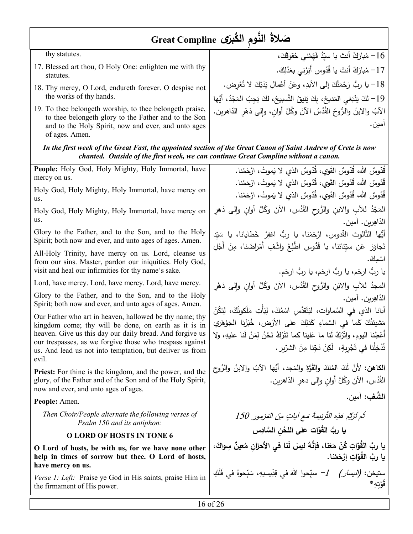16– مُبارَكٌ أَنتَ يا سيِّدُ فَهِّمْني حُقوقَكَ،

17 - مُبارَكٌ أنتَ يا قُدّوس أَنِرْني بعَدْلِكَ.

َ

آمین.

18– يا ربُّ رَحْمَتُكَ إلى الأبدِ، وعَنْ أَعْمالِ يَدَيْكَ لا تُعْرِض.

19– لكَ يَنْبَغي المَديحُ، بِكَ يَليقُ التَّسبيحُ، لكَ يَجِبُ المَجْدُ، أَيُها<br>-

الآبُ والابنُ والرُّوحُ القُدُسُ الآنَ وكُلَّ أُوانٍ، وإِلَى دَهْرِ الدَّاهرين.

thy statutes.

- 17. Blessed art thou, O Holy One: enlighten me with thy statutes.
- 18. Thy mercy, O Lord, endureth forever. O despise not the works of thy hands.
- 19. To thee belongeth worship, to thee belongeth praise, to thee belongeth glory to the Father and to the Son and to the Holy Spirit, now and ever, and unto ages of ages. Amen.

*In the first week of the Great Fast, the appointed section of the Great Canon of Saint Andrew of Crete is now chanted. Outside of the first week, we can continue Great Compline without a canon.*

**People:** Holy God, Holy Mighty, Holy Immortal, have mercy on us. Holy God, Holy Mighty, Holy Immortal, have mercy on us. Holy God, Holy Mighty, Holy Immortal, have mercy on us. Glory to the Father, and to the Son, and to the Holy Spirit; both now and ever, and unto ages of ages. Amen. All-Holy Trinity, have mercy on us. Lord, cleanse us from our sins. Master, pardon our iniquities. Holy God, visit and heal our infirmities for thy name's sake. Lord, have mercy. Lord, have mercy. Lord, have mercy. Glory to the Father, and to the Son, and to the Holy Spirit; both now and ever, and unto ages of ages. Amen. Our Father who art in heaven, hallowed be thy name; thy kingdom come; thy will be done, on earth as it is in heaven. Give us this day our daily bread. And forgive us our trespasses, as we forgive those who trespass against us. And lead us not into temptation, but deliver us from evil. **Priest:** For thine is the kingdom, and the power, and the glory, of the Father and of the Son and of the Holy Spirit, now and ever, and unto ages of ages. **People:** Amen. قَدّوسٌ الله، قَدّوسٌ القَوِي، قَدّوسٌ الذي لا يَموتُ، ارْحَمْنا.<br>\* قَدّوسٌ الله، قَدّوسٌ القَوي، قَدّوسٌ الذي لا يَموتُ، ارْحَمْنا .<br>و قَدّوسٌ الله، قَدّوسٌ القَوي، قَدّوسٌ الذي لا يَموتُ، ارْحَمْنا .<br>-المَجْدُ للآبِ والابنِ والرُّوحِ القُدُس، الآنَ وكُلَّ أوانٍ وإِلى دَهرِ الدّاهِرين. آمين<mark>.</mark> أَيُّها الثَّالوث القّدوس، ارْحَمْنا، يا ربُّ اغفِرْ خَطايانا، يا سَيِّدِ<br>أ ً<br>ً تَجاوَز عَن سيِّئاتنا، يا قُدُّوس اطَّلِعْ واشْفِ أَمْراضَنا، مِنْ أَجْلِ اسْمِكَ.<br>م يا ربُّ ارحَم، يا ربُّ ارحَم، يا ربُّ ارحَم. المجدُ للأبِ والابْنِ والرُّوحِ القُدُس، الآنَ وكُلَّ أوانٍ وإِلى دَهْرِ الدّاهِرين. آمين<mark>.</mark> أبانا الذي في السَّماوات، ليَتَقَدَّسِ اسْمُكَ، لِيَأْتِ مَلَكوتُكَ، لِتكُنْ َ مَشْيئتُكَ كَما في السَّماءِ كَذَلِكَ على الأَرْض، خُبْزَنا الجَوْهَ*رَي*<br>ءَ ْ أَعْطِنا اليوم، واتْرُكْ لَنا ما عَلينا كما نَتْرُكُ نَحْنُ لِمَنْ لَنا عليهِ، ولا<br>... َ تُدْخِلْنا في تَجْرِبةٍ، ۖ لَكِنْ نَجِّنا مِنَ الشرّيرِ . **الكاهن:** لأنَّ أَكَ الْمُلكَ والقَوَّةَ والمَجد، أَيُّها الآبُ والابنُ والرُّوحِ<br>المُما الْقُدُس، الآنَ وكُلَّ أُوانٍ وإِلَى دهرِ الدّاهرين. **عب:** آمین. **ْ َّ الش** *Then Choir/People alternate the following verses of Psalm 150 and its antiphon:* **O LORD OF HOSTS IN TONE 6 O Lord of hosts, be with us, for we have none other help in times of sorrow but thee. O Lord of hosts, have mercy on us.**  *Verse 1: Left:* Praise ye God in His saints, praise Him in the firmament of His power. ثُم ُنَرَيْمِ هَذِهِ التَّرنيمةَ مَع آباتٍ منَ المَزمورِ. 150 يا ربَّ القُوّات على اللحْنِ السَّادِسِ<br>' يا ربَّ القُوّاتِ كُنْ مَعَنا، فإنَّهُ ليسَ لَنا في الأحزانِ مُعينٌ سِواكَ،<br>مستَّسَاسُ المُكتبِ الصَّائِبِ الله يا ربَّ ا<mark>لقُوَ</mark>اتِ اِرْحَمْنا. ستي<u>خن</u>: *(البيمار ) 1−* سبِّحوا اللهَ في قِدِّيسيهِ، سَبِّحوهُ في فَلَكِ<br>مُصَدِّد \*ِ َُّوِته ق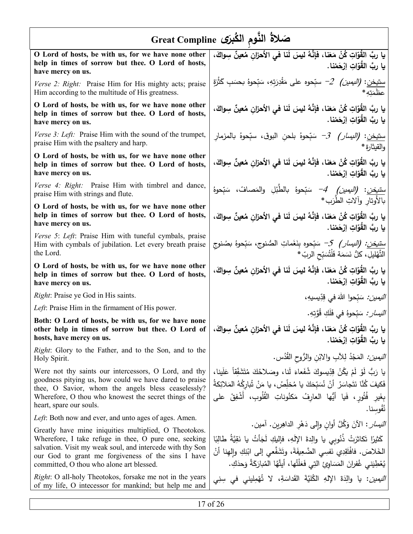| صَلاةُ النَّومِ الكُبرَى Great Compline                                                                                                                                                                                                                                       |                                                                                                                                                                                                                                                                          |
|-------------------------------------------------------------------------------------------------------------------------------------------------------------------------------------------------------------------------------------------------------------------------------|--------------------------------------------------------------------------------------------------------------------------------------------------------------------------------------------------------------------------------------------------------------------------|
| O Lord of hosts, be with us, for we have none other<br>help in times of sorrow but thee. O Lord of hosts,<br>have mercy on us.                                                                                                                                                | يا ربَّ القُوَّاتِ كُنْ مَعَنا، فإنَّهُ ليسَ لَنا في الأحزانِ مُعينٌ سِواكَ،<br>يا ربَّ القُوّاتِ اِرْحَمْنا.                                                                                                                                                            |
| Verse 2: Right: Praise Him for His mighty acts; praise<br>Him according to the multitude of His greatness.                                                                                                                                                                    | <u>ستيخن</u> : <i>(اليمين)  2−</i> سبِّحوه على مَقْدِرَتِهِ، سَبِّحوهُ بحسَبِ كَثْرَةِ<br>عظَمَتهِ *                                                                                                                                                                     |
| O Lord of hosts, be with us, for we have none other<br>help in times of sorrow but thee. O Lord of hosts,<br>have mercy on us.                                                                                                                                                | يا ربَّ القُوّاتِ كُنْ مَعَنا، فإنَّهُ ليسَ لَنا في الأحزانِ مُعينٌ سِواكَ،<br>ِ يا ربَّ القُوّاتِ اِرْحَمْنا.                                                                                                                                                           |
| Verse 3: Left: Praise Him with the sound of the trumpet,<br>praise Him with the psaltery and harp.                                                                                                                                                                            | ست <u>يخن</u> : <i>(اليمار)  3-</i> سَبِّحوهُ بلحنِ البوق، سبِّحوهُ بالمزمارِ<br>والقيثارة *                                                                                                                                                                             |
| O Lord of hosts, be with us, for we have none other<br>help in times of sorrow but thee. O Lord of hosts,<br>have mercy on us.                                                                                                                                                | يا ربَّ القُوّاتِ كُنْ مَعَنا، فإنَّهُ ليسَ لَنا في الأحزانِ مُعينٌ سِواكَ،<br>يا ربَّ القُوّاتِ اِرْحَمْنا.                                                                                                                                                             |
| Verse 4: Right: Praise Him with timbrel and dance,<br>praise Him with strings and flute.                                                                                                                                                                                      | <i>ستي<u>خن</u>: (اليمين) 4−</i> سَبِّحوهُ بالطَّبْلِ والمَصـافّ، سَبِّحوهُ<br>بالأَوتارِ وآلاتِ الطَّرَب*                                                                                                                                                               |
| O Lord of hosts, be with us, for we have none other<br>help in times of sorrow but thee. O Lord of hosts,<br>have mercy on us.                                                                                                                                                | يا ربَّ القُوّاتِ كُنْ مَعَنا، فإنَّهُ ليسَ لَنا في الأحزانِ مُعينٌ سِواكَ،<br>يا ربَّ القُوّاتِ اِرْحَمْنا.                                                                                                                                                             |
| Verse 5: Left: Praise Him with tuneful cymbals, praise<br>Him with cymbals of jubilation. Let every breath praise<br>the Lord.                                                                                                                                                | ستيخرَ: (البي <i>سار) 5</i> – سَبِّحوه بِنَغَماتِ الصُّنوجِ، سَبِّحوهُ بصُنوجِ<br>التَّهْليلِ، كَلُّ نَسَمَة فَلْتُسَبِّحِ الربِّ *                                                                                                                                      |
| O Lord of hosts, be with us, for we have none other<br>help in times of sorrow but thee. O Lord of hosts,<br>have mercy on us.                                                                                                                                                | يا ربَّ القُوّاتِ كُنْ مَعَنا، فإنَّهُ ليسَ لَنا في الأحزانِ مُعينٌ سِواكَ،<br>يا ربَّ القُوّاتِ اِرْحَمْنا.                                                                                                                                                             |
| Right: Praise ye God in His saints.                                                                                                                                                                                                                                           | <i>النَّمِين:</i> سَبِّحوا اللهَ في قِدِّيسيهِ،                                                                                                                                                                                                                          |
| Left: Praise Him in the firmament of His power.                                                                                                                                                                                                                               | <i>النِسار :</i> سَبّحوهُ في فَلَكِ قُوَّتِهِ.                                                                                                                                                                                                                           |
| Both: O Lord of hosts, be with us, for we have none<br>other help in times of sorrow but thee. O Lord of<br>hosts, have mercy on us.                                                                                                                                          | يا ربَّ القُوّاتِ كُنْ مَعَنا، فإنَّهُ ليسَ لَنا في الأحزانِ مُعينٌ سِواكَ،<br>يا ربَّ القُوّاتِ اِرْحَمْنا.                                                                                                                                                             |
| <i>Right:</i> Glory to the Father, and to the Son, and to the<br>Holy Spirit.                                                                                                                                                                                                 | <i>النيمين:</i> المَجْدُ لِلآبِ والابْنِ والرُّوحِ القُدُس.                                                                                                                                                                                                              |
| Were not thy saints our intercessors, O Lord, and thy<br>goodness pitying us, how could we have dared to praise<br>thee, O Savior, whom the angels bless ceaselessly?<br>Wherefore, O thou who knowest the secret things of the<br>heart, spare our souls.                    | يا رَبُّ لَوْ لَمْ يكُنْ قِدِّيسوكَ شُفَعاءَ لَنا، وصَلاحُكَ مُتَشَفِّقاً عَلَينا،<br>فَكيفَ كُنَّا نَتَجاسَرُ ۚ أَنْ نُسَبِّحَكَ يا مُخلِّصُ، يا مَنْ تُبارِكُهُ المَلائِكةُ<br>بِغَيرِ فُتُورٍ، فَيا أَيُّها العارِفُ مَكْنُوناتِ القُلُوبِ، أَشْفِقْ على<br>نُفُوسنا. |
| Left: Both now and ever, and unto ages of ages. Amen.                                                                                                                                                                                                                         | <i>النيمار</i> : الآنَ وَكُلَّ أُوانِ وإِلَى دَهْرِ الداهِرين. آمين.                                                                                                                                                                                                     |
| Greatly have mine iniquities multiplied, O Theotokos.<br>Wherefore, I take refuge in thee, O pure one, seeking<br>salvation. Visit my weak soul, and intercede with thy Son<br>our God to grant me forgiveness of the sins I have<br>committed, O thou who alone art blessed. | كَثيرًا تَكاثرَتْ ذُنُوبِي يا والِدةَ الإِلَهِ، فإليكِ لَجَأتُ يا نَقِيَّةُ طَالِبًا<br>الْخَلاصَ. فافْتَقِدِي نَفْسِي الضَّعِيفَةَ، وتَشَفَّعي إلى ابْنِكِ وإلهِنا أَنْ<br>يُعْطِيَني غُفرانَ المَسَاوِئِ الَّتِي فَعَلْتُها، أَيتَّهُا المُبارَكَةُ وَحِدَكٍ.          |
| <i>Right</i> : O all-holy Theotokos, forsake me not in the years<br>of my life, O intecessor for mankind; but help me and                                                                                                                                                     | <i>النّيمين</i> : يا والِدَةَ الإلهِ الكُليَّةَ القَداسَةِ، لا تُهْمِلِيني في سِنِي                                                                                                                                                                                      |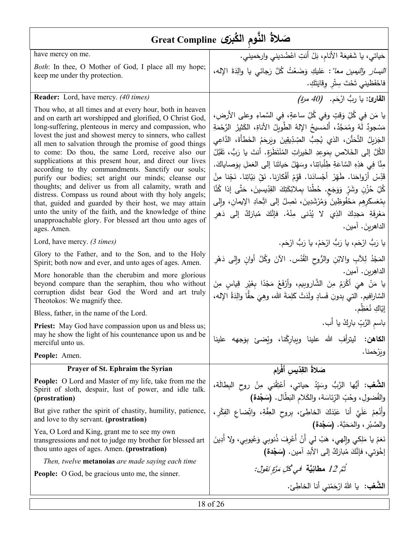| صَلاةُ النَّومِ الكُبرَى Great Compline                                                                                                                                                                                                                                                                                                                                                                                                                                                                                                                                                                                                                                                                                                                                                                                                 |                                                                                                                                                                                                                                                                                                                                                                                                                                                                                                                                                                                                                                                                                                                                                                                                                                        |
|-----------------------------------------------------------------------------------------------------------------------------------------------------------------------------------------------------------------------------------------------------------------------------------------------------------------------------------------------------------------------------------------------------------------------------------------------------------------------------------------------------------------------------------------------------------------------------------------------------------------------------------------------------------------------------------------------------------------------------------------------------------------------------------------------------------------------------------------|----------------------------------------------------------------------------------------------------------------------------------------------------------------------------------------------------------------------------------------------------------------------------------------------------------------------------------------------------------------------------------------------------------------------------------------------------------------------------------------------------------------------------------------------------------------------------------------------------------------------------------------------------------------------------------------------------------------------------------------------------------------------------------------------------------------------------------------|
| have mercy on me.                                                                                                                                                                                                                                                                                                                                                                                                                                                                                                                                                                                                                                                                                                                                                                                                                       | حَياتي، يا شَفيعَةَ الأنام، بَلْ أنتِ اعْضُديني وارحَميني.                                                                                                                                                                                                                                                                                                                                                                                                                                                                                                                                                                                                                                                                                                                                                                             |
| Both: In thee, O Mother of God, I place all my hope;                                                                                                                                                                                                                                                                                                                                                                                                                                                                                                                                                                                                                                                                                                                                                                                    | <i>النيمار والنِّمين معا"</i> : عَليكِ وَضَعْتُ كُلَّ رَجائي يا والِدَةَ الإِله،                                                                                                                                                                                                                                                                                                                                                                                                                                                                                                                                                                                                                                                                                                                                                       |
| keep me under thy protection.                                                                                                                                                                                                                                                                                                                                                                                                                                                                                                                                                                                                                                                                                                                                                                                                           | فاحْفَظيني تَحْتَ سِتْرِ وِقايَتَكِ.                                                                                                                                                                                                                                                                                                                                                                                                                                                                                                                                                                                                                                                                                                                                                                                                   |
| <b>Reader:</b> Lord, have mercy. (40 times)                                                                                                                                                                                                                                                                                                                                                                                                                                                                                                                                                                                                                                                                                                                                                                                             |                                                                                                                                                                                                                                                                                                                                                                                                                                                                                                                                                                                                                                                                                                                                                                                                                                        |
| Thou who, at all times and at every hour, both in heaven<br>and on earth art worshipped and glorified, O Christ God,<br>long-suffering, plenteous in mercy and compassion, who<br>lovest the just and showest mercy to sinners, who callest<br>all men to salvation through the promise of good things<br>to come: Do thou, the same Lord, receive also our<br>supplications at this present hour, and direct our lives<br>according to thy commandments. Sanctify our souls;<br>purify our bodies; set aright our minds; cleanse our<br>thoughts; and deliver us from all calamity, wrath and<br>distress. Compass us round about with thy holy angels;<br>that, guided and guarded by their host, we may attain<br>unto the unity of the faith, and the knowledge of thine<br>unapproachable glory. For blessed art thou unto ages of | القارئ: يا ربُ ارْحَم. (40 مرةِ)<br>يا مَن فِي كُلِّ وَقتٍ وفي كُلِّ ساعةٍ، فِي السَّماءِ وعلى الأرضِ،<br>مَسْجودٌ لَهُ ومُمَجَّدٌ، أَلمَسيحُ الإِلهُ الطَّوبِلُ الأناةِ، الكَثيرُ الرَّحْمَةِ<br>الجَزيِلُ التَّحَنُّنِ، الذي يُحِبُّ الصِّدِّيقِينَ ويَرِحَمُ الخَطأَةَ، الدَّاعِي<br>الكُلَّ إلى الخَلاص بِمَوعِدِ الخَيراتِ المُنْتَظَرَةِ. أنتَ يا رَبُّ، تَقَبَّلْ<br>مِنَّا فِي هَذِهِ السَّاعَةِ طِلْباتِنا، وسَهِّلْ حَياتَنا إلى العَمَلِ بوَصاياكَ.<br>قَدِّسْ أَرْواحَنا. طَهِّرْ أَجْسادَنا. قَوِّمْ أَفْكارَنا. نَقِّ نِيّاتِنا. نَجِّنا مِنْ<br>كُلِّ حُزْنٍ وشَرِّ وَوَجَعٍ. حُطْنا بِملائِكَتِكَ القِدِّيسينَ، حَتَّى إذا كُنَّا<br>بِمُعَسكَرِهِم مَحْفُوظِينَ وَمُرْشَدِينَ، نَصِلُ إِلَى اتِّحادِ الإِيمانِ، وإِلَى<br>مَعْرِفَةِ مَجدِكَ الَّذِي لا يُدْنى مِنْهُ. فإنَّكَ مُبارَكٌ إلى دَهرِ<br>الداهرينَ. آمين. |
| ages. Amen.<br>Lord, have mercy. (3 times)                                                                                                                                                                                                                                                                                                                                                                                                                                                                                                                                                                                                                                                                                                                                                                                              |                                                                                                                                                                                                                                                                                                                                                                                                                                                                                                                                                                                                                                                                                                                                                                                                                                        |
| Glory to the Father, and to the Son, and to the Holy<br>Spirit; both now and ever, and unto ages of ages. Amen.                                                                                                                                                                                                                                                                                                                                                                                                                                                                                                                                                                                                                                                                                                                         | يا رَبُّ ارْحَم، يا رَبُّ ارْحَمْ، يا رَبُّ ارْحَم.<br>المَجْدُ لِلآبِ والابْنِ والرُّوحِ القُدُس. الآنَ وكُلَّ أوانٍ وإِلى دَهْرِ                                                                                                                                                                                                                                                                                                                                                                                                                                                                                                                                                                                                                                                                                                     |
| More honorable than the cherubim and more glorious<br>beyond compare than the seraphim, thou who without<br>corruption didst bear God the Word and art truly<br>Theotokos: We magnify thee.                                                                                                                                                                                                                                                                                                                                                                                                                                                                                                                                                                                                                                             | الداهِرِينِ. آمينِ.<br>يا مَنْ هيَ أَكْرَمُ مِنَ الشَّارِوبِيم، وأَرْفَعُ مَجْدًا بِغَيْرِ قِياسٍ مِنَ<br>السَّارافيم. التي بِدونِ فَسادٍ ولَدَتْ كَلِمَةَ الله، وهِيَ حقًّا والِدَةُ اﻹله،                                                                                                                                                                                                                                                                                                                                                                                                                                                                                                                                                                                                                                            |
| Bless, father, in the name of the Lord.                                                                                                                                                                                                                                                                                                                                                                                                                                                                                                                                                                                                                                                                                                                                                                                                 | إِيَّاكِ نُعَظِّم.                                                                                                                                                                                                                                                                                                                                                                                                                                                                                                                                                                                                                                                                                                                                                                                                                     |
| Priest: May God have compassion upon us and bless us;<br>may he show the light of his countenance upon us and be<br>merciful unto us.                                                                                                                                                                                                                                                                                                                                                                                                                                                                                                                                                                                                                                                                                                   | باسم الرَّبِّ بارِكْ يا أب.<br>ليترأفِ الله علينا وبباركُنا، وبُضيئ بوَجِهه علينا<br>الكاهن:                                                                                                                                                                                                                                                                                                                                                                                                                                                                                                                                                                                                                                                                                                                                           |
| People: Amen.                                                                                                                                                                                                                                                                                                                                                                                                                                                                                                                                                                                                                                                                                                                                                                                                                           | وبَرْجَمنا.                                                                                                                                                                                                                                                                                                                                                                                                                                                                                                                                                                                                                                                                                                                                                                                                                            |
| Prayer of St. Ephraim the Syrian                                                                                                                                                                                                                                                                                                                                                                                                                                                                                                                                                                                                                                                                                                                                                                                                        | صَلاةُ القِدّيسِ أفْرامِ                                                                                                                                                                                                                                                                                                                                                                                                                                                                                                                                                                                                                                                                                                                                                                                                               |
| <b>People:</b> O Lord and Master of my life, take from me the<br>Spirit of sloth, despair, lust of power, and idle talk.<br>(prostration)                                                                                                                                                                                                                                                                                                                                                                                                                                                                                                                                                                                                                                                                                               | ال <b>شَّعْب:</b> أَيُّها الرَّبُّ وسَيِّدُ حياتي، أَعْتِقْني مِنْ روح البِطالَة،<br>والفُضولِ، وحُبِّ الرِّئاسَة، والكَلام النَطَّالِ. (سَجْدة)                                                                                                                                                                                                                                                                                                                                                                                                                                                                                                                                                                                                                                                                                       |
| But give rather the spirit of chastity, humility, patience,<br>and love to thy servant. (prostration)                                                                                                                                                                                                                                                                                                                                                                                                                                                                                                                                                                                                                                                                                                                                   | وأَنْعِمْ عَلَيَّ أنا عَبْدَكَ الخاطِئ، بِروح العِفَّةِ، واتِّضاع الفِكْرِ،                                                                                                                                                                                                                                                                                                                                                                                                                                                                                                                                                                                                                                                                                                                                                            |
| Yea, O Lord and King, grant me to see my own<br>transgressions and not to judge my brother for blessed art<br>thou unto ages of ages. Amen. (prostration)                                                                                                                                                                                                                                                                                                                                                                                                                                                                                                                                                                                                                                                                               | والصَّبْرِ ، والمَحَبَّة. (سَجْدة)<br>نَعَمْ يا مَلِكي والهي، هَبْ لي أَنْ أَعْرِفَ ذُنوبي وَعُيوبي، ولا أُدِينَ<br>إخْوَتِي، فإنَّكَ مُبارَكٌ إلى الأبدِ آمين. (سَجْدة)                                                                                                                                                                                                                                                                                                                                                                                                                                                                                                                                                                                                                                                               |
| Then, twelve <b>metanoias</b> are made saying each time                                                                                                                                                                                                                                                                                                                                                                                                                                                                                                                                                                                                                                                                                                                                                                                 | ثُمَّ 12 مطانِيَّة في كُلِّ مَرَّةٍ نَق <i>ولُ:</i>                                                                                                                                                                                                                                                                                                                                                                                                                                                                                                                                                                                                                                                                                                                                                                                    |
| <b>People:</b> O God, be gracious unto me, the sinner.                                                                                                                                                                                                                                                                                                                                                                                                                                                                                                                                                                                                                                                                                                                                                                                  | ا <b>لشُّعْب:</b> يا اللهُ ارْحَمْنـي أنا الـخاطِئ.                                                                                                                                                                                                                                                                                                                                                                                                                                                                                                                                                                                                                                                                                                                                                                                    |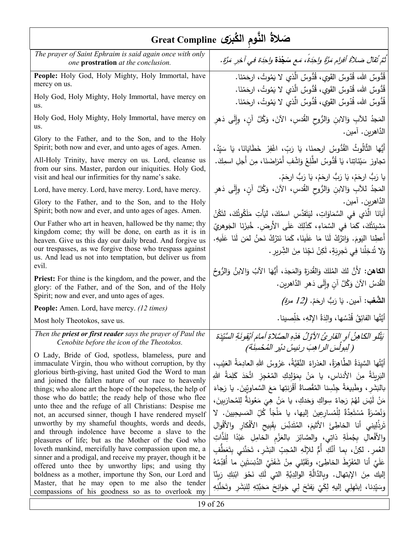| صَلاةُ النَّومِ الكُبرَى Great Compline                                                                                                                                                                                                                                                                                                                                                                                                                                                                                                                                                                                                                                                                                                                                                                                                                                                                                                                                                                         |  |
|-----------------------------------------------------------------------------------------------------------------------------------------------------------------------------------------------------------------------------------------------------------------------------------------------------------------------------------------------------------------------------------------------------------------------------------------------------------------------------------------------------------------------------------------------------------------------------------------------------------------------------------------------------------------------------------------------------------------------------------------------------------------------------------------------------------------------------------------------------------------------------------------------------------------------------------------------------------------------------------------------------------------|--|
| ثَمَّ تُقالُ صَلاَةُ أفرام مَرَّةً واحدَة، مَع سَجْدَة واحدَة في آخرِ مَرَّةِ.                                                                                                                                                                                                                                                                                                                                                                                                                                                                                                                                                                                                                                                                                                                                                                                                                                                                                                                                  |  |
| قُدُوسٌ الله، قُدّوسٌ القَوى، قُدُّوسٌ الَّذى لا يَمُوتُ، ارحَمْنَا.<br>قُدُّوسٌ الله، قُدّوسٌ القَوِي، قُدُّوسٌ الَّذي لا يَمُوتُ، ارحَمْنَا.<br>قُدُّوسٌ الله، قُدّوسٌ القَوِي، قُدُّوسٌ الَّذي لا يَمُوتُ، ارحَمْنَا.                                                                                                                                                                                                                                                                                                                                                                                                                                                                                                                                                                                                                                                                                                                                                                                        |  |
| المَجِدُ للآبِ وَالابنِ وَالرُّوحِ القُدسِ، الآنَ، وَكُلَّ آنٍ، وِإِلَى دَهرِ<br>الدَّاهرين. آمين.<br>أَيُّها الثَّالُوثُ القُدُّوسُ ارحمنَا، يَا رَبّ، اغْفِرْ خَطَايَانَا، يَا سَيّدُ،<br>تجاوز سَيّئاتِنا، يَا قُدُّوسُ اطَّلِعْ وَاشْفِ أَمْرَاضَنَا، مِن أَجلِ اسمِكَ.                                                                                                                                                                                                                                                                                                                                                                                                                                                                                                                                                                                                                                                                                                                                     |  |
| يا رَبُّ ارحَمْ، يَا رَبُّ ارحَمْ، يَا رَبُّ ارحَمْ.<br>المَجدُ للآبِ وَالابنِ وَالرُّوحِ القُدسِ، الآنَ، وَكُلَّ آنِ، وِإِلَى دَهرِ<br>الدَّاهرين. آمين.<br>أَبَانَا الَّذي في السَّمَاوَاتِ، ليَتَقَدَّسِ اسمُكَ، ليَأْتِ مَلَكُوتُكَ، لتَكُنْ                                                                                                                                                                                                                                                                                                                                                                                                                                                                                                                                                                                                                                                                                                                                                                |  |
| مَشْيئَتُكَ، كَمَا في السَّمَاءِ، كَذَلِكَ عَلَى الأَرضِ. خُبزَنَا الجَوهريّ<br>أَعطِنا اليَومَ. وَاترُكْ لَنَا مَا عَلَينَا، كَمَا نَترُكُ نَحنُ لَمَن لَنَا عَلَيهِ.<br>وَلا تُدخِلْنا فِي تَجرِبَةٍ، لَكِنْ نَجِّنَا مِنَ الشِّريرِ .                                                                                                                                                                                                                                                                                                                                                                                                                                                                                                                                                                                                                                                                                                                                                                        |  |
| الكاهن: لأَنَّ لكَ المُلكَ وَالقُدرَةَ وَالمَجِدَ، أَيُّهَا الآبُ وَالابنُ وَالرُّوحُ<br>القُدسُ الآنَ وَكُلَّ آنِ وِإِلَى دَهرِ الدَّاهرينِ.<br>الشَّعْب: آمين. يَا رَبُّ ارحَمْ. (12 مرة)                                                                                                                                                                                                                                                                                                                                                                                                                                                                                                                                                                                                                                                                                                                                                                                                                     |  |
|                                                                                                                                                                                                                                                                                                                                                                                                                                                                                                                                                                                                                                                                                                                                                                                                                                                                                                                                                                                                                 |  |
| أَيَّتُها الفائِقُ قُدْسُها، وإِلدَةُ الإِلهِ، خَلِّصينا.                                                                                                                                                                                                                                                                                                                                                                                                                                                                                                                                                                                                                                                                                                                                                                                                                                                                                                                                                       |  |
| بَتْلُو الكاهِنُ أَوِ القارِئُ الأَوَّلُ هَذِهِ الصَّلاةِ أَمامَ أَبْقِونَةِ السَّنَدَةِ<br>( لِبولُسَ الراهِبَ رِئيسُ دِيْرِ الْمُحْسِنَة)                                                                                                                                                                                                                                                                                                                                                                                                                                                                                                                                                                                                                                                                                                                                                                                                                                                                     |  |
| أَيَّتُها السَّيدَةُ الطَّاهِرَةُ، العَذراءُ النَّقِيَّةُ، عَرُوسُ اللهِ العادِمَةُ العَيْبِ،<br>البَرِيئَةُ مِنَ الأَدناس، يا مَنْ بِمَوْلِدِكِ المُعْجِزِ اتَّحَدَ كَلِمَةُ اللَّهِ<br>بالبَشَرِ ، وطَبِيعَةُ جِنْسِنا المُقْصاةُ أَقْرَنتِها مَعَ السَّماويّينَ. يا رَجاءَ<br>مَنْ لَيْسَ لَهُمْ رَجاءٌ سِواكِ وَحَدكِ، يا مَنْ هِيَ مَعُونَةٌ لِلمُحارَبينَ،<br>وَنُصْرَةٌ مُسْتَعِدَّةٌ لِلْمُسارِعِينَ إِليها، يا مَلْجَأَ كُلِّ المَسيحِيينَ. لا<br>تَرذَٰلِينِي أنا الخاطِئَ الأثيمَ، المُتَدنِّسَ بِقَبِيحِ الأَفْكارِ والأَقْوالِ<br>والأفْعالِ بِجُملَةِ ذاتِي، والصَّائِرَ بالعَزْمِ الخامِلِ عَبْدًا لِلَذَّاتِ<br>العُمر . لكِنْ، بما أنَّكِ أُمٌّ للإلَهِ المُحِبِّ البَشَرِ ، تَحَنَّني بِتَعَطِّفٍ<br>عَلَيَّ أَنا المُفَرِّطَ الخاطِئِ، وتَقَبَّلي مِنْ شَفَتَيَّ الدَّنِسَتَينِ ما أَقدِّمُهُ<br>إِلَيْكَ مِنَ الإِبتهالِ. وبِالدَّالَّةِ الْوَالِدِيَّةِ الَّتِي لَكِ نَحْوَ ابْنِكِ رَبِّنَا<br>وسَيِّدِنا، إبتَهِلِي إليهِ لِكَيْ يَفتَحَ لِي جَوانِحَ مَحَبَّتِهِ لِلبَشَرِ وتَحَنُّنِهِ |  |
|                                                                                                                                                                                                                                                                                                                                                                                                                                                                                                                                                                                                                                                                                                                                                                                                                                                                                                                                                                                                                 |  |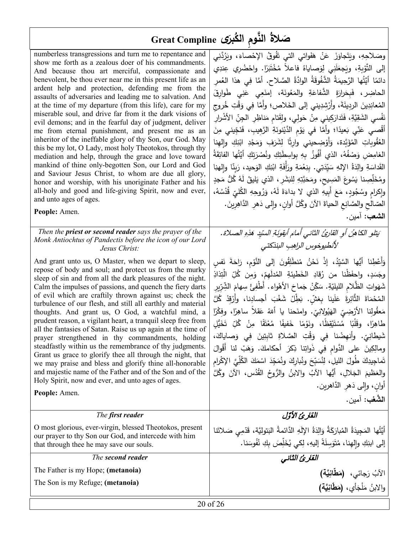numberless transgressions and turn me to repentance and show me forth as a zealous doer of his commandments. And because thou art merciful, compassionate and benevolent, be thou ever near me in this present life as an ardent help and protection, defending me from the assaults of adversaries and leading me to salvation. And at the time of my departure (from this life), care for my miserable soul, and drive far from it the dark visions of evil demons; and in the fearful day of judgment, deliver me from eternal punishment, and present me as an inheritor of the ineffable glory of thy Son, our God. May this be my lot, O Lady, most holy Theotokos, through thy mediation and help, through the grace and love toward mankind of thine only-begotten Son, our Lord and God and Saviour Jesus Christ, to whom are due all glory, honor and worship, with his unoriginate Father and his all-holy and good and life-giving Spirit, now and ever, and unto ages of ages.

**People:** Amen.

*Then the priest or second reader says the prayer of the Monk Antiochtus of Pandectis before the icon of our Lord Jesus Christ:*

And grant unto us, O Master, when we depart to sleep, repose of body and soul; and protect us from the murky sleep of sin and from all the dark pleasures of the night. Calm the impulses of passions, and quench the fiery darts of evil which are craftily thrown against us; check the turbulence of our flesh, and still all earthly and material thoughts. And grant us, O God, a watchful mind, a prudent reason, a vigilant heart, a tranquil sleep free from all the fantasies of Satan. Raise us up again at the time of prayer strengthened in thy commandments, holding steadfastly within us the remembrance of thy judgments. Grant us grace to glorify thee all through the night, that we may praise and bless and glorify thine all-honorable and majestic name of the Father and of the Son and of the Holy Spirit, now and ever, and unto ages of ages.

**People:** Amen.

<u>:</u> وصَلاحِهِ، ويَتَجاوَزَ عَنْ هَفَواتي التي تَقُوقُ الإحْصاءَ، ويَرُدَّنِي ا<br>ا َّ إلى الت ُ ْخ <sup>و</sup> ً م ُ فاعلا َصا�اه ِو ِي ل َن ل َ َجع ،ِ و� ْ �ة ًا. واح َر ِ <sup>ت</sup> ي َب ُضِري ِ عند <u>ٔ</u> دائمًا أَيَّتُها الرَّحِيمَةُ الشَّفُوقَةُ الوادَّةُ الصَّلاحِ. أمَّا فِي هذا العُمرِ الحاضِرِ ، فَبِحَرارَةٍ الشَّفاعَةِ والمَعُونَةِ، إمنَعِي عَنِي طَوارِقَ<br>. َ المُعانِدِينَ الردِيئَةَ، وأَرْشِدِيني إلى الخَلاص؛ وأَمَّا فِي وَقْتِ خُروجِ<br>" َ نَفْسي الشَقِيَّةِ، فَتَدارَكِيني مِنْ حَولِي، ولِقَتامِ مَناظِرِ الجِنِّ الأَشْرارِ<sup>ِ</sup><br>. .<br>م ْ أقْصبي عَنِّي بَعيدًا؛ وِأَمَّا في يَوْمِ الدَّيْنونَةِ الرَّهِيبِ، فَنَجِّيني مِنَ **ٔ** ْ العُقُوباتِ المُؤَبَّدة، وَأَوْضِحيني وارِثًا لِشَرَفِ وَمَجْدِ ابْنِكِ وإِلْهِنا<br>. .<br>. الغامِضِ وَصْفُهُ، الذي أَفُوزُ بِهِ بِواسِطَتِكِ ونُصْرَتِكِ أَيَّتُها الفائِقَةُ ِ ِ ِ ي. بن َت ِد ّ ی َ ِ س ُ الإله َة ِد ِ وال َة َداس ْ الق َ <sup>ع</sup> ِ ِك الو ن ِ اب َة ْأف َ ِ ور ِ <sup>م</sup> ا َة ّا و�لهن ِن � َ حید، ر **ٔ** ٍ َجد ُ ُّل م � ُ َه ُ ل َلیق َ َشِر، الذي ی ِل� ِ ل ِه َّبت َ َح ِس ِ �ح، وم َ َ الم ُ وع َس ِ ِصنا � ل َّ ُخ وم وإِكرامٍ وسُجُودٍ، مَعَ أَبِيهِ الذي لا بداءَةَ لَهُ، وَرُوحِهِ الكُليِّ قُدْسُهُ،<br>-<u>:</u> الصّالَحِ والصَّانِعِ الحياةَ الآنَ وكُلَّ أوانٍ، وإلى دَهرِ الدَّاهِرِينَ. **الشعب:** آمین.

يَتلو الكاهنُ أوِ القارئُ الثاني أَمامَ أيقونَةِ السّيدِ هَذِهِ الصلاة. لأَنطْيوخوس الراهِبِ البنذكتي

وَأَعْطِنا أَيُّها السَّيِّدُ، إِذْ نَحْنُ مُنطَلِقُونَ إلى النَّوْمِ، رَاحَةَ نَفْسٍ<br>. ْ َ وجَسَدٍ، واحفَظْنا من رُقادِ الخَطيئةِ المُدلَهِمّ، وَمِن كُلِّ الْتِذاذِ<br>. **ٔ** شَهَواتِ الظَّلامِ الليلِيّةِ. سَكِّنْ جَماحَ الأَهْواء. أَطْفِئْ سِهامَ الشِّرِّيرِ<br>. المُحْمَاةَ الثَّائِرةَ عَلَينا بِغشِّ. بَطِّلْ شَغْبَ أجسادِنا، وأَرْقِدْ كُلَّ<br>مُمَّاة الثَّائِرة عَلَينا بِغشِّ. بَطِّلْ شَغْبِ أجسادِنا، وأَرْقِدْ كُلَّ ر<br>م مَعقُولِنا الأَرْضِيِّ الهَيُولانِيِّ. وامنَحنا يا أللهُ عَقلاً ساهِرًا، وفِكْرًا<br>ذلك الأَرْضِيِّ القَيْولانِيِّ. وامنَحنا يا أللهُ عَقلاً ساهِرًا، وفِكْرًا طاهِرًا، وقَلْبًا مُسْتَيْقِظًا، ونَوْمًا خَفيفًا مُعْتَقًا مِنْ كُلِّ تَخَيُّلٍ<br>. ֺ<u>֡</u> ْ شَيطانِيّ. وأنهِضْنا فِي وَقْتِ الصَّلاةِ ثابِتِينَ فِي وَصاياكَ،<br>تَتَبِطانِيّ. وأنهِضْنا فِي وَقْتِ الصَّلاةِ ثابت ومالِكِينَ على الدَّوامِ فِي ذَواتِنا ذِكرَ أَحكامكَ. وَهَبْ لَنا أَقْوالَ<br>. ْ تَماجِيدِكَ طُولَ الليلِ، لِثْسَبِّحَ وِثْبارِكَ وِثْمَجِّدَ اسْمَكَ الْكُلِّيَّ الإكْرامِ<br>-والعَظيمَ الجَلالِ، أَيُّها الآبُ والابنُ والرُّوحُ القُدُس، الآنَ وكُلَّ<br>و أُوانٍ، وإِلى دَهرِ الدَّاهرين.

|                                                                                                                   | الشَّعْب: آمين.                                                                                                                                                           |
|-------------------------------------------------------------------------------------------------------------------|---------------------------------------------------------------------------------------------------------------------------------------------------------------------------|
| The <b>first reader</b>                                                                                           | القارئ الأوّل                                                                                                                                                             |
| O most glorious, ever-virgin, blessed Theotokos, present<br>our prayer to thy Son our God, and intercede with him | اَيَّتُها المَجِيدَةُ المُبارَكَةُ وَالِدَةُ الإِلَهِ الدَّائمةُ البَتوليَّة، قَدَّمِي صَلاتَنا<br>إلى ابنِكِ وإلهِنا، مُتَوَسِلَةً إليهِ، لِكي يُخَلِّصَ بِكِ نُفُوسَنا. |
| that through thee he may save our souls.                                                                          |                                                                                                                                                                           |
| The second reader                                                                                                 | القارئ الثاني                                                                                                                                                             |
| The Father is my Hope; (metanoia)                                                                                 | الآبُ رَجائي،   (مَطَّانِيَّة)                                                                                                                                            |
| The Son is my Refuge; (metanoia)                                                                                  | والابنُ مَلْجَأَى، (مَطَّانِيَّة)                                                                                                                                         |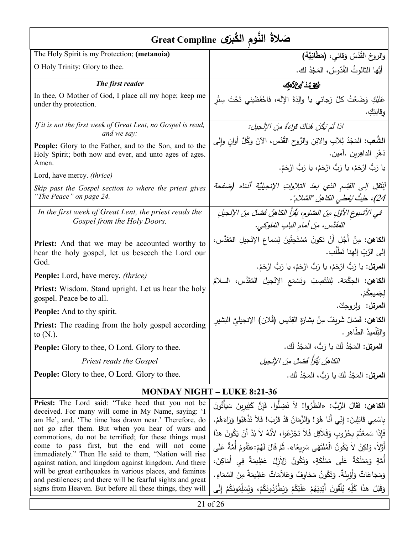| صَلاةُ النَّومِ الكُبرَى Great Compline                                                                                  |                                                                                                                                                                                                 |
|--------------------------------------------------------------------------------------------------------------------------|-------------------------------------------------------------------------------------------------------------------------------------------------------------------------------------------------|
| The Holy Spirit is my Protection; (metanoia)                                                                             | والروحُ القُدُسُ وَقائي، (مَطَّانِيَّة)                                                                                                                                                         |
| O Holy Trinity: Glory to thee.                                                                                           | أَيُّها الثالوثُ القُدّوسُ، المَجْدُ لك.                                                                                                                                                        |
| The first reader                                                                                                         | <i>تملغ ئ</i> ذ <i>أئُ⁄لاَهك</i>                                                                                                                                                                |
| In thee, O Mother of God, I place all my hope; keep me<br>under thy protection.                                          | عَلَيْكِ وَضَعْتُ كلَّ رَجائي يا والِدَةَ الإِلَه، فاحْفَظيني تَحْتَ سِتْرِ<br>وقايَتِكِ.                                                                                                       |
| If it is not the first week of Great Lent, no Gospel is read,<br>and we say:                                             | اذا لَمْ يَكُنْ هُناكَ قِراءَةٌ مِنَ الإنجيلِ:                                                                                                                                                  |
| <b>People:</b> Glory to the Father, and to the Son, and to the<br>Holy Spirit; both now and ever, and unto ages of ages. | ال <b>شَّعب:</b> المَجْدُ لِلآبِ والابْنِ والرُّوحِ القُدُس، الآنَ وكُلَّ أوانِ وإلى<br>دَهْرِ الداهِرِينِ .آمينِ.                                                                              |
| Amen.<br>Lord, have mercy. (thrice)                                                                                      | يا رَبُّ ارْحَمْ، يا رَبُّ ارْحَمْ، يا رَبُّ ارْحَمْ.                                                                                                                                           |
| Skip past the Gospel section to where the priest gives<br>"The Peace" on page 24.                                        | إِنْتَقِلْ إِلِي القَسْمِ الذي بَعَدِ التِلاواتِ الإِنجيلِيَّةِ أَنْذَاهِ (صَفحة<br>24)، حُيثُ يُعطي الكاهنِ "السَّلام".                                                                        |
| In the first week of Great Lent, the priest reads the<br>Gospel from the Holy Doors.                                     | ً في الأسْبوع الأوَّلِ منَ الصَّنْومِ، يَقْرَأُ الكاهِنُ فَصْلٌ منَ الإنجيلِ<br>المُقَدَّس، منَ أمام البابِ المُلوكي.                                                                           |
| <b>Priest:</b> And that we may be accounted worthy to<br>hear the holy gospel, let us beseech the Lord our<br>God.       | ا <b>لكاهن:</b> مِنْ أَجْلِ أَنْ نَكونَ مُسْتَحِقّينَ لِسَماعِ الإِنْجيلِ المُقَدَّسِ،<br>إلى الرَّبِّ إلهنا نَطْلُبٍ.<br>ا <b>لمرتل:</b> يا رَبُّ ارْحَمْ، يا رَبُّ ارْحَمْ، يا رَبُّ ارْحَمْ. |
| <b>People:</b> Lord, have mercy. <i>(thrice)</i>                                                                         |                                                                                                                                                                                                 |
| <b>Priest:</b> Wisdom. Stand upright. Let us hear the holy<br>gospel. Peace be to all.                                   | ا <b>لكاهن:</b> الحِكْمَة. لِنَنْتَصِبْ ونَسْمَع الإِنْجِيلَ المُقَدَّس، السلامُ<br>لِجَميعِكُمْ.                                                                                               |
| <b>People:</b> And to thy spirit.                                                                                        | ا <b>لمرتل:</b> ولروجِكَ.                                                                                                                                                                       |
| <b>Priest:</b> The reading from the holy gospel according<br>to $(N.)$ .                                                 | ا <b>لكاهن:</b> فَصْلٌ شَرِيفٌ مِنْ بِشارَةِ القِدّيسِ (فُلان) الإنجيليَّ البَشير<br>والنِّلْميذَ الطَّاهِرِ .                                                                                  |
| <b>People:</b> Glory to thee, O Lord. Glory to thee.                                                                     | ا <b>لمرتل:</b> المَجْدُ لَكَ يا رَبُّ، المَجْدُ لَك.                                                                                                                                           |
| Priest reads the Gospel                                                                                                  | الكاهنُ يَقَرَأُ فَصْلٌ مِنَ الإِنجيلِ                                                                                                                                                          |
| <b>People:</b> Glory to thee, O Lord. Glory to thee.                                                                     | المرتل: المَجْدُ لَكَ يا رَبُّ، المَجْدُ لَك.                                                                                                                                                   |
| <b>MONDAY NIGHT - LUKE 8:21-36</b>                                                                                       |                                                                                                                                                                                                 |
| Priest: The Lord said: "Take heed that you not be<br>deceived For many will come in My Name saying 'I                    | ا <b>لكاهن:</b> فَقَالَ الرَّبُ: «انْظُرُوا! لاَ تَضِلُّوا. فَإِنَّ كَثِيرِينَ سَيَأْتُونَ                                                                                                      |

deceived. For many will come in My Name, saying: 'I am He', and, 'The time has drawn near.' Therefore, do not go after them. But when you hear of wars and commotions, do not be terrified; for these things must come to pass first, but the end will not come immediately." Then He said to them, "Nation will rise against nation, and kingdom against kingdom. And there will be great earthquakes in various places, and famines and pestilences; and there will be fearful sights and great signs from Heaven. But before all these things, they will

**الكاهن:** فَقَالَ الرَّبُ: «انْظْرُوا! لا تَضِلُوا. فَإِنَّ كَثِيرِينَ سَيَأْتُونَ َال ْأت  $\ddot{\phantom{0}}$ َث إِنَّ كَا َ ُّوا. ف تَضِلُّ َ ت ان بِاسْمِي قَائِلِينَ: إِنِّي أَنَا هُوَ! وَالزَّمَانُ قَدْ قَرُبَ! فَلاَ تَذْهَبُوا وَرَاءَهُمْ. فَإِذَا سَمِعْتُمْ بِحُرُوبٍ وَقَلاَقِل فَلاَ تَجْزَعُوا، لأَنَّهُ لاَ بُدَّ أَنْ يَكُونَ هذَا<br>حَمَّدَتَ اللَّهُ مِنْ الْمَدَّةِ الْمَرْضَةِ مِنْ الْمَدَّةِ الْمَدَّةِ لَا بُدَّ أَنْ يَكُونَ هذَا ْ َ أَوَّلاً، وَلكِنْ لاَ يَكُونُ الْمُنْتَهَى سَرِيعًا». ثُمَّ قَالَ لَهُمْ:«تَقُومُ أُمَّةٌ عَلَى<br>مُ أُمَّةٍ وَمَمْلَكَةٌ عَلَى مَمْلَكَةٍ، وَتَكُونُ زَلاَزِلُ عَظِيمَةٌ فِي أَمَاكِنَ، ا<br>ا َ ا<br>ا .ِ َاء َ َّ السم ِن َ ٌة م ِظ�م َ ات ع ٌ َ َم َلا َع َ ِاو ُف و َخ ُ م ُون َك ت َ َ ٌة. و ِئ � أَو ات و ٌ َ َاع َج َم و ْ َ وَقَبْلَ هذَا كُلِّهِ يُلْقُونَ أَيْدِيَهُمْ عَلَيْكُمْ وَيَطْرُدُونَكُمْ، وَيُسَلِّمُونَكُمْ إِلَ<u>َى</u> َ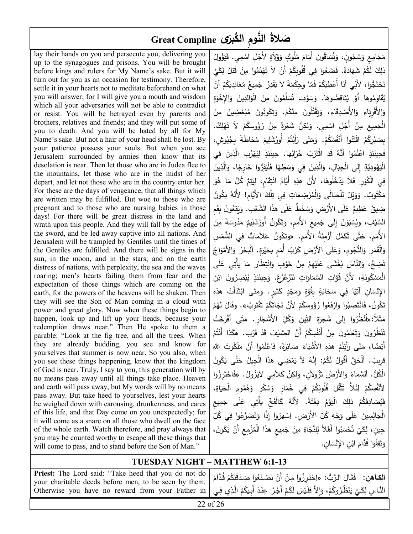lay their hands on you and persecute you, delivering you up to the synagogues and prisons. You will be brought before kings and rulers for My Name's sake. But it will turn out for you as an occasion for testimony. Therefore, settle it in your hearts not to meditate beforehand on what you will answer; for I will give you a mouth and wisdom which all your adversaries will not be able to contradict or resist. You will be betrayed even by parents and brothers, relatives and friends; and they will put some of you to death. And you will be hated by all for My Name's sake. But not a hair of your head shall be lost. By your patience possess your souls. But when you see Jerusalem surrounded by armies then know that its desolation is near. Then let those who are in Judea flee to the mountains, let those who are in the midst of her depart, and let not those who are in the country enter her. For these are the days of vengeance, that all things which are written may be fulfilled. But woe to those who are pregnant and to those who are nursing babies in those days! For there will be great distress in the land and wrath upon this people. And they will fall by the edge of the sword, and be led away captive into all nations. And Jerusalem will be trampled by Gentiles until the times of the Gentiles are fulfilled. And there will be signs in the sun, in the moon, and in the stars; and on the earth distress of nations, with perplexity, the sea and the waves roaring; men's hearts failing them from fear and the expectation of those things which are coming on the earth, for the powers of the heavens will be shaken. Then they will see the Son of Man coming in a cloud with power and great glory. Now when these things begin to happen, look up and lift up your heads, because your redemption draws near." Then He spoke to them a parable: "Look at the fig tree, and all the trees. When they are already budding, you see and know for yourselves that summer is now near. So you also, when you see these things happening, know that the kingdom of God is near. Truly, I say to you, this generation will by no means pass away until all things take place. Heaven and earth will pass away, but My words will by no means pass away. But take heed to yourselves, lest your hearts be weighed down with carousing, drunkenness, and cares of this life, and that Day come on you unexpectedly; for it will come as a snare on all those who dwell on the face of the whole earth. Watch therefore, and pray always that you may be counted worthy to escape all these things that will come to pass, and to stand before the Son of Man."

مَجَامِعٍ وَسُجُونٍ، وَتُسَاقُونَ أَمَامَ مُلُوكٍ وَوُلاَةٍ لأَجْلِ اسْمِي. فَيَؤُولُ<br>. ֺ<u>֓</u> **ٔ** ذلِكَ لَكُمْ شَهَادَةً. فَضَعُوا فِي قُلُوبِكُمْ أَنْ لاَ تَهْتَمُّوا مِنْ قَبْلُ لِكَيْ ْ .<br>-تَحْتَجُوا، لأَنِّي أَنَا أُعْطِيكُمْ فَمَّا وَحِكْمَةً لاَ يَقْدِرُ جَمِيعُ مُعَانِدِيكُمْ أَنْ ْ يُقَاوِمُوهَا أَوْ يُنَاقِضُوهَا. وَسَوْفَ تُسَلَّمُونَ مِنَ الْوَالِدِينَ وَالإِخْوَةِ<br>. وَالأَقْرِبَاءِ وَالأَصْدِقَاءِ، وَيَقْتُلُونَ مِنْكُمْ. وَتَكُونُونَ مُبْغَضِينَ مِنَ<br>وَالأَقْرِبَاءِ وَالأَصْدِقَاءِ، وَيَقْتُلُونَ مِنْكُمْ. وَتَكُونُونَ مُبْغَضِينَ مِنَ الْجَمِيعِ مِنْ أَجْلِ اسْمِي. وَلكِنَّ شَعْرَةً مِنْ رُؤُوسِكُمْ لاَ تَهْلِكُ. ْ **:** ْجِمَبْرِكُمُ اقْتَنُوا أَنْفُسَكُمْ. وَمَتَى رَأَيْتُمْ أُورُشَلِيمَ مُحَاطَّةً بِجُيُوشٍ،<br>. **ٔ** .<br>. فَجِينَئِذٍ اعْلَمُوا أَنَّهُ قَدِ اقْتَرَبَ خَرَابُهَا. حِينَئِذٍ لِيَهْرُبِ الَّذِينَ فِي<br>م َ الْيَهُودِيَّةِ إِلَى الْجِبَالِ، وَالَّذِينَ فِي وَسْطِهَا فَلْيَفِرُّوا خَارِجًا، وَالَّذِينَ ـا<br>با فِي الْكُوَرِ فَلاَ يَدْخُلُوهَا، لأَنَّ هذِهِ أَيَّامُ انْتِقَامٍ، لِيَتِمَّ كُلُّ مَا هُوَ َ مَكْتُوبٌ. وَوَيْلٌ لِلْحَبَالَى وَالْمُرْضِعَاتِ فِي تِلْكَ الأَيَّامِ! لأَنَّهُ يَكُونُ َ ضِيقٌ عَظِيمٌ عَلَى الأَرْضِ وَسُخْطٌ عَلَى هذَا الشَّعْبِ. وَيَقَعُونَ بِفَمِ َ َ السَّيْفِ، وَيُسْبَوْنَ إِلَى جَمِيعِ الأُمَمِ، وَتَكُونُ أُورُشَلِيمُ مَدُوسَةً مِنَ َ الأُمَمِ، حَتَّى تُكَمَّلَ أَزْمِنَةُ الأُمَمِ. «وَتَكُونُ عَلاَمَاتٌ فِي الشَّمْسِ<br>. َ **ٔ** وَالْقَمَرِ ۚ وَالذُّجُومِ، وَعَلَى الأَرْضِ كَرْبُ أَمَمٍ بحَيْرَةٍ. اَلْبَحْرُ ۚ وَالأَمْوَاجُ ٔ<br>ّ تَضِجُّ، وَالنَّاسُ يُغْشَى عَلَيْهِمْ مِنْ خَوْفٍ وَانْتِظَارِ مَا يَأْتِي عَلَى<br>م **ٔ** الْمَسْكُونَةِ، لأَنَّ قُوَّاتِ السَّمَاوَاتِ تَتَزَعْزَعُ. وَحِينَئِذٍ يُبْصِرُونَ ابْنَ **ٔ** الإِنْسَانِ آتِيًا فِي سَحَابَةٍ بِقُوَّةٍ وَمَجْدٍ كَثِيرٍ . وَمَتَى ابْتَدَأَتْ هذِهِ .<br>. تَكُونُ، فَانْتَصِبُوا وَارْفَعُوا رُؤُوسَكُمْ لأَنَّ نَجَاتَكُمْ تَقْتَرِبُ». وَقَالَ لَهُمْ<br>. مَثَلاً:«اُنْظُرُوا إِلَى شَجَرَةِ النِّينِ وَكُلِّ الأَشْجَارِ. مَتَى أَفْرَخَتْ<br>. َتَنْظُرُونَ وَتَعْلَمُونَ مِنْ أَنْفُسِكُمْ أَنَّ الصَّيْفَ قَدْ قَرُبَ. هكَذَا أَنْتُمْ ْ َ أَیْضًا، مَتَّی رَأَیْتُمْ هذِهِ الأَشْیَاءَ صَائِرَةً، فَاعْلَمُوا أَنَّ مَلَكُوتَ اللهِ ْ َ ِ<br>. قَرِيبٌ. اَلْحَقَّ أَقُولُ لَكُمْ: إِنَّهُ لاَ يَمْضِي هذَا الْجِيلُ حَتَّى يَكُونَ<br>ِ ْ الْكُلُّ. اَلسَّمَاءُ وَالأَرْضُ تَزُولاَنِ، وَلكِنَّ كَلاَمِي لاَيَزُولُ. «فَاحْتَرِزُوا<br>. ْ الْأَنْفُسِكُمْ لِثَلاَّ تَتَّقُّلَ قُلُوبُكُمْ فِي خُمَارٍ وَسُكْرٍ وَهُمُومِ الْحَيَاةِ، فَيُصَادِفَكُمْ ذلِكَ الْيَوْمُ بَغْتَةً. لأَنَّهُ كَالْفَخِّ يَأْتِي عَلَى جَمِيعِ الْجَالِسِينَ عَلَى وَجْهِ كُلِّ الأَرْضِ. اِسْهَرُوا إِذًا وَتَضَرَّعُوا فِي كُلِّ َ حِينٍ، لِكَيْ تُحْسَبُوا أَهْلاً لِلنَّجَاةِ مِنْ جَمِيعِ هذَا الْمُزْمِعِ أَنْ يَكُونَ،<br>. وَتَقِفُوا قُدَّامَ ابْنِ الإِنْسَانِ. **ٔ** 

### **TUESDAY NIGHT – MATTHEW 6:1-13**

**Priest:** The Lord said: "Take heed that you do not do your charitable deeds before men, to be seen by them. Otherwise you have no reward from your Father in

َ **الكـاهن:** َّ الـرُّب: َـال َ <sup>ف</sup> « َق ُ َّ ـدام ْ ق ُم َك َت َق َ ـد ُوا ص َع َ ْصـن ْ ت ْ أَن ِـن ُ وا م َ ِ ـرز ْ ت ِح ا النَّاسِ لِكَـيْ يَنْظُرُوكُمْ، وَإِلاَّ فَلَيْسَ لَكُمْ أَجْرٌ عِنْدَ أَبِـيكُمُ الَّذِي فِـي<br>. ـٰـٰـٰـٰـٰـٰـٰـٰـ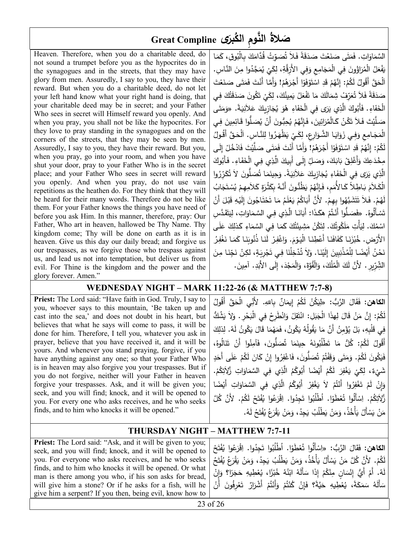Heaven. Therefore, when you do a charitable deed, do not sound a trumpet before you as the hypocrites do in the synagogues and in the streets, that they may have glory from men. Assuredly, I say to you, they have their reward. But when you do a charitable deed, do not let your left hand know what your right hand is doing, that your charitable deed may be in secret; and your Father Who sees in secret will Himself reward you openly. And when you pray, you shall not be like the hypocrites. For they love to pray standing in the synagogues and on the corners of the streets, that they may be seen by men. Assuredly, I say to you, they have their reward. But you, when you pray, go into your room, and when you have shut your door, pray to your Father Who is in the secret place; and your Father Who sees in secret will reward you openly. And when you pray, do not use vain repetitions as the heathen do. For they think that they will be heard for their many words. Therefore do not be like them. For your Father knows the things you have need of before you ask Him. In this manner, therefore, pray: Our Father, Who art in heaven, hallowed be Thy Name. Thy kingdom come; Thy will be done on earth as it is in heaven. Give us this day our daily bread; and forgive us our trespasses, as we forgive those who trespass against us, and lead us not into temptation, but deliver us from evil. For Thine is the kingdom and the power and the glory forever. Amen."

السَّمَاوَاتِ. فَمَتَى صَنَعْتَ صَدَقَةً فَلاَ تُصَوِّتْ قُدَّامَكَ بِالْبُوقِ، كَمَا<br>م ً<br>ً يَفْعَلُ الْمُرَاؤُونَ فِي الْمَجَامِعِ وَفِي الأَزِقَّةِ، لِكَيْ يُمَجَّدُوا مِنَ النَّاسِ.<br>تَعْمَلُ الْمُرَاؤُونَ فِي الْمَجَامِعِ وَفِي الأَزِقَّةِ، لِكَيْ يُمَجَّدُوا مِنَ النَّاسِ. .<br>ا اَلْحَقَّ أَقُولُ لَكُمْ: إِنَّهُمْ قَدِ اسْتَوْفَوْا أَجْرَهُمْ! وَأَمَّا أَنْتَ فَمَتَى صَنَعْتَ صَدَقَةً فَلاَ تُعَرِّفْ شِمَالَكَ مَا تَفْعَلُ يَمِينُكَ، لِكَيْ تَكُونَ صَدَقَتُكَ فِي<br>. الْخَفَاءِ . فَأَبُوكَ الَّذِي يَرَى فِي الْخَفَاءِ هُوَ يُجَازِيكَ عَلاَنِيَةً. «وَمَتَى صَلَّيْتَ فَـلاً تَكُنْ كَـالْمُرَائِينَ، فَـإِنَّهُمْ يُحِبُّونَ أَنْ يُصَـلُّوا قَـائِمِينَ فِـي<br>. الْمَجَامِعِ وَفِي زَوَايَـا الشَّـوَارِعِ، لِكَـيْ يَظْهَرُوا لِلنَّـاسِ. اَلْحَـقَّ أَقُولُ<br>َا َ لَكُمْ: إِنَّهُمْ قَدِ اسْتَوْفَوْا أَجْرَهُمْ! وَأَمَّا أَنْتَ فَمَتَى صَلَّيْتَ فَادْخُلْ إِلَى<br>. ـ مِخْدَعِكَ وَأَغْلِقْ بَابَكَ، وَصَلِّ إِلَى أَبِيكَ الَّذِي فِي الْخَفَاءِ. فَأَبُوكَ<br>\* َ ٔ.<br>. الَّذِي يَرَى فِي الْخَفَاءِ يُجَازِيكَ عَلاَنِيَةً. وَحِينَمَا تُصَلُّونَ لاَ تُكَرِّرُوا ۖ الْكَلاَمَ بَـاطِلاً كَـالأُمَمِ، فَإِنَّهُمْ يَظُنُّونَ أَنَّـهُ بِكَثْرَةِ كَلاَمِهِمْ يُسْتَجَابُ<br>ِ لَهُمْ. فَلاَ تَتَشَبَّهُوا بِهِمْ. لأَنَّ أَبَاكُمْ يَعْلَمُ مَا تَحْتَاجُونَ إِلَيْهِ قَبْلَ أَنْ ْ .ُ ُوه ْ ــأَل َ ت « َّ ــد ِس َس َق ت َ ِی َ ِ ات، ل َاو ِ َّ ــي الســم ِي ف َّــذ َــا ال َان ــذا: أَ� َ َ ْ هك ُم ْــت ُّوا أَن َ ــل َص ف اسْمُكَ. لِيَأْتِ مَلَكُوتُكَ. لِتَكُنْ مَشِيئَتُكَ كَمَا فِي السَّمَاءِ كَذلِكَ عَلَى<br>-ً<br>ً َ َــا َن ْز ُب ْ ِض. خ ُ الأَر ِــر ْف َغ َــا ن َم َــا � ن َ ُو� ــا ذن ُ َ َن ْ ل ِــر اغف ْ َ .َ و ْم َــو ــا الی ْ َ ِطن َــا أَع َن َاف َف � ْ نَحْنُ أَيْضًا لِلْمُنْنِبِينَ إِلَيْنَا. وَلاَ تُدْخِلْنَا فِي تَجْرِبَةٍ، لكِنْ نَجِّنَا مِنَ ֺ**֝ ٔ** الشِّرِّيرِ . لأَنَّ لَكَ الْمُلْكَ، وَالْقُوَّةَ، وَالْمَجْدَ، إِلَى الأَبَدِ. آمِينَ.

### **WEDNESDAY NIGHT – MARK 11:22-26 (& MATTHEW 7:7-8)**

**Priest:** The Lord said: "Have faith in God. Truly, I say to you, whoever says to this mountain, 'Be taken up and cast into the sea,' and does not doubt in his heart, but believes that what he says will come to pass, it will be done for him. Therefore, I tell you, whatever you ask in prayer, believe that you have received it, and it will be yours. And whenever you stand praying, forgive, if you have anything against any one; so that your Father Who is in heaven may also forgive you your trespasses. But if you do not forgive, neither will your Father in heaven forgive your trespasses. Ask, and it will be given you; seek, and you will find; knock, and it will be opened to you. For every one who asks receives, and he who seeks finds, and to him who knocks it will be opened."

**الكاهن:** فَقَالَ الرَّبُ: «لِيَكُنْ لَكُمْ إِيمَانٌ بِاللهِ. لأَنِّي الْحَقَّ أَقُولُ<br>الكاهن: فَقَالَ الرَّبُ: لَكُمْ: إِنَّ مَنْ قَالَ لِهِذَا الْجَبَلِ: انْتَقِلْ وَانْطَرِحْ فِي الْبَحْرِ . وَلاَ يَشُكُّ ْ فِي قَلْبِهِ، بَلْ يُؤْمِنُ أَنَّ مَا يَقُولُهُ يَكُونُ، فَمَهْمَا قَالَ يَكُونُ لَهُ. لِذلِكَ<br>-أَقُولُ لَكُمْ: كُلُّ مَا تَطْلُبُونَهُ حِينَمَا تُصَلُّونَ، فَآمِنُوا أَنْ تَتَالُوهُ، فَيَكُونَ لَكُمْ. وَمَتَى وَقَفْتُمْ تُصَلُّونَ، فَاغْفِرُوا إِنْ كَانَ لَكُمْ عَلَى أَحَدٍ ً<br>ً شَيْءٌ، لِكَيْ يَغْفِرَ لَكُمْ أَيْضًا أَبُوكُمُ الَّذِي فِي السَّمَاوَاتِ زَّلاَتِكُمْ.<br>. وَإِنْ لَمْ تَغْفِرُوا أَنْتُمْ لاَ يَغْفِرْ أَبُوكُمُ الَّذِي فِي السَّمَاوَاتِ أَيْضًا<br>وَإِنْ لَمْ تَغْفِرُوا أَنْتُمْ لاَ يَغْفِرْ أَبُوكُمُ الَّذِي فِي السَّمَاوَاتِ أَيْضًا َ زَّلاَتِكُمْ. اِسْأَلُوا تُعْطَوْا. اُطْلُبُوا تَجِدُوا. اِقْرَعُوا يُفْتَحْ لَكُمْ. لأَنَّ كُلَّ مَنْ يَسْأَلُ يَأْخُذُ، وَمَنْ يَطْلُبُ يَجِدُ، وَمَنْ يَقْرَعُ يُفْتَحُ لَهُ.<br>-َ

### **THURSDAY NIGHT – MATTHEW 7:7-11**

**Priest:** The Lord said: "Ask, and it will be given to you; seek, and you will find; knock, and it will be opened to you. For everyone who asks receives, and he who seeks finds, and to him who knocks it will be opened. Or what man is there among you who, if his son asks for bread, will give him a stone? Or if he asks for a fish, will he give him a serpent? If you then, being evil, know how to

**الكاهن:** فَقَالَ الرَّبُ: «اِسْأَلُوا تُعْطَوْا. اُطْلُبُوا تَجِدُوا. اِقْرَعُوا يُفْتَحْ<br>مَا يَسْمَعُ اللَّهُ عَلَيْهِ مُصَلَّمَةٍ مِنْ السَّائِمَةِ مِنْ الْمَسْمَعِينَ مِنْ الْمَسْمَعِينَ مِنْ الْمَس ُ َح ْت ف ُ � ُ َع ْر ق َ � ْ َن َم ،ُ و ِجد َ � ُ ُب َ ْطل � ْ َن َم ُ ُذ، و ْأخ َ � ُ ْ أَل َس � ْ َن ُ َّل م .ْ لأََّن � ُم َك ل .<br>-ِن � َ ًا؟ و َر َج ِ ح ِط�ه ُع ًا، � ْز ُب ُ خ ُه ن ُ اب َه َ أَل ِ َذا س ْ إ ُم ْك ِن َ ٍان م ْس ِن ْ أَ ُّي إ .ُ أَم َه ل ْ .<br>. <u>:</u> سَأَلَهُ سَمَكَةً، يُعْطِيهِ حَيَّةً؟ فَإِنْ كُنْتُمْ وَأَنْتُمْ أَشْرَارٌ تَعْرِفُونَ أَنْ ْ ْ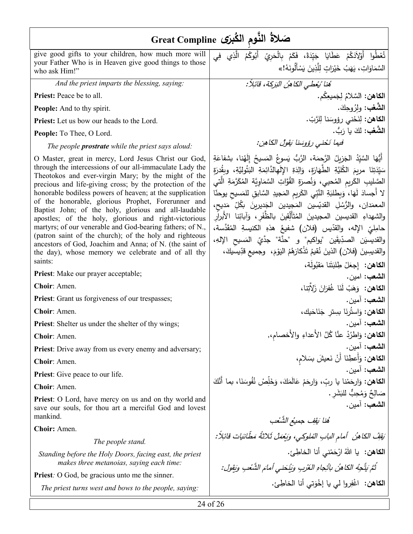### **Great Compline ىَ ُبر ُ َّ النومِ الك َصلاة** give good gifts to your children, how much more will your Father Who is in Heaven give good things to those who ask Him!" *And the priest imparts the blessing, saying:* **Priest:** Peace be to all. **People:** And to thy spirit. **Priest:** Let us bow our heads to the Lord. **People:** To Thee, O Lord. *The people prostrate while the priest says aloud:* O Master, great in mercy, Lord Jesus Christ our God, through the intercessions of our all-immaculate Lady the Theotokos and ever-virgin Mary; by the might of the precious and life-giving cross; by the protection of the honorable bodiless powers of heaven; at the supplication of the honorable, glorious Prophet, Forerunner and Baptist John; of the holy, glorious and all-laudable apostles; of the holy, glorious and right-victorious martyrs; of our venerable and God-bearing fathers; of N., (patron saint of the church); of the holy and righteous ancestors of God, Joachim and Anna; of N. (the saint of the day), whose memory we celebrate and of all thy saints: **Priest**: Make our prayer acceptable; **Choir**: Amen. **Priest**: Grant us forgiveness of our trespasses; **Choir**: Amen. **Priest:** Shelter us under the shelter of thy wings; **Choir**: Amen. **Priest**: Drive away from us every enemy and adversary; **Choir**: Amen. **Priest**: Give peace to our life. **Choir**: Amen. ُ هنا 'يُعطي الكاهِنُ النَركة، قائلاً: َ فيما نَحْني رؤوسَنا بَقِولُ الكاهن: سُلِ القديسين المَجيدين الجَديرينَ بكُلِّ مَديحٍ،<br>ين المسلمان المُجيدين المُجَمِّد

**Priest**: O Lord, have mercy on us and on thy world and save our souls, for thou art a merciful God and lovest mankind.

**Choir:** Amen.

*The people stand.*

*Standing before the Holy Doors, facing east, the priest makes three metanoias, saying each time:*

**Priest***:* O God, be gracious unto me the sinner.

*The priest turns west and bows to the people, saying:*

**الكاهن: ال**سَّلامُ لِجَميعِكُم.<br>ستَّة ا**لشَّعْب:** ولِرُوحِكَ.<br>. **الكاهن:** لِنَحْني رؤوسَنا لِلرَّبّ.<br>" قَرْم ا**لشَّعْب:** لَكَ يا رَبُّ.<br>.

أَيُّهَا السَّيِّدُ الجَزيلُ الرَّحمَةِ، الرَّبُّ يَسوعُ المَسيحُ إِلَهُنا، بشفاعَةِ<br>مَصَافِرَ المَسَّلَّةِ الجَزِيلُ الرَّحمَةِ الرَّبُّ يَسوعُ المَسيحُ إِلَهُنا، بشفاعَةِ سَيِّدَتِنَا مريمَ الكُليَّةِ الطَّهَارَةِ، وَالِدَةِ الإِلَهِالدَّائِمَةِ البَثُوليَّةِ، وبِقُدرَةِ<br>زرعات القرائية ً<br>. الصَّليبِ الكَريمِ المُحييِ، وَنُصرَةِ القُوَّاتِ السَّمَاوِيَّة المُكَرَّمَةِ الَّتي<br>ديساً مسكناً في المُحيي، وَنُصرَةِ لا أَجسادَ لَهَا، وَبِطْلبَةِ ٱلنَّبِّي الكَريمِ المَجيدِ السَّابقِ للمَسيحِ يوحنَّا<br>.. ِ ُّ ن، والرس َدا المعم والشهداءِ القديسين المجيدينَ المُتَأَلِّقِينَ بالظَّفَرِ، وَآبائِنا الأَبراَّرِ<br>ماما الطالقة ََّدسة، ق ُ ِ الم ِ الكن�سة ُ هذه ّ�س (فلان) شف�ع ِ ِ الإله، والقد ِلي حام ّ ،ِ َ ِ س�ح الإله ِ الم ّ َ َّ ین "یواك�م" و "حن َّ ة" جدي ِ�ق ّ َن الصد والقد�سی والقديمِينَ (فلان) الذينَ نُقيمُ تَذْكارَهُمُ اليَوْمَ، ۚ وجميعِ قدِّيسَيكَ، **الكاهن:** إِجعَلْ طِلبَتَنا مَقبُولَة،<br>... **الشعب:** امین. **الكاهن:** وَهَبْ لَنَا غُفرَانَ زَلاَّتِنا،<br>'' **الشعب:** آمین. **الكاهن:** وَاستُرنَا بسِترِ جَنَاحَيك،<br>.... **الشعب:** آمین. **الكاهن:** وَاطرُدْ عنَّا كُلَّ الأَعداءِ والأَخصامِ،,<br>.... **الشعب:** آمین. **الكاهن:** وَأَعطِنَا أَنْ نَعيشَ بسَلامٍ،<br>'' **الشعب:** آمین. **الكاهن:** وَارحَمْنا يا ربِّ، وَارحَمْ عَالَمَكَ، وَخَلِّصْ نُفُوسَنَا، بما أَنَّكَ<br>العامس: مَّسْ الله صَالِحٌ وَمُحِبٌّ للبَشَرِ .<br>... **الشعب:** آمین. ُ مَنا َ يَقِف جميعُ الشَّعْب

يَقِفُ الكاهِنُ ۖ أمامِ البابِ المُلوكيِ، ويَعْمَلُ ثَلاثَةُ مَطَّانَيَات قائِلًا: <mark>الكاهن:</mark> يا اللهُ ارْحَمْني أنا الخاطِئ. ُثَّمَ يَتَّحِهُ الكاهِرُ شُ باتّجاهِ الغَرْبِ وَيُنحني أمام الشَّعْبِ وَيقول: <mark>الكاهن:</mark> اغْفِروا لي يا إخْوَتي أنا الخاطِئ.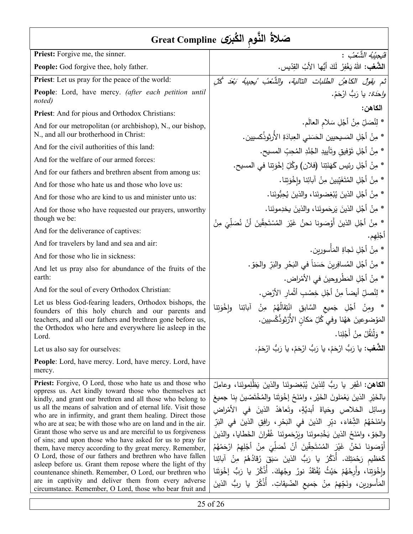| صَلاةُ النَّومِ الكُبرَى Great Compline                                                                                                                                                                                                                                                                                                                                                                                                                                                                                                                                                                                                                                                                                                                                                                                                                                             |                                                                                                                                                                                                                                                                                                                                                                                                                                                                                                                                                                                                                                                                                                                                            |
|-------------------------------------------------------------------------------------------------------------------------------------------------------------------------------------------------------------------------------------------------------------------------------------------------------------------------------------------------------------------------------------------------------------------------------------------------------------------------------------------------------------------------------------------------------------------------------------------------------------------------------------------------------------------------------------------------------------------------------------------------------------------------------------------------------------------------------------------------------------------------------------|--------------------------------------------------------------------------------------------------------------------------------------------------------------------------------------------------------------------------------------------------------------------------------------------------------------------------------------------------------------------------------------------------------------------------------------------------------------------------------------------------------------------------------------------------------------------------------------------------------------------------------------------------------------------------------------------------------------------------------------------|
| Priest: Forgive me, the sinner.                                                                                                                                                                                                                                                                                                                                                                                                                                                                                                                                                                                                                                                                                                                                                                                                                                                     | قُيِجِيْبُهُ الشَّعْبُ :                                                                                                                                                                                                                                                                                                                                                                                                                                                                                                                                                                                                                                                                                                                   |
| People: God forgive thee, holy father.                                                                                                                                                                                                                                                                                                                                                                                                                                                                                                                                                                                                                                                                                                                                                                                                                                              | الشَّعْب: اللهُ يَغْفِرُ لَكَ أَيُّها الأَبُ القِدِّيس.                                                                                                                                                                                                                                                                                                                                                                                                                                                                                                                                                                                                                                                                                    |
| Priest: Let us pray for the peace of the world:                                                                                                                                                                                                                                                                                                                                                                                                                                                                                                                                                                                                                                                                                                                                                                                                                                     | ثم يقولُ الكاهنُ الطلبات التالية، والشَّعْبُ 'يجيبُهُ بَعْدَ كُلِّ                                                                                                                                                                                                                                                                                                                                                                                                                                                                                                                                                                                                                                                                         |
| People: Lord, have mercy. (after each petition until<br>noted)                                                                                                                                                                                                                                                                                                                                                                                                                                                                                                                                                                                                                                                                                                                                                                                                                      | <i>ولحَدَة:</i> يا رَبُّ ارْحَمْ.                                                                                                                                                                                                                                                                                                                                                                                                                                                                                                                                                                                                                                                                                                          |
| Priest: And for pious and Orthodox Christians:                                                                                                                                                                                                                                                                                                                                                                                                                                                                                                                                                                                                                                                                                                                                                                                                                                      | الكاهن:                                                                                                                                                                                                                                                                                                                                                                                                                                                                                                                                                                                                                                                                                                                                    |
| And for our metropolitan (or archbishop), N., our bishop,<br>N., and all our brotherhood in Christ:                                                                                                                                                                                                                                                                                                                                                                                                                                                                                                                                                                                                                                                                                                                                                                                 | * لِنُصَلِّ مِنْ أَجْلِ سَلامِ العالَمِ.<br>* مِنْ أَجْلِ الْمَسيحيين الْحَسَني الْعِبادَةِ الأُرثوذُكسيين.                                                                                                                                                                                                                                                                                                                                                                                                                                                                                                                                                                                                                                |
| And for the civil authorities of this land:                                                                                                                                                                                                                                                                                                                                                                                                                                                                                                                                                                                                                                                                                                                                                                                                                                         | * مِنْ أَجْلِ تَوْفِيقٍ وتَأْيِيدِ الْجُنْدِ الْمُحِبِّ المسيحِ.                                                                                                                                                                                                                                                                                                                                                                                                                                                                                                                                                                                                                                                                           |
| And for the welfare of our armed forces:                                                                                                                                                                                                                                                                                                                                                                                                                                                                                                                                                                                                                                                                                                                                                                                                                                            |                                                                                                                                                                                                                                                                                                                                                                                                                                                                                                                                                                                                                                                                                                                                            |
| And for our fathers and brethren absent from among us:                                                                                                                                                                                                                                                                                                                                                                                                                                                                                                                                                                                                                                                                                                                                                                                                                              | * مِنْ أَجْلِ رئيس كَهَنَتِنا ۖ (فلان) وكُلِّ إخْوَتِنا في المسيح.                                                                                                                                                                                                                                                                                                                                                                                                                                                                                                                                                                                                                                                                         |
| And for those who hate us and those who love us:                                                                                                                                                                                                                                                                                                                                                                                                                                                                                                                                                                                                                                                                                                                                                                                                                                    | * مِنْ أَجْلِ الْمُتَغَيِّبِينَ مِنْ آبائِنا وإِخْوَتِنا.                                                                                                                                                                                                                                                                                                                                                                                                                                                                                                                                                                                                                                                                                  |
| And for those who are kind to us and minister unto us:                                                                                                                                                                                                                                                                                                                                                                                                                                                                                                                                                                                                                                                                                                                                                                                                                              | * مِنْ أَجْلِ الذينَ يُبْغِضونَنا، والذينَ يُحِبُّونَنا.                                                                                                                                                                                                                                                                                                                                                                                                                                                                                                                                                                                                                                                                                   |
| And for those who have requested our prayers, unworthy<br>though we be:                                                                                                                                                                                                                                                                                                                                                                                                                                                                                                                                                                                                                                                                                                                                                                                                             | * مِنْ أَجْلِ الذينَ يَرِحَمونَنا، والذينَ يخدِمونَنا.                                                                                                                                                                                                                                                                                                                                                                                                                                                                                                                                                                                                                                                                                     |
| And for the deliverance of captives:                                                                                                                                                                                                                                                                                                                                                                                                                                                                                                                                                                                                                                                                                                                                                                                                                                                | * مِنْ أَجْلِ الذينَ أَوْصَونا نحنُ غَيْرَ المُسْتَحِقّينَ أَنْ نُصَلِّيَ مِنْ                                                                                                                                                                                                                                                                                                                                                                                                                                                                                                                                                                                                                                                             |
| And for travelers by land and sea and air:                                                                                                                                                                                                                                                                                                                                                                                                                                                                                                                                                                                                                                                                                                                                                                                                                                          | أجْلِهِم.                                                                                                                                                                                                                                                                                                                                                                                                                                                                                                                                                                                                                                                                                                                                  |
| And for those who lie in sickness:                                                                                                                                                                                                                                                                                                                                                                                                                                                                                                                                                                                                                                                                                                                                                                                                                                                  | * مِنْ أَجْلِ نَجاةِ المَأسورين.                                                                                                                                                                                                                                                                                                                                                                                                                                                                                                                                                                                                                                                                                                           |
| And let us pray also for abundance of the fruits of the<br>earth:                                                                                                                                                                                                                                                                                                                                                                                                                                                                                                                                                                                                                                                                                                                                                                                                                   | * مِنْ أَجْلِ الْمُسافِرِينَ حَسَناً في البَحْرِ والبَرِّ والجَوِّ.<br>* مِنْ أَجْلِ المَطْرِوحينَ في الأَمْراض.                                                                                                                                                                                                                                                                                                                                                                                                                                                                                                                                                                                                                           |
| And for the soul of every Orthodox Christian:                                                                                                                                                                                                                                                                                                                                                                                                                                                                                                                                                                                                                                                                                                                                                                                                                                       |                                                                                                                                                                                                                                                                                                                                                                                                                                                                                                                                                                                                                                                                                                                                            |
| Let us bless God-fearing leaders, Orthodox bishops, the<br>founders of this holy church and our parents and<br>teachers, and all our fathers and brethren gone before us,<br>the Orthodox who here and everywhere lie asleep in the<br>Lord.                                                                                                                                                                                                                                                                                                                                                                                                                                                                                                                                                                                                                                        | * لِنُصلِّ أيضاً مِنْ أَجْلِ خِصْبِ أَثْمارِ الأَرْضِ.<br>* ومِنْ أَجْلِ جَميع السَّابقِ انْتِقالُهُمْ مِنْ<br>آبائِنا وإخْوَتنا<br>المَوْضوعينَ هَهُنا وفي كُلِّ مَكانِ الأُرْثوذُكْسيين.<br>* وَلْنَقُلْ مِنْ أَجْلِنا.                                                                                                                                                                                                                                                                                                                                                                                                                                                                                                                  |
| Let us also say for ourselves:                                                                                                                                                                                                                                                                                                                                                                                                                                                                                                                                                                                                                                                                                                                                                                                                                                                      | ا <b>لشُّعْب:</b> يا رَبُّ ارْحَمْ، يا رَبُّ ارْحَمْ، يا رَبُّ ارْحَمْ.                                                                                                                                                                                                                                                                                                                                                                                                                                                                                                                                                                                                                                                                    |
| People: Lord, have mercy. Lord, have mercy. Lord, have<br>mercy.                                                                                                                                                                                                                                                                                                                                                                                                                                                                                                                                                                                                                                                                                                                                                                                                                    |                                                                                                                                                                                                                                                                                                                                                                                                                                                                                                                                                                                                                                                                                                                                            |
| Priest: Forgive, O Lord, those who hate us and those who<br>oppress us. Act kindly toward those who themselves act<br>kindly, and grant our brethren and all those who belong to<br>us all the means of salvation and of eternal life. Visit those<br>who are in infirmity, and grant them healing. Direct those<br>who are at sea; be with those who are on land and in the air.<br>Grant those who serve us and are merciful to us forgiveness<br>of sins; and upon those who have asked for us to pray for<br>them, have mercy according to thy great mercy. Remember,<br>O Lord, those of our fathers and brethren who have fallen<br>asleep before us. Grant them repose where the light of thy<br>countenance shineth. Remember, O Lord, our brethren who<br>are in captivity and deliver them from every adverse<br>circumstance. Remember, O Lord, those who bear fruit and | الكاهن: اغْفِر يا ربُّ لِلذينَ يُبْغِضونَنا والذينَ يَظْلِمونَنا، وعامِلْ<br>بالخَيْرِ الذينَ يَعْمَلونَ الخَيْرِ ، وامْنَحْ إخْوَتَنا والمُخْتَصّينَ بِنا جميعَ<br>وسائِل الخلاص وحَياةَ أَبديَّةٍ، وتَعاهَدْ الذينَ في الأَمْراض<br>وامْنَحْهُمُ الشِّفاءَ، دبِّرِ الذينَ في البَحْرِ ، رافِقِ الذينَ في البَرِّ<br>والجَوِّ، وامْنَحْ الذينَ يَخْدِمونَنا وبَرْحَمونَنا غُفْرانَ الخَطايا، والذينَ<br>أَوْصَونا نَحْنُ غَيْرَ الْمُسْتَحِقِّينَ أَنْ نُصَلِّيَ مِنْ أَجْلِهِمْ ارْحَمْهُمْ<br>كَعَظيم رَحْمَتِكَ. أَدْكُرْ يا رَبُّ الذينَ سَبَقَ رُقادُهُمْ مِنْ آبائِنا<br>وإِخْوَتِنا، وأَرِحْهُمْ حَيْثُ يُفْتَقَدُ نورُ وجْهكَ. أَذْكُرْ يا رَبُّ إخْوَتَنا<br>المَأسورين، ونَجِّهِمْ مِنْ جَميع الضّيقاتِ. أَذْكُرْ يا ربُ الذينَ |